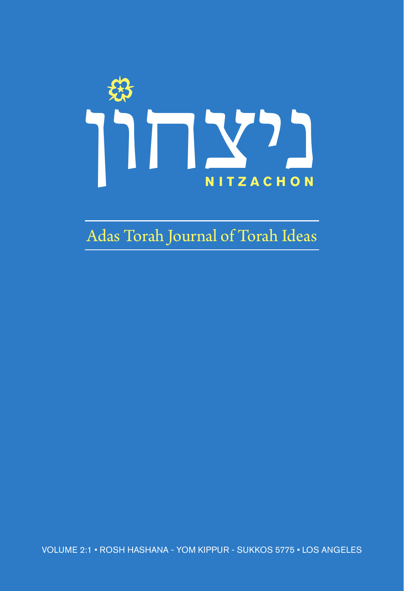

Adas Torah Journal of Torah Ideas

VOLUME 2:1 • ROSH HASHANA - YOM KIPPUR - SUKKOS 5775 • LOS ANGELES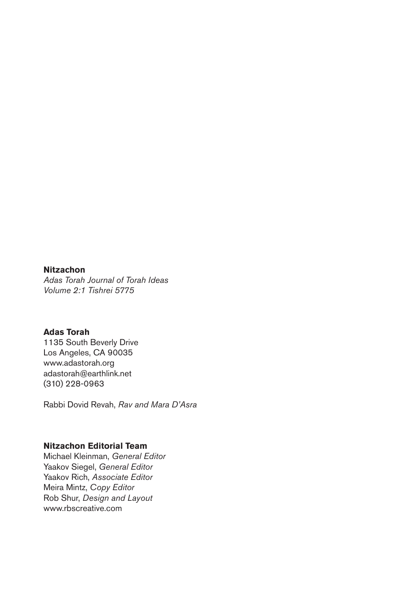### **Nitzachon**

*Adas Torah Journal of Torah Ideas Volume 2:1 Tishrei 5775*

### **Adas Torah**

1135 South Beverly Drive Los Angeles, CA 90035 www.adastorah.org adastorah@earthlink.net (310) 228-0963

Rabbi Dovid Revah, *Rav and Mara D'Asra*

### **Nitzachon Editorial Team**

Michael Kleinman, *General Editor* Yaakov Siegel, *General Editor* Yaakov Rich, *Associate Editor* Meira Mintz, *Copy Editor* Rob Shur, *Design and Layout* www.rbscreative.com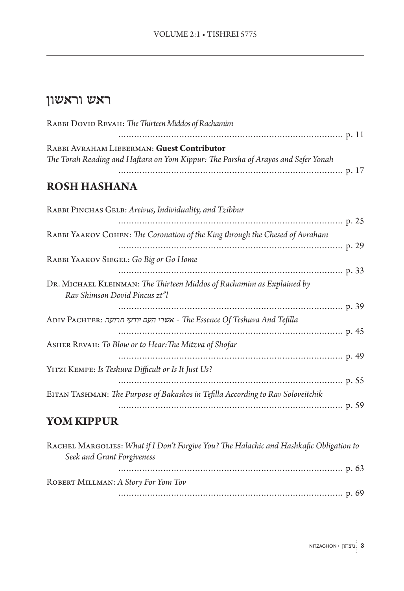# **ראש וראשון**

| RABBI DOVID REVAH: The Thirteen Middos of Rachamim                                |  |
|-----------------------------------------------------------------------------------|--|
|                                                                                   |  |
| RABBI AVRAHAM LIEBERMAN: Guest Contributor                                        |  |
| The Torah Reading and Haftara on Yom Kippur: The Parsha of Arayos and Sefer Yonah |  |
|                                                                                   |  |

## **ROSH HASHANA**

| RABBI PINCHAS GELB: Areivus, Individuality, and Tzibbur                                                |  |
|--------------------------------------------------------------------------------------------------------|--|
|                                                                                                        |  |
| RABBI YAAKOV COHEN: The Coronation of the King through the Chesed of Avraham                           |  |
|                                                                                                        |  |
| RABBI YAAKOV SIEGEL: Go Big or Go Home                                                                 |  |
| DR. MICHAEL KLEINMAN: The Thirteen Middos of Rachamim as Explained by<br>Rav Shimson Dovid Pincus zt"l |  |
|                                                                                                        |  |
| ADIV PACHTER: אשרי העם יודעי תרועה - The Essence Of Teshuva And Tefilla                                |  |
| ASHER REVAH: To Blow or to Hear: The Mitzva of Shofar                                                  |  |
| YITZI KEMPE: Is Teshuva Difficult or Is It Just Us?                                                    |  |
|                                                                                                        |  |
| EITAN TASHMAN: The Purpose of Bakashos in Tefilla According to Rav Soloveitchik                        |  |
|                                                                                                        |  |

## **YOM KIPPUR**

| RACHEL MARGOLIES: What if I Don't Forgive You? The Halachic and Hashkafic Obligation to |  |
|-----------------------------------------------------------------------------------------|--|
| Seek and Grant Forgiveness                                                              |  |
|                                                                                         |  |
| ROBERT MILLMAN: A Story For Yom Tov                                                     |  |
|                                                                                         |  |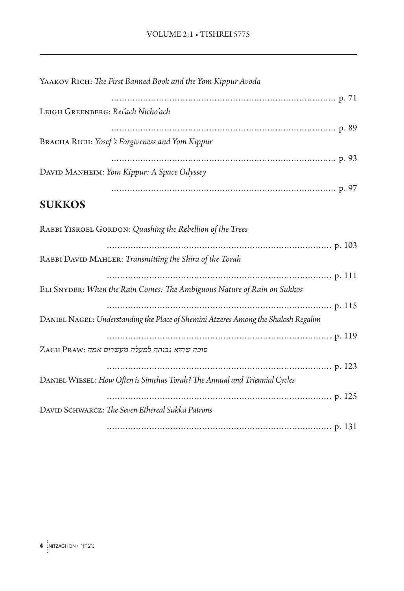Yaakov Rich: *The First Banned Book and the Yom Kippur Avoda*

| LEIGH GREENBERG: Rei'ach Nicho'ach              |  |
|-------------------------------------------------|--|
|                                                 |  |
| BRACHA RICH: Yosef's Forgiveness and Yom Kippur |  |
|                                                 |  |
| DAVID MANHEIM: Yom Kippur: A Space Odyssey      |  |
|                                                 |  |

### **SUKKOS**

| RABBI YISROEL GORDON: Quashing the Rebellion of the Trees                          |
|------------------------------------------------------------------------------------|
|                                                                                    |
| RABBI DAVID MAHLER: Transmitting the Shira of the Torah                            |
|                                                                                    |
| ELI SNYDER: When the Rain Comes: The Ambiguous Nature of Rain on Sukkos            |
|                                                                                    |
| DANIEL NAGEL: Understanding the Place of Shemini Atzeres Among the Shalosh Regalim |
|                                                                                    |
| סוכה שהיא גבוהה למעלה מעשרים אמה: ZACH Praw:                                       |
|                                                                                    |
| DANIEL WIESEL: How Often is Simchas Torah? The Annual and Triennial Cycles         |
|                                                                                    |
| DAVID SCHWARCZ: The Seven Ethereal Sukka Patrons                                   |
|                                                                                    |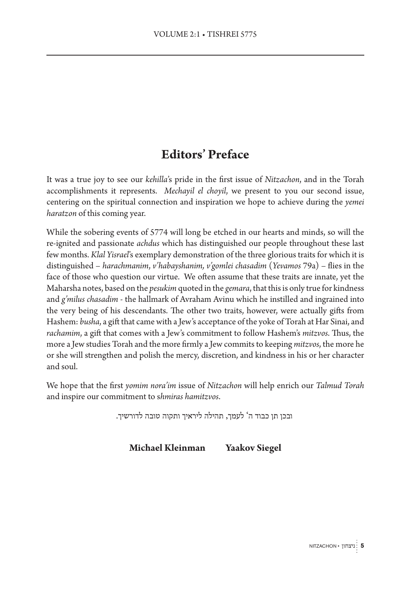# **Editors' Preface**

It was a true joy to see our *kehilla*'s pride in the first issue of *Nitzachon*, and in the Torah accomplishments it represents. *Mechayil el choyil*, we present to you our second issue, centering on the spiritual connection and inspiration we hope to achieve during the *yemei haratzon* of this coming year.

While the sobering events of 5774 will long be etched in our hearts and minds, so will the re-ignited and passionate *achdus* which has distinguished our people throughout these last few months. *Klal Yisrael*'s exemplary demonstration of the three glorious traits for which it is distinguished – *harachmanim*, *v'habayshanim, v'gomlei chasadim* (*Yevamos* 79a) – flies in the face of those who question our virtue. We often assume that these traits are innate, yet the Maharsha notes, based on the *pesukim* quoted in the *gemara*, that this is only true for kindness and *g'milus chasadim* - the hallmark of Avraham Avinu which he instilled and ingrained into the very being of his descendants. The other two traits, however, were actually gifts from Hashem: *busha*, a gift that came with a Jew's acceptance of the yoke of Torah at Har Sinai, and *rachamim*, a gift that comes with a Jew's commitment to follow Hashem's *mitzvos*. Thus, the more a Jew studies Torah and the more firmly a Jew commits to keeping *mitzvos*, the more he or she will strengthen and polish the mercy, discretion, and kindness in his or her character and soul.

We hope that the first *yomim nora'im* issue of *Nitzachon* will help enrich our *Talmud Torah* and inspire our commitment to s*hmiras hamitzvos*.

ובכן תן כבוד ה' לעמך, תהילה ליראיך ותקוה טובה לדורשיך.

**Michael Kleinman Yaakov Siegel**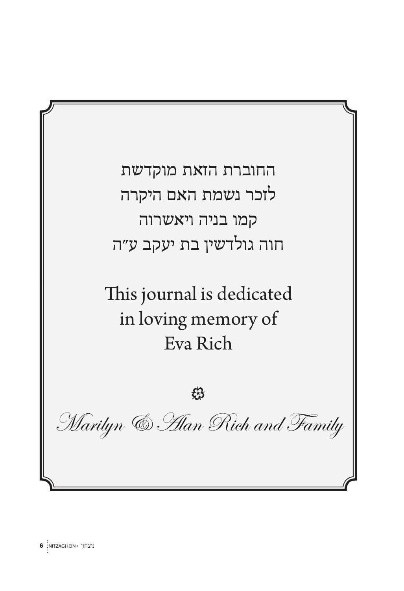החוברת הזאת מוקדשת לזכר נשמת האם היקרה קמו בניה ויאשרוה חוה גולדשין בת יעקב ע״ה

# This journal is dedicated in loving memory of Eva Rich

•

Marilyn & Alan Rich and Family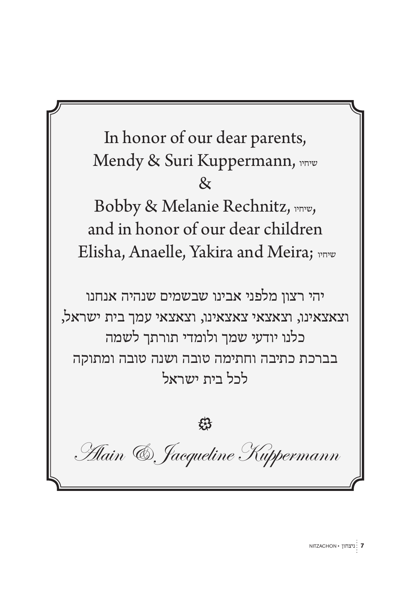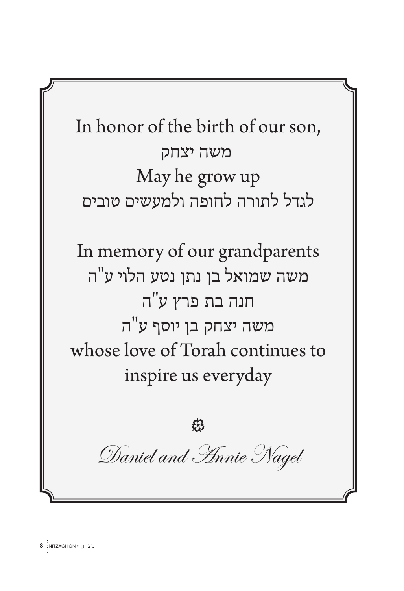In honor of the birth of our son, משה יצחק May he grow up לגדל לתורה לחופה ולמעשים טובים

In memory of our grandparents משה שמואל בן נתן נטע הלוי ע"ה חנה בת פרץ ע"ה משה יצחק בן יוסף ע"ה whose love of Torah continues to inspire us everyday

£}}

Daniel and Annie Nagel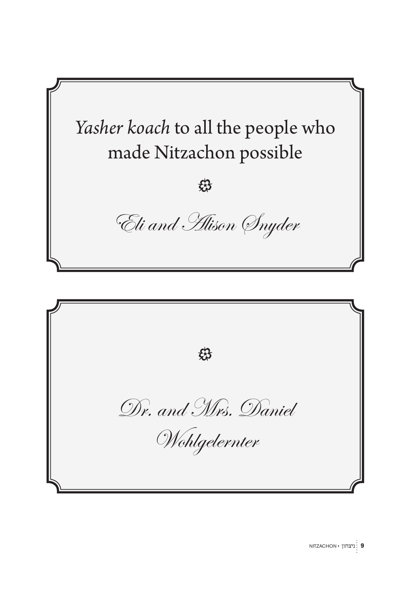

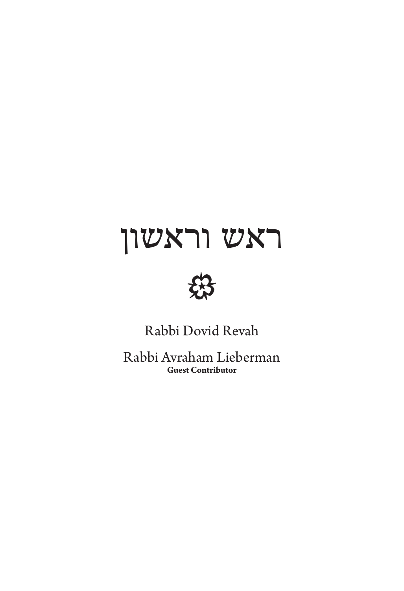# ראש וראשון



Rabbi Dovid Revah

Rabbi Avraham Lieberman **Guest Contributor**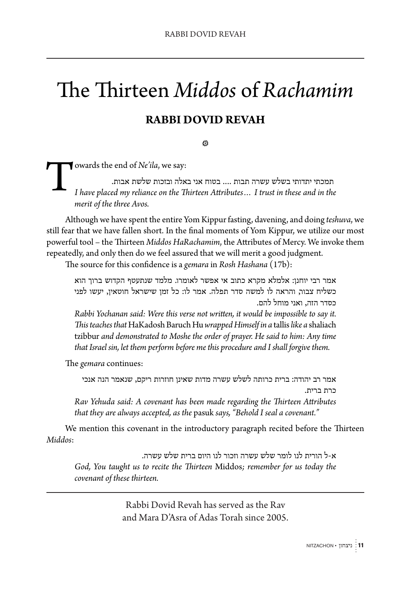# The Thirteen *Middos* of *Rachamim*

### **RABBI DOVID REVAH**

•

Towards the end of *Ne'ila*, we say: תמכתי יתדותי בשלש עשרה תבות .... בטוח אני באלה ובזכות שלשת אבות. *I have placed my reliance on the Thirteen Attributes… I trust in these and in the merit of the three Avos.*

Although we have spent the entire Yom Kippur fasting, davening, and doing *teshuva*, we still fear that we have fallen short. In the final moments of Yom Kippur, we utilize our most powerful tool – the Thirteen *Middos HaRachamim*, the Attributes of Mercy. We invoke them repeatedly, and only then do we feel assured that we will merit a good judgment.

The source for this confidence is a *gemara* in *Rosh Hashana* (17b):

אמר רבי יוחנן: אלמלא מקרא כתוב אי אפשר לאומרו. מלמד שנתעטף הקדוש ברוך הוא כשליח צבור, והראה לו למשה סדר תפלה. אמר לו: כל זמן שישראל חוטאין, יעשו לפני כסדר הזה, ואני מוחל להם.

*Rabbi Yochanan said: Were this verse not written, it would be impossible to say it. This teaches that* HaKadosh Baruch Hu *wrapped Himself in a* tallis *like a* shaliach tzibbur *and demonstrated to Moshe the order of prayer. He said to him: Any time that Israel sin, let them perform before me this procedure and I shall forgive them.* 

The *gemara* continues:

אמר רב יהודה: ברית כרותה לשלש עשרה מדות שאינן חוזרות ריקם, שנאמר הנה אנכי כרת ברית.

*Rav Yehuda said: A covenant has been made regarding the Thirteen Attributes that they are always accepted, as the* pasuk *says, "Behold I seal a covenant."* 

We mention this covenant in the introductory paragraph recited before the Thirteen *Middos*:

א-ל הורית לנו לומר שלש עשרה וזכור לנו היום ברית שלש עשרה. *God, You taught us to recite the Thirteen* Middos*; remember for us today the covenant of these thirteen.* 

> Rabbi Dovid Revah has served as the Rav and Mara D'Asra of Adas Torah since 2005.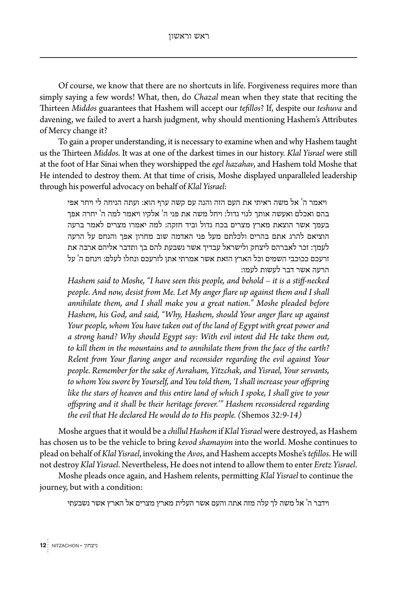Of course, we know that there are no shortcuts in life. Forgiveness requires more than simply saying a few words! What, then, do *Chazal* mean when they state that reciting the Thirteen *Middos* guarantees that Hashem will accept our *tefillos*? If, despite our *teshuva* and davening, we failed to avert a harsh judgment, why should mentioning Hashem's Attributes of Mercy change it?

To gain a proper understanding, it is necessary to examine when and why Hashem taught us the Thirteen *Middos*. It was at one of the darkest times in our history. *Klal Yisrael* were still at the foot of Har Sinai when they worshipped the *egel hazahav*, and Hashem told Moshe that He intended to destroy them. At that time of crisis, Moshe displayed unparalleled leadership through his powerful advocacy on behalf of *Klal Yisrael*:

 ויאמר ה' אל משה ראיתי את העם הזה והנה עם קשה ערף הוא: ועתה הניחה לי ויחר אפי בהם ואכלם ואעשה אותך לגוי גדול: ויחל משה את פני ה' אלקיו ויאמר למה ה' יחרה אפך בעמך אשר הוצאת מארץ מצרים בכח גדול וביד חזקה: למה יאמרו מצרים לאמר ברעה הוציאם להרג אתם בהרים ולכלתם מעל פני האדמה שוב מחרון אפך והנחם על הרעה לעמך: זכר לאברהם ליצחק ולישראל עבדיך אשר נשבעת להם בך ותדבר אליהם ארבה את זרעכם ככוכבי השמים וכל הארץ הזאת אשר אמרתי אתן לזרעכם ונחלו לעלם: וינחם ה' על הרעה אשר דבר לעשות לעמו:

*Hashem said to Moshe, "I have seen this people, and behold – it is a stiff-necked people. And now, desist from Me. Let My anger flare up against them and I shall annihilate them, and I shall make you a great nation." Moshe pleaded before Hashem, his God, and said, "Why, Hashem, should Your anger flare up against Your people, whom You have taken out of the land of Egypt with great power and a strong hand? Why should Egypt say: With evil intent did He take them out, to kill them in the mountains and to annihilate them from the face of the earth? Relent from Your flaring anger and reconsider regarding the evil against Your people. Remember for the sake of Avraham, Yitzchak, and Yisrael, Your servants, to whom You swore by Yourself, and You told them, 'I shall increase your offspring*  like the stars of heaven and this entire land of which I spoke, I shall give to your *offspring and it shall be their heritage forever.'" Hashem reconsidered regarding the evil that He declared He would do to His people. (*Shemos *32:9-14)*

Moshe argues that it would be a *chillul Hashem* if *Klal Yisrael* were destroyed, as Hashem has chosen us to be the vehicle to bring *kevod shamayim* into the world. Moshe continues to plead on behalf of *Klal Yisrael*, invoking the *Avos*, and Hashem accepts Moshe's *tefillos*. He will not destroy *Klal Yisrael*. Nevertheless, He does not intend to allow them to enter *Eretz Yisrael*.

Moshe pleads once again, and Hashem relents, permitting *Klal Yisrael* to continue the journey, but with a condition:

וידבר ה' אל משה לך עלה מזה אתה והעם אשר העלית מארץ מצרים אל הארץ אשר נשבעתי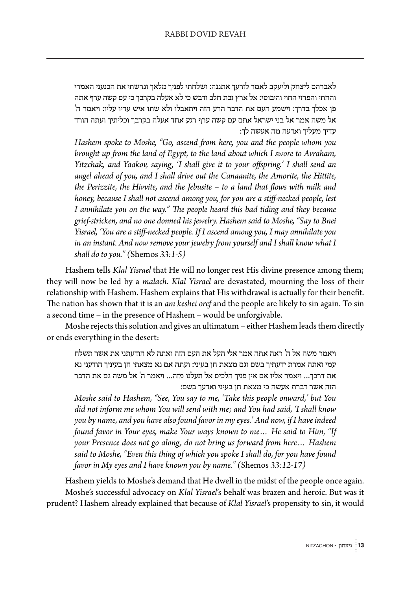לאברהם ליצחק וליעקב לאמר לזרעך אתננה: ושלחתי לפניך מלאך וגרשתי את הכנעני האמרי והחתי והפרזי החוי והיבוסי: אל ארץ זבת חלב ודבש כי לא אעלה בקרבך כי עם קשה ערף אתה פן אכלך בדרך: וישמע העם את הדבר הרע הזה ויתאבלו ולא שתו איש עדיו עליו: ויאמר ה' אל משה אמר אל בני ישראל אתם עם קשה ערף רגע אחד אעלה בקרבך וכליתיך ועתה הורד עדיך מעליך ואדעה מה אעשה לך:

*Hashem spoke to Moshe, "Go, ascend from here, you and the people whom you brought up from the land of Egypt, to the land about which I swore to Avraham, Yitzchak, and Yaakov, saying, 'I shall give it to your offspring.' I shall send an angel ahead of you, and I shall drive out the Canaanite, the Amorite, the Hittite, the Perizzite, the Hivvite, and the Jebusite – to a land that flows with milk and honey, because I shall not ascend among you, for you are a stiff-necked people, lest I annihilate you on the way." The people heard this bad tiding and they became grief-stricken, and no one donned his jewelry. Hashem said to Moshe, "Say to Bnei Yisrael, 'You are a stiff-necked people. If I ascend among you, I may annihilate you in an instant. And now remove your jewelry from yourself and I shall know what I shall do to you." (*Shemos *33:1-5)*

Hashem tells *Klal Yisrael* that He will no longer rest His divine presence among them; they will now be led by a *malach*. *Klal Yisrael* are devastated, mourning the loss of their relationship with Hashem. Hashem explains that His withdrawal is actually for their benefit. The nation has shown that it is an *am keshei oref* and the people are likely to sin again. To sin a second time – in the presence of Hashem – would be unforgivable.

Moshe rejects this solution and gives an ultimatum – either Hashem leads them directly or ends everything in the desert:

ויאמר משה אל ה' ראה אתה אמר אלי העל את העם הזה ואתה לא הודעתני את אשר תשלח עמי ואתה אמרת ידעתיך בשם וגם מצאת חן בעיני: ועתה אם נא מצאתי חן בעיניך הודעני נא את דרכך... ויאמר אליו אם אין פניך הלכים אל תעלנו מזה... ויאמר ה' אל משה גם את הדבר הזה אשר דברת אעשה כי מצאת חן בעיני ואדעך בשם:

*Moshe said to Hashem, "See, You say to me, 'Take this people onward,' but You did not inform me whom You will send with me; and You had said, 'I shall know you by name, and you have also found favor in my eyes.' And now, if I have indeed found favor in Your eyes, make Your ways known to me… He said to Him, "If your Presence does not go along, do not bring us forward from here… Hashem said to Moshe, "Even this thing of which you spoke I shall do, for you have found favor in My eyes and I have known you by name." (*Shemos *33:12-17)*

Hashem yields to Moshe's demand that He dwell in the midst of the people once again. Moshe's successful advocacy on *Klal Yisrael*'s behalf was brazen and heroic. But was it prudent? Hashem already explained that because of *Klal Yisrael*'s propensity to sin, it would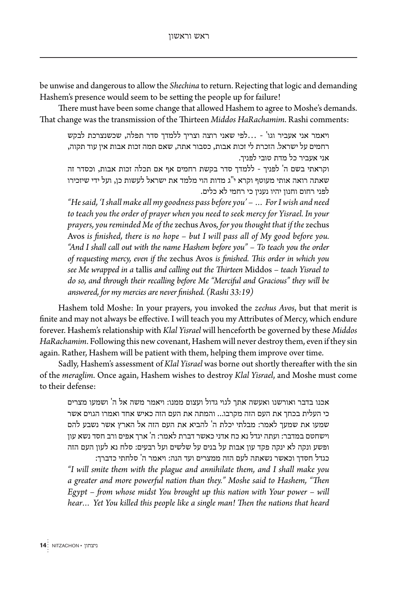be unwise and dangerous to allow the *Shechina* to return. Rejecting that logic and demanding Hashem's presence would seem to be setting the people up for failure!

There must have been some change that allowed Hashem to agree to Moshe's demands. That change was the transmission of the Thirteen *Middos HaRachamim*. Rashi comments:

ויאמר אני אעביר וגו' - ...לפי שאני רוצה וצריך ללמדך סדר תפלה, שכשנצרכת לבקש רחמים על ישראל. הזכרת לי זכות אבות, כסבור אתה, שאם תמה זכות אבות אין עוד תקוה, אני אעביר כל מדת טובי לפניך.

וקראתי בשם ה' לפניך - ללמדך סדר בקשת רחמים אף אם תכלה זכות אבות, וכסדר זה שאתה רואה אותי מעוטף וקרא י"ג מדות הוי מלמד את ישראל לעשות כן, ועל ידי שיזכירו לפני רחום וחנון יהיו נענין כי רחמי לא כלים.

*"He said, 'I shall make all my goodness pass before you' – … For I wish and need to teach you the order of prayer when you need to seek mercy for Yisrael. In your prayers, you reminded Me of the* zechus Avos*, for you thought that if the* zechus Avos *is finished, there is no hope – but I will pass all of My good before you. "And I shall call out with the name Hashem before you" – To teach you the order of requesting mercy, even if the* zechus Avos *is finished. This order in which you see Me wrapped in a* tallis *and calling out the Thirteen* Middos *– teach Yisrael to do so, and through their recalling before Me "Merciful and Gracious" they will be answered, for my mercies are never finished. (Rashi 33:19)*

Hashem told Moshe: In your prayers, you invoked the *zechus Avos*, but that merit is finite and may not always be effective. I will teach you my Attributes of Mercy, which endure forever. Hashem's relationship with *Klal Yisrael* will henceforth be governed by these *Middos HaRachamim*. Following this new covenant, Hashem will never destroy them, even if they sin again. Rather, Hashem will be patient with them, helping them improve over time.

Sadly, Hashem's assessment of *Klal Yisrael* was borne out shortly thereafter with the sin of the *meraglim*. Once again, Hashem wishes to destroy *Klal Yisrael*, and Moshe must come to their defense:

אכנו בדבר ואורשנו ואעשה אתך לגוי גדול ועצום ממנו: ויאמר משה אל ה' ושמעו מצרים כי העלית בכחך את העם הזה מקרבו... והמתה את העם הזה כאיש אחד ואמרו הגוים אשר שמעו את שמעך לאמר: מבלתי יכלת ה' להביא את העם הזה אל הארץ אשר נשבע להם וישחטם במדבר: ועתה יגדל נא כח אדני כאשר דברת לאמר: ה' ארך אפים ורב חסד נשא עון ופשע ונקה לא ינקה פקד עון אבות על בנים על שלשים ועל רבעים: סלח נא לעון העם הזה

כגדל חסדך וכאשר נשאתה לעם הזה ממצרים ועד הנה: ויאמר ה' סלחתי כדברך: *"I will smite them with the plague and annihilate them, and I shall make you a greater and more powerful nation than they." Moshe said to Hashem, "Then Egypt – from whose midst You brought up this nation with Your power – will hear… Yet You killed this people like a single man! Then the nations that heard*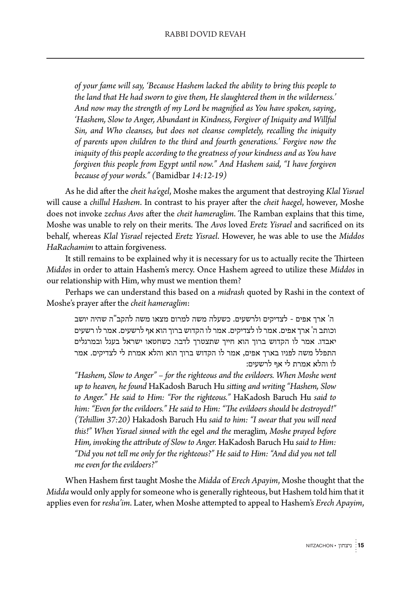*of your fame will say, 'Because Hashem lacked the ability to bring this people to the land that He had sworn to give them, He slaughtered them in the wilderness.' And now may the strength of my Lord be magnified as You have spoken, saying, 'Hashem, Slow to Anger, Abundant in Kindness, Forgiver of Iniquity and Willful Sin, and Who cleanses, but does not cleanse completely, recalling the iniquity of parents upon children to the third and fourth generations.' Forgive now the iniquity of this people according to the greatness of your kindness and as You have forgiven this people from Egypt until now." And Hashem said, "I have forgiven because of your words." (*Bamidbar *14:12-19)*

As he did after the *cheit ha'egel*, Moshe makes the argument that destroying *Klal Yisrael*  will cause a *chillul Hashem*. In contrast to his prayer after the *cheit haegel*, however, Moshe does not invoke *zechus Avos* after the *cheit hameraglim*. The Ramban explains that this time, Moshe was unable to rely on their merits. The *Avos* loved *Eretz Yisrael* and sacrificed on its behalf, whereas *Klal Yisrael* rejected *Eretz Yisrael*. However, he was able to use the *Middos HaRachamim* to attain forgiveness.

It still remains to be explained why it is necessary for us to actually recite the Thirteen *Middos* in order to attain Hashem's mercy. Once Hashem agreed to utilize these *Middos* in our relationship with Him, why must we mention them?

Perhaps we can understand this based on a *midrash* quoted by Rashi in the context of Moshe's prayer after the *cheit hameraglim*:

 ה' ארך אפים - לצדיקים ולרשעים. כשעלה משה למרום מצאו משה להקב"ה שהיה יושב וכותב ה' ארך אפים. אמר לו לצדיקים. אמר לו הקדוש ברוך הוא אף לרשעים. אמר לו רשעים יאבדו. אמר לו הקדוש ברוך הוא חייך שתצטרך לדבר. כשחטאו ישראל בעגל ובמרגלים התפלל משה לפניו בארך אפים, אמר לו הקדוש ברוך הוא והלא אמרת לי לצדיקים. אמר לו והלא אמרת לי אף לרשעים:

*"Hashem, Slow to Anger" – for the righteous and the evildoers. When Moshe went up to heaven, he found* HaKadosh Baruch Hu *sitting and writing "Hashem, Slow to Anger." He said to Him: "For the righteous."* HaKadosh Baruch Hu *said to him: "Even for the evildoers." He said to Him: "The evildoers should be destroyed!" (Tehillim 37:20)* Hakadosh Baruch Hu *said to him: "I swear that you will need this!" When Yisrael sinned with the* egel *and the* meraglim*, Moshe prayed before Him, invoking the attribute of Slow to Anger.* HaKadosh Baruch Hu *said to Him: "Did you not tell me only for the righteous?" He said to Him: "And did you not tell me even for the evildoers?"*

When Hashem first taught Moshe the *Midda* of *Erech Apayim*, Moshe thought that the *Midda* would only apply for someone who is generally righteous, but Hashem told him that it applies even for *resha'im*. Later, when Moshe attempted to appeal to Hashem's *Erech Apayim*,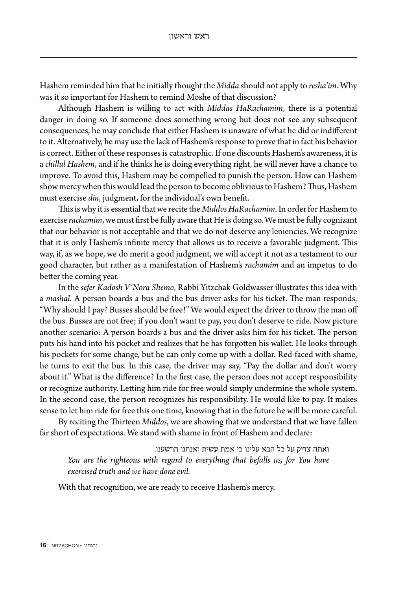Hashem reminded him that he initially thought the *Midda* should not apply to *resha'im*. Why was it so important for Hashem to remind Moshe of that discussion?

Although Hashem is willing to act with *Middas HaRachamim*, there is a potential danger in doing so. If someone does something wrong but does not see any subsequent consequences, he may conclude that either Hashem is unaware of what he did or indifferent to it. Alternatively, he may use the lack of Hashem's response to prove that in fact his behavior is correct. Either of these responses is catastrophic. If one discounts Hashem's awareness, it is a *chillul Hashem*, and if he thinks he is doing everything right, he will never have a chance to improve. To avoid this, Hashem may be compelled to punish the person. How can Hashem show mercy when this would lead the person to become oblivious to Hashem? Thus, Hashem must exercise *din*, judgment, for the individual's own benefit.

This is why it is essential that we recite the *Middos HaRachamim*. In order for Hashem to exercise *rachamim*, we must first be fully aware that He is doing so. We must be fully cognizant that our behavior is not acceptable and that we do not deserve any leniencies. We recognize that it is only Hashem's infinite mercy that allows us to receive a favorable judgment. This way, if, as we hope, we do merit a good judgment, we will accept it not as a testament to our good character, but rather as a manifestation of Hashem's *rachamim* and an impetus to do better the coming year.

In the *sefer Kadosh V'Nora Shemo*, Rabbi Yitzchak Goldwasser illustrates this idea with a *mashal*. A person boards a bus and the bus driver asks for his ticket. The man responds, "Why should I pay? Busses should be free!" We would expect the driver to throw the man off the bus. Busses are not free; if you don't want to pay, you don't deserve to ride. Now picture another scenario: A person boards a bus and the driver asks him for his ticket. The person puts his hand into his pocket and realizes that he has forgotten his wallet. He looks through his pockets for some change, but he can only come up with a dollar. Red-faced with shame, he turns to exit the bus. In this case, the driver may say, "Pay the dollar and don't worry about it." What is the difference? In the first case, the person does not accept responsibility or recognize authority. Letting him ride for free would simply undermine the whole system. In the second case, the person recognizes his responsibility. He would like to pay. It makes sense to let him ride for free this one time, knowing that in the future he will be more careful.

By reciting the Thirteen *Middos*, we are showing that we understand that we have fallen far short of expectations. We stand with shame in front of Hashem and declare:

ואתה צדיק על כל הבא עלינו כי אמת עשית ואנחנו הרשענו.

You are the righteous with regard to everything that befalls us, for You have *exercised truth and we have done evil.*

With that recognition, we are ready to receive Hashem's mercy.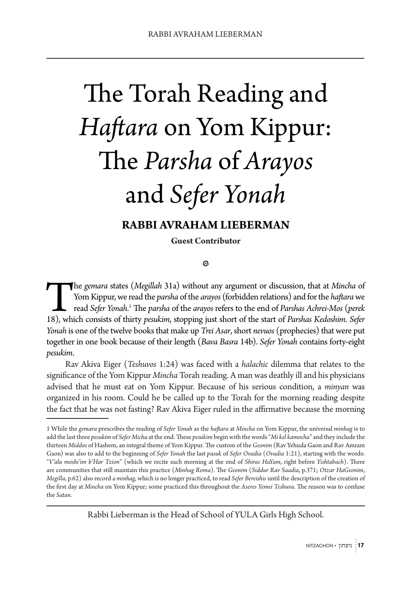# The Torah Reading and *Haftara* on Yom Kippur: The *Parsha* of *Arayos* and *Sefer Yonah*

### **RABBI AVRAHAM LIEBERMAN**

**Guest Contributor**

•

The *gemara* states (*Megillah* 31a) without any argument or discussion, that at *Mincha* of Yom Kippur, we read the *parsha* of the *arayos* (forbidden relations) and for the *haftara* we read *Sefer Yonah*.<sup>1</sup> The *parsh* Yom Kippur, we read the *parsha* of the *arayos* (forbidden relations) and for the *haftara* we read *Sefer Yonah*. 1 The *parsha* of the *arayos* refers to the end of *Parshas Achrei-Mos* (*perek Yonah* is one of the twelve books that make up *Trei Asar*, short *nevuos* (prophecies) that were put together in one book because of their length (*Bava Basra* 14b). *Sefer Yonah* contains forty-eight *pesukim*.

Rav Akiva Eiger (*Teshuvos* 1:24) was faced with a *halachic* dilemma that relates to the significance of the Yom Kippur *Mincha* Torah reading. A man was deathly ill and his physicians advised that he must eat on Yom Kippur. Because of his serious condition, a *minyan* was organized in his room. Could he be called up to the Torah for the morning reading despite the fact that he was not fasting? Rav Akiva Eiger ruled in the affirmative because the morning

Rabbi Lieberman is the Head of School of YULA Girls High School.

<sup>1</sup> While the *gemara* prescribes the reading of *Sefer Yonah* as the *haftara* at *Mincha* on Yom Kippur, the universal *minhag* is to add the last three *pesukim* of *Sefer Micha* at the end. These *pesukim* begin with the words "*Mi kel kamocha*" and they include the thirteen *Middos* of Hashem, an integral theme of Yom Kippur. The custom of the *Geonim* (Rav Yehuda Gaon and Rav Amram Gaon) was also to add to the beginning of *Sefer Yonah* the last *pasuk* of *Sefer Ovadia* (*Ovadia* 1:21), starting with the words: "*V'alu moshi'im b'Har Tzion*" (which we recite each morning at the end of *Shiras HaYam*, right before *Yishtabach*). There are communities that still maintain this practice (*Minhag Roma*). The *Geonim* (*Siddur Rav Saadia*, p.371; *Otzar HaGeonim*, *Megilla*, p.62) also record a *minhag*, which is no longer practiced, to read *Sefer Bereishis* until the description of the creation of the first day at *Mincha* on Yom Kippur; some practiced this throughout the *Aseres Yemei Teshuva*. The reason was to confuse the *Satan*.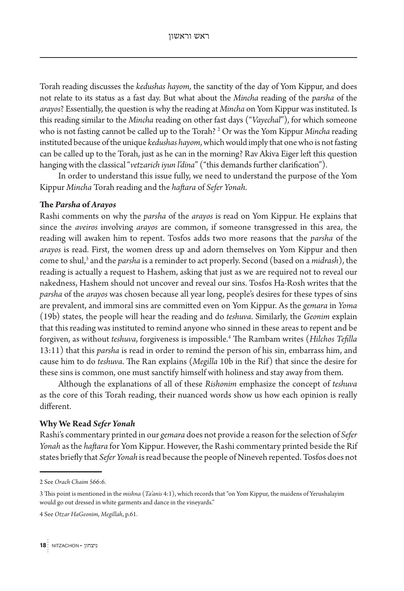Torah reading discusses the *kedushas hayom*, the sanctity of the day of Yom Kippur, and does not relate to its status as a fast day. But what about the *Mincha* reading of the *parsha* of the *arayos*? Essentially, the question is why the reading at *Mincha* on Yom Kippur was instituted. Is this reading similar to the *Mincha* reading on other fast days ("*Vayechal*"), for which someone who is not fasting cannot be called up to the Torah? 2 Or was the Yom Kippur *Mincha* reading instituted because of the unique *kedushas hayom*, which would imply that one who is not fasting can be called up to the Torah, just as he can in the morning? Rav Akiva Eiger left this question hanging with the classical "*vetzarich iyun l'dina*" ("this demands further clarification").

In order to understand this issue fully, we need to understand the purpose of the Yom Kippur *Mincha* Torah reading and the *haftara* of *Sefer Yonah*.

#### **The** *Parsha* **of** *Arayos*

Rashi comments on why the *parsha* of the *arayos* is read on Yom Kippur. He explains that since the *aveiros* involving *arayos* are common, if someone transgressed in this area, the reading will awaken him to repent. Tosfos adds two more reasons that the *parsha* of the *arayos* is read. First, the women dress up and adorn themselves on Yom Kippur and then come to shul,<sup>3</sup> and the *parsha* is a reminder to act properly. Second (based on a *midrash*), the reading is actually a request to Hashem, asking that just as we are required not to reveal our nakedness, Hashem should not uncover and reveal our sins. Tosfos Ha-Rosh writes that the *parsha* of the *arayos* was chosen because all year long, people's desires for these types of sins are prevalent, and immoral sins are committed even on Yom Kippur. As the *gemara* in *Yoma* (19b) states, the people will hear the reading and do *teshuva*. Similarly, the *Geonim* explain that this reading was instituted to remind anyone who sinned in these areas to repent and be forgiven, as without *teshuva*, forgiveness is impossible.4 The Rambam writes (*Hilchos Tefilla* 13:11) that this *parsha* is read in order to remind the person of his sin, embarrass him, and cause him to do *teshuva*. The Ran explains (*Megilla* 10b in the Rif) that since the desire for these sins is common, one must sanctify himself with holiness and stay away from them.

Although the explanations of all of these *Rishonim* emphasize the concept of *teshuva* as the core of this Torah reading, their nuanced words show us how each opinion is really different.

#### **Why We Read** *Sefer Yonah*

Rashi's commentary printed in our *gemara* does not provide a reason for the selection of *Sefer Yonah* as the *haftara* for Yom Kippur. However, the Rashi commentary printed beside the Rif states briefly that *Sefer Yonah* is read because the people of Nineveh repented. Tosfos does not

<sup>2</sup> See *Orach Chaim* 566:6.

<sup>3</sup> This point is mentioned in the *mishna* (*Ta'anis* 4:1), which records that "on Yom Kippur, the maidens of Yerushalayim would go out dressed in white garments and dance in the vineyards."

<sup>4</sup> See *Otzar HaGeonim*, *Megillah*, p.61.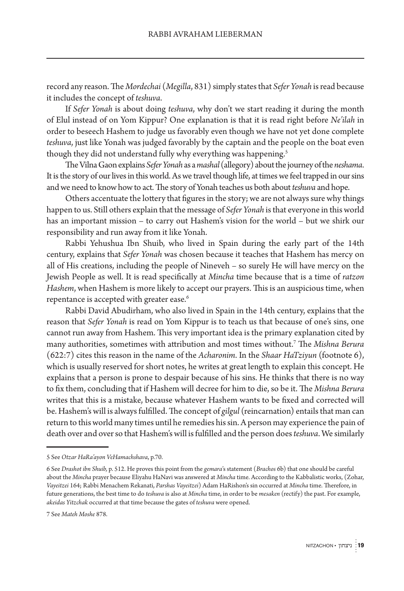record any reason. The *Mordechai* (*Megilla*, 831) simply states that *Sefer Yonah* is read because it includes the concept of *teshuva*.

If *Sefer Yonah* is about doing *teshuva*, why don't we start reading it during the month of Elul instead of on Yom Kippur? One explanation is that it is read right before *Ne'ilah* in order to beseech Hashem to judge us favorably even though we have not yet done complete *teshuva*, just like Yonah was judged favorably by the captain and the people on the boat even though they did not understand fully why everything was happening.<sup>5</sup>

The Vilna Gaon explains *Sefer Yonah* as a *mashal* (allegory) about the journey of the *neshama*. It is the story of our lives in this world. As we travel though life, at times we feel trapped in our sins and we need to know how to act. The story of Yonah teaches us both about *teshuva* and hope.

Others accentuate the lottery that figures in the story; we are not always sure why things happen to us. Still others explain that the message of *Sefer Yonah* is that everyone in this world has an important mission – to carry out Hashem's vision for the world – but we shirk our responsibility and run away from it like Yonah.

Rabbi Yehushua Ibn Shuib, who lived in Spain during the early part of the 14th century, explains that *Sefer Yonah* was chosen because it teaches that Hashem has mercy on all of His creations, including the people of Nineveh – so surely He will have mercy on the Jewish People as well. It is read specifically at *Mincha* time because that is a time of *ratzon Hashem*, when Hashem is more likely to accept our prayers. This is an auspicious time, when repentance is accepted with greater ease.<sup>6</sup>

Rabbi David Abudirham, who also lived in Spain in the 14th century, explains that the reason that *Sefer Yonah* is read on Yom Kippur is to teach us that because of one's sins, one cannot run away from Hashem. This very important idea is the primary explanation cited by many authorities, sometimes with attribution and most times without.7 The *Mishna Berura*  (622:7) cites this reason in the name of the *Acharonim*. In the *Shaar HaTziyun* (footnote 6), which is usually reserved for short notes, he writes at great length to explain this concept. He explains that a person is prone to despair because of his sins. He thinks that there is no way to fix them, concluding that if Hashem will decree for him to die, so be it. The *Mishna Berura*  writes that this is a mistake, because whatever Hashem wants to be fixed and corrected will be. Hashem's will is always fulfilled. The concept of *gilgul* (reincarnation) entails that man can return to this world many times until he remedies his sin. A person may experience the pain of death over and over so that Hashem's will is fulfilled and the person does *teshuva*. We similarly

<sup>5</sup> See *Otzar HaRa'ayon VeHamachshava*, p.70.

<sup>6</sup> See *Drashot ibn Shuib,* p. 512. He proves this point from the *gemara*'s statement (*Brachos* 6b) that one should be careful about the *Mincha* prayer because Eliyahu HaNavi was answered at *Mincha* time. According to the Kabbalistic works, (Zohar, *Vayeitzei* 164; Rabbi Menachem Rekanati, *Parshas Vayeitzei*) Adam HaRishon's sin occurred at *Mincha* time. Therefore, in future generations, the best time to do *teshuva* is also at *Mincha* time, in order to be *mesaken* (rectify) the past. For example, *akeidas Yitzchak* occurred at that time because the gates of *teshuva* were opened.

<sup>7</sup> See *Mateh Moshe* 878.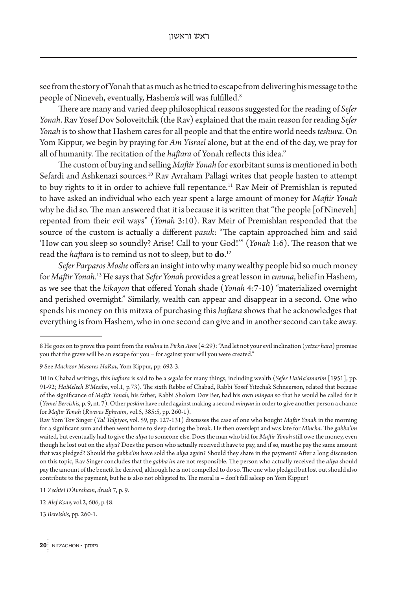see from the story of Yonah that as much as he tried to escape from delivering his message to the people of Nineveh, eventually, Hashem's will was fulfilled.<sup>8</sup>

There are many and varied deep philosophical reasons suggested for the reading of *Sefer Yonah*. Rav Yosef Dov Soloveitchik (the Rav) explained that the main reason for reading *Sefer Yonah* is to show that Hashem cares for all people and that the entire world needs *teshuva*. On Yom Kippur, we begin by praying for *Am Yisrael* alone, but at the end of the day, we pray for all of humanity. The recitation of the *haftara* of Yonah reflects this idea.<sup>9</sup>

The custom of buying and selling *Maftir Yonah* for exorbitant sums is mentioned in both Sefardi and Ashkenazi sources.<sup>10</sup> Rav Avraham Pallagi writes that people hasten to attempt to buy rights to it in order to achieve full repentance.<sup>11</sup> Rav Meir of Premishlan is reputed to have asked an individual who each year spent a large amount of money for *Maftir Yonah* why he did so. The man answered that it is because it is written that "the people [of Nineveh] repented from their evil ways" (*Yonah* 3:10). Rav Meir of Premishlan responded that the source of the custom is actually a different *pasuk*: "The captain approached him and said 'How can you sleep so soundly? Arise! Call to your God!'" (*Yonah* 1:6). The reason that we read the *haftara* is to remind us not to sleep, but to **do**. 12

*Sefer Parparos Moshe* offers an insight into why many wealthy people bid so much money for *Maftir Yonah.*13 He says that *Sefer Yonah* provides a great lesson in *emuna*, belief in Hashem, as we see that the *kikayon* that offered Yonah shade (*Yonah* 4:7-10) "materialized overnight and perished overnight." Similarly, wealth can appear and disappear in a second. One who spends his money on this mitzva of purchasing this *haftara* shows that he acknowledges that everything is from Hashem, who in one second can give and in another second can take away.

11 *Zechtei D'Avraham*, *drush* 7, p. 9.

13 *Bereishis*, pp. 260-1.

<sup>8</sup> He goes on to prove this point from the *mishna* in *Pirkei Avos* (4:29): "And let not your evil inclination (*yetzer hara*) promise you that the grave will be an escape for you – for against your will you were created."

<sup>9</sup> See *Machzor Masores HaRav,* Yom Kippur, pp. 692-3.

<sup>10</sup> In Chabad writings, this *haftara* is said to be a *segula* for many things, including wealth (*Sefer HaMa'amarim* [1951], pp. 91-92; *HaMelech B'Mesibo*, vol.1, p.73). The sixth Rebbe of Chabad, Rabbi Yosef Yitzchak Schneerson, related that because of the significance of *Maftir Yonah*, his father, Rabbi Sholom Dov Ber, had his own *minyan* so that he would be called for it (*Yemei Bereishis,* p. 9, nt. 7). Other *poskim* have ruled against making a second *minyan* in order to give another person a chance for *Maftir Yonah* (*Rivevos Ephraim*, vol.5, 385:5, pp. 260-1).

Rav Yom Tov Singer (*Tal Talpiyos*, vol. 59, pp. 127-131) discusses the case of one who bought *Maftir Yonah* in the morning for a significant sum and then went home to sleep during the break. He then overslept and was late for *Mincha*. The *gabba'im* waited, but eventually had to give the *aliya* to someone else. Does the man who bid for *Maftir Yonah* still owe the money, even though he lost out on the *aliya*? Does the person who actually received it have to pay, and if so, must he pay the same amount that was pledged? Should the *gabba'im* have sold the *aliya* again? Should they share in the payment? After a long discussion on this topic, Rav Singer concludes that the *gabba'im* are not responsible. The person who actually received the *aliya* should pay the amount of the benefit he derived, although he is not compelled to do so. The one who pledged but lost out should also contribute to the payment, but he is also not obligated to. The moral is – don't fall asleep on Yom Kippur!

<sup>12</sup> *Alef Ksav,* vol.2, 606, p.48.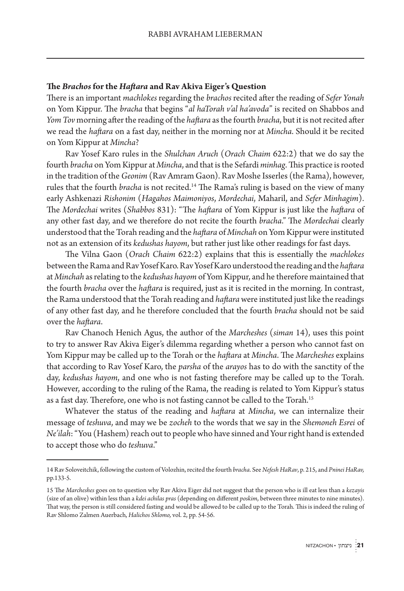### **The** *Brachos* **for the** *Haftara* **and Rav Akiva Eiger's Question**

There is an important *machlokes* regarding the *brachos* recited after the reading of *Sefer Yonah*  on Yom Kippur. The *bracha* that begins "*al haTorah v'al ha'avoda*" is recited on Shabbos and *Yom Tov* morning after the reading of the *haftara* as the fourth *bracha*, but it is not recited after we read the *haftara* on a fast day, neither in the morning nor at *Mincha*. Should it be recited on Yom Kippur at *Mincha*?

Rav Yosef Karo rules in the *Shulchan Aruch* (*Orach Chaim* 622:2) that we do say the fourth *bracha* on Yom Kippur at *Mincha*, and that is the Sefardi *minhag*. This practice is rooted in the tradition of the *Geonim* (Rav Amram Gaon). Rav Moshe Isserles (the Rama), however, rules that the fourth *bracha* is not recited.<sup>14</sup> The Rama's ruling is based on the view of many early Ashkenazi *Rishonim* (*Hagahos Maimoniyos*, *Mordechai*, Maharil, and *Sefer Minhagim*). The *Mordechai* writes (*Shabbos* 831): "The *haftara* of Yom Kippur is just like the *haftara* of any other fast day, and we therefore do not recite the fourth *bracha*." The *Mordechai* clearly understood that the Torah reading and the *haftara* of *Minchah* on Yom Kippur were instituted not as an extension of its *kedushas hayom*, but rather just like other readings for fast days.

The Vilna Gaon (*Orach Chaim* 622:2) explains that this is essentially the *machlokes* between the Rama and Rav Yosef Karo. Rav Yosef Karo understood the reading and the *haftara* at *Minchah* as relating to the *kedushas hayom* of Yom Kippur, and he therefore maintained that the fourth *bracha* over the *haftara* is required, just as it is recited in the morning. In contrast, the Rama understood that the Torah reading and *haftara* were instituted just like the readings of any other fast day, and he therefore concluded that the fourth *bracha* should not be said over the *haftara*.

Rav Chanoch Henich Agus, the author of the *Marcheshes* (*siman* 14), uses this point to try to answer Rav Akiva Eiger's dilemma regarding whether a person who cannot fast on Yom Kippur may be called up to the Torah or the *haftara* at *Mincha*. The *Marcheshes* explains that according to Rav Yosef Karo, the *parsha* of the *arayos* has to do with the sanctity of the day, *kedushas hayom*, and one who is not fasting therefore may be called up to the Torah. However, according to the ruling of the Rama, the reading is related to Yom Kippur's status as a fast day. Therefore, one who is not fasting cannot be called to the Torah.<sup>15</sup>

Whatever the status of the reading and *haftara* at *Mincha*, we can internalize their message of *teshuva*, and may we be *zocheh* to the words that we say in the *Shemoneh Esrei* of *Ne'ilah*: "You (Hashem) reach out to people who have sinned and Your right hand is extended to accept those who do *teshuva*."

<sup>14</sup> Rav Soloveitchik, following the custom of Volozhin, recited the fourth *bracha*. See *Nefesh HaRav*, p. 215, and *Pninei HaRav,*  pp.133-5.

<sup>15</sup> The *Marcheshes* goes on to question why Rav Akiva Eiger did not suggest that the person who is ill eat less than a *kezayis* (size of an olive) within less than a *kdei achilas pras* (depending on different *poskim*, between three minutes to nine minutes). That way, the person is still considered fasting and would be allowed to be called up to the Torah. This is indeed the ruling of Rav Shlomo Zalmen Auerbach, *Halichos Shlomo,* vol. 2, pp. 54-56.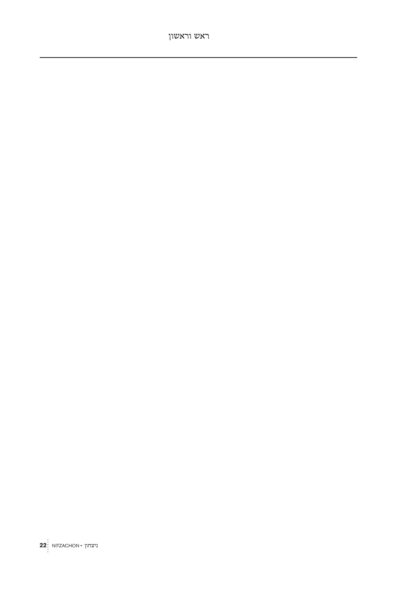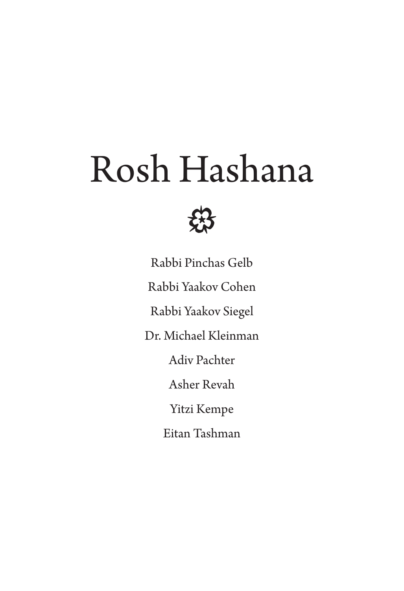# Rosh Hashana



Rabbi Pinchas Gelb Rabbi Yaakov Cohen Rabbi Yaakov Siegel Dr. Michael Kleinman Adiv Pachter Asher Revah Yitzi Kempe Eitan Tashman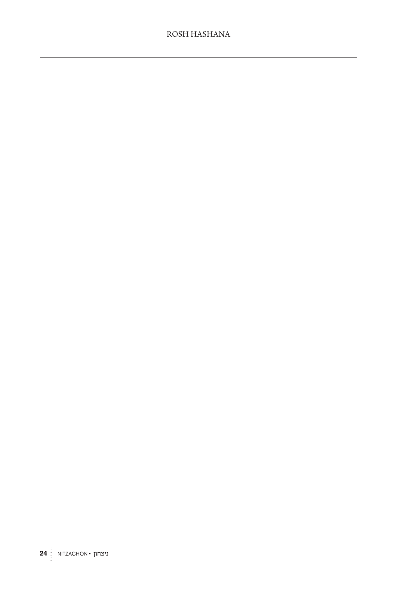### ROSH HASHANA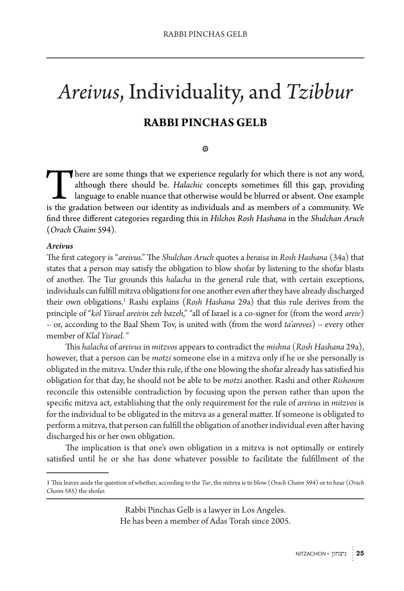# *Areivus*, Individuality, and *Tzibbur*

### **RABBI PINCHAS GELB**

#### •

There are some things that we experience regularly for which there is not any word, although there should be. *Halachic* concepts sometimes fill this gap, providing language to enable nuance that otherwise would be blurred or absent. One example is the gradation between our identity as individuals and as members of a community. We find three different categories regarding this in *Hilchos Rosh Hashana* in the *Shulchan Aruch* (*Orach Chaim* 594).

### *Areivus*

The first category is "*areivus*." The *Shulchan Aruch* quotes a *beraisa* in *Rosh Hashana* (34a) that states that a person may satisfy the obligation to blow shofar by listening to the shofar blasts of another. The Tur grounds this *halacha* in the general rule that, with certain exceptions, individuals can fulfill mitzva obligations for one another even after they have already discharged their own obligations.1 Rashi explains (*Rosh Hashana* 29a) that this rule derives from the principle of "*kol Yisrael areivin zeh bazeh*," "all of Israel is a co-signer for (from the word *areiv*) – or, according to the Baal Shem Tov, is united with (from the word *ta'aroves*) – every other member of *Klal Yisrael*. "

This *halacha* of *areivus* in *mitzvos* appears to contradict the *mishna* (*Rosh Hashana* 29a), however, that a person can be *motzi* someone else in a mitzva only if he or she personally is obligated in the mitzva. Under this rule, if the one blowing the shofar already has satisfied his obligation for that day, he should not be able to be *motzi* another. Rashi and other *Rishonim* reconcile this ostensible contradiction by focusing upon the person rather than upon the specific mitzva act, establishing that the only requirement for the rule of *areivus* in *mitzvos* is for the individual to be obligated in the mitzva as a general matter. If someone is obligated to perform a mitzva, that person can fulfill the obligation of another individual even after having discharged his or her own obligation.

The implication is that one's own obligation in a mitzva is not optimally or entirely satisfied until he or she has done whatever possible to facilitate the fulfillment of the

<sup>1</sup> This leaves aside the question of whether, according to the *Tur*, the mitzva is to blow (*Orach Chaim* 594) or to hear (*Orach Chaim* 585) the shofar.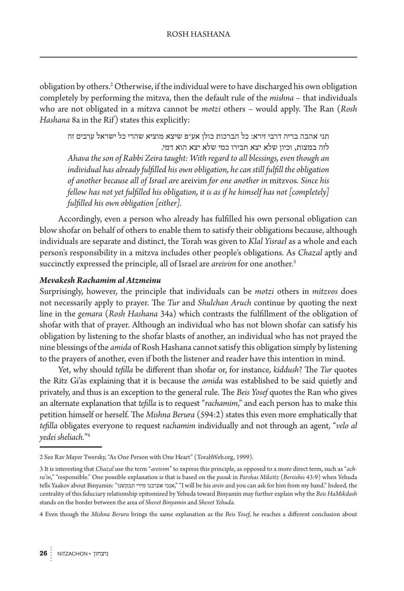obligation by others.2 Otherwise, if the individual were to have discharged his own obligation completely by performing the mitzva, then the default rule of the *mishna* – that individuals who are not obligated in a mitzva cannot be *motzi* others – would apply. The Ran (*Rosh Hashana* 8a in the Rif) states this explicitly:

תני אהבה בריה דרבי זירא: כל הברכות כולן אע״פ שיצא מוציא שהרי כל ישראל ערבים זה לזה במצות, וכיון שלא יצא חבירו כמי שלא יצא הוא דמי. *Ahava the son of Rabbi Zeira taught: With regard to all blessings, even though an individual has already fulfilled his own obligation, he can still fulfill the obligation of another because all of Israel are* areivim *for one another in* mitzvos*. Since his fellow has not yet fulfilled his obligation, it is as if he himself has not [completely] fulfilled his own obligation [either].*

Accordingly, even a person who already has fulfilled his own personal obligation can blow shofar on behalf of others to enable them to satisfy their obligations because, although individuals are separate and distinct, the Torah was given to *Klal Yisrael* as a whole and each person's responsibility in a mitzva includes other people's obligations. As *Chazal* aptly and succinctly expressed the principle, all of Israel are *areivim* for one another.<sup>3</sup>

### *Mevakesh Rachamim al Atzmeinu*

Surprisingly, however, the principle that individuals can be *motzi* others in *mitzvos* does not necessarily apply to prayer. The *Tur* and *Shulchan Aruch* continue by quoting the next line in the *gemara* (*Rosh Hashana* 34a) which contrasts the fulfillment of the obligation of shofar with that of prayer. Although an individual who has not blown shofar can satisfy his obligation by listening to the shofar blasts of another, an individual who has not prayed the nine blessings of the *amida* of Rosh Hashana cannot satisfy this obligation simply by listening to the prayers of another, even if both the listener and reader have this intention in mind.

Yet, why should *tefilla* be different than shofar or, for instance, *kiddush*? The *Tur* quotes the Ritz Gi'as explaining that it is because the *amida* was established to be said quietly and privately, and thus is an exception to the general rule. The *Beis Yosef* quotes the Ran who gives an alternate explanation that *tefilla* is to request "*rachamim*," and each person has to make this petition himself or herself. The *Mishna Berura* (594:2) states this even more emphatically that *tefilla* obligates everyone to request *rachamim* individually and not through an agent, "*velo al yedei sheliach.*"4

4 Even though the *Mishna Berura* brings the same explanation as the *Beis Yosef,* he reaches a different conclusion about

<sup>2</sup> See Rav Mayer Twersky, "As One Person with One Heart" (TorahWeb.org, 1999).

<sup>3</sup> It is interesting that *Chazal* use the term "*areivim*" to express this principle, as opposed to a more direct term, such as "*achra'in*," "responsible." One possible explanation is that is based on the *pasuk* in *Parshas Mikeitz* (*Bereishis* 43:9) when Yehuda tells Yaakov about Binyamin: "תבקשנו מידי אערבנו אנכי," "I will be his *areiv* and you can ask for him from my hand." Indeed, the centrality of this fiduciary relationship epitomized by Yehuda toward Binyamin may further explain why the *Beis HaMikdash*  stands on the border between the area of *Shevet Binyamin* and *Shevet Yehuda.*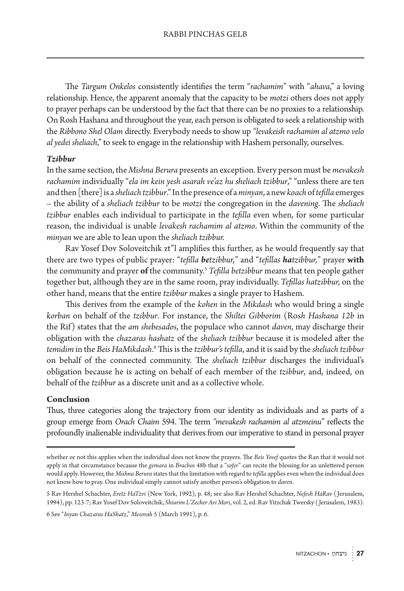The *Targum Onkelos* consistently identifies the term "*rachamim*" with "*ahava*," a loving relationship. Hence, the apparent anomaly that the capacity to be *motzi* others does not apply to prayer perhaps can be understood by the fact that there can be no proxies to a relationship. On Rosh Hashana and throughout the year, each person is obligated to seek a relationship with the *Ribbono Shel Olam* directly. Everybody needs to show up *"levakeish rachamim al atzmo velo al yedei sheliach*," to seek to engage in the relationship with Hashem personally, ourselves.

### *Tzibbur*

In the same section, the *Mishna Berura* presents an exception. Every person must be *mevakesh rachamim* individually "*ela im kein yesh asarah ve'az hu sheliach tzibbur*," "unless there are ten and then [there] is a *sheliach tzibbur*." In the presence of a *minyan*, a new *koach* of *tefilla* emerges – the ability of a *sheliach tzibbur* to be *motzi* the congregation in the *davening*. The *sheliach tzibbur* enables each individual to participate in the *tefilla* even when, for some particular reason, the individual is unable *levakesh rachamim al atzmo*. Within the community of the *minyan* we are able to lean upon the *sheliach tzibbur.*

Rav Yosef Dov Soloveitchik zt"l amplifies this further, as he would frequently say that there are two types of public prayer: "*tefilla betzibbur,*" and "*tefillas hatzibbur,*" prayer **with** the community and prayer **of** the community.5 *Tefilla betzibbur* means that ten people gather together but, although they are in the same room, pray individually. *Tefillas hatzibbur,* on the other hand, means that the entire *tzibbur* makes a single prayer to Hashem.

This derives from the example of the *kohen* in the *Mikdash* who would bring a single *korban* on behalf of the *tzibbur*. For instance, the *Shiltei Gibborim* (Ros*h Hashana 12b* in the Rif) states that the *am shebesados*, the populace who cannot *daven*, may discharge their obligation with the *chazaras hashatz* of the *sheliach tzibbur* because it is modeled after the *temidim* in the *Beis HaMikdash*. 6 This is the *tzibbur's tefilla*, and it is said by the *sheliach tzibbur* on behalf of the connected community. The *sheliach tzibbur* discharges the individual's obligation because he is acting on behalf of each member of the *tzibbur*, and, indeed, on behalf of the *tzibbur* as a discrete unit and as a collective whole.

### **Conclusion**

Thus, three categories along the trajectory from our identity as individuals and as parts of a group emerge from *Orach Chaim* 594. The term *"mevakesh rachamim al atzmeinu*" reflects the profoundly inalienable individuality that derives from our imperative to stand in personal prayer

whether or not this applies when the individual does not know the prayers. The *Beis Yosef* quotes the Ran that it would not apply in that circumstance because the *gemara* in *Brachos* 48b that a "*sofer*" can recite the blessing for an unlettered person would apply. However, the *Mishna Berura* states that the limitation with regard to *tefilla* applies even when the individual does not know how to pray. One individual simply cannot satisfy another person's obligation to *daven*.

<sup>5</sup> Rav Hershel Schachter, *Eretz HaTzvi* (New York, 1992), p. 48; see also Rav Hershel Schachter, *Nefesh HaRav* ( Jerusalem, 1994), pp. 123-7; Rav Yosef Dov Soloveitchik, *Shiurim L'Zecher Avi Mori*, vol. 2, ed. Rav Yitzchak Twersky ( Jerusalem, 1983).

<sup>6</sup> See "*Inyan Chazaras HaShatz*," *Mesorah* 5 (March 1991), p. 6.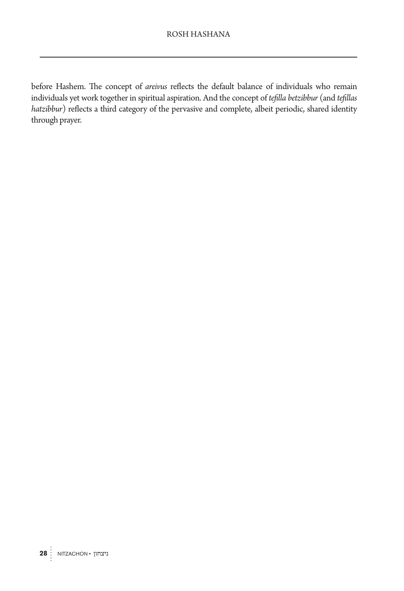before Hashem. The concept of *areivus* reflects the default balance of individuals who remain individuals yet work together in spiritual aspiration. And the concept of *tefilla betzibbur* (and *tefillas hatzibbur*) reflects a third category of the pervasive and complete, albeit periodic, shared identity through prayer.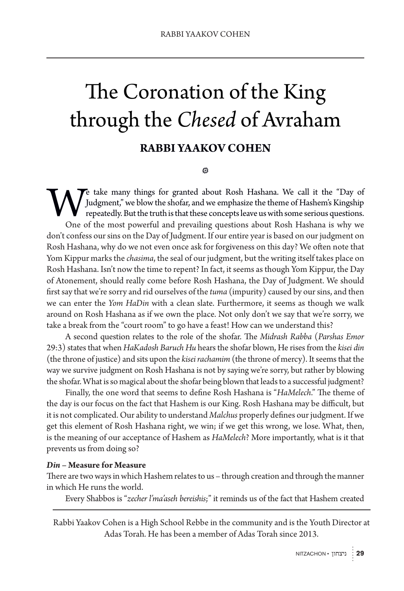# The Coronation of the King through the *Chesed* of Avraham **RABBI YAAKOV COHEN**

•

We take many things for granted about Rosh Hashana. We call it the "Day of Judgment," we blow the shofar, and we emphasize the theme of Hashem's Kingship repeatedly. But the truth is that these concepts leave us with some serious questions. One of the most powerful and prevailing questions about Rosh Hashana is why we don't confess our sins on the Day of Judgment. If our entire year is based on our judgment on Rosh Hashana, why do we not even once ask for forgiveness on this day? We often note that Yom Kippur marks the *chasima*, the seal of our judgment, but the writing itself takes place on Rosh Hashana. Isn't now the time to repent? In fact, it seems as though Yom Kippur, the Day of Atonement, should really come before Rosh Hashana, the Day of Judgment. We should first say that we're sorry and rid ourselves of the *tuma* (impurity) caused by our sins, and then we can enter the *Yom HaDin* with a clean slate. Furthermore, it seems as though we walk around on Rosh Hashana as if we own the place. Not only don't we say that we're sorry, we take a break from the "court room" to go have a feast! How can we understand this?

A second question relates to the role of the shofar. The *Midrash Rabba* (*Parshas Emor* 29:3) states that when *HaKadosh Baruch Hu* hears the shofar blown, He rises from the *kisei din* (the throne of justice) and sits upon the *kisei rachamim* (the throne of mercy). It seems that the way we survive judgment on Rosh Hashana is not by saying we're sorry, but rather by blowing the shofar. What is so magical about the shofar being blown that leads to a successful judgment?

Finally, the one word that seems to define Rosh Hashana is "*HaMelech*." The theme of the day is our focus on the fact that Hashem is our King. Rosh Hashana may be difficult, but it is not complicated. Our ability to understand *Malchus* properly defines our judgment. If we get this element of Rosh Hashana right, we win; if we get this wrong, we lose. What, then, is the meaning of our acceptance of Hashem as *HaMelech*? More importantly, what is it that prevents us from doing so?

### *Din* **– Measure for Measure**

There are two ways in which Hashem relates to us – through creation and through the manner in which He runs the world.

Every Shabbos is "*zecher l'ma'aseh bereishis*;" it reminds us of the fact that Hashem created

Rabbi Yaakov Cohen is a High School Rebbe in the community and is the Youth Director at Adas Torah. He has been a member of Adas Torah since 2013.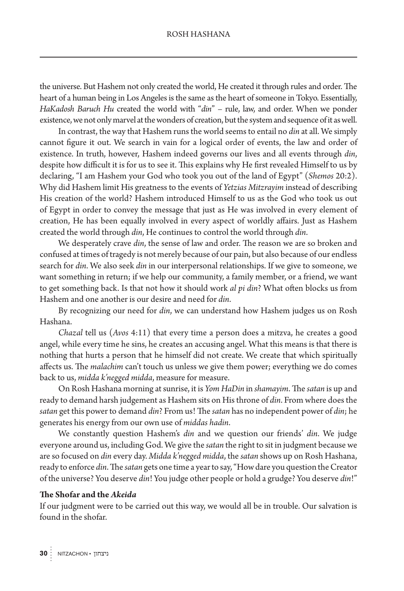the universe. But Hashem not only created the world, He created it through rules and order. The heart of a human being in Los Angeles is the same as the heart of someone in Tokyo. Essentially, *HaKadosh Baruch Hu* created the world with "*din*" – rule, law, and order. When we ponder existence, we not only marvel at the wonders of creation, but the system and sequence of it as well.

In contrast, the way that Hashem runs the world seems to entail no *din* at all. We simply cannot figure it out. We search in vain for a logical order of events, the law and order of existence. In truth, however, Hashem indeed governs our lives and all events through *din*, despite how difficult it is for us to see it. This explains why He first revealed Himself to us by declaring, "I am Hashem your God who took you out of the land of Egypt" (*Shemos* 20:2). Why did Hashem limit His greatness to the events of *Yetzias Mitzrayim* instead of describing His creation of the world? Hashem introduced Himself to us as the God who took us out of Egypt in order to convey the message that just as He was involved in every element of creation, He has been equally involved in every aspect of worldly affairs. Just as Hashem created the world through *din*, He continues to control the world through *din*.

We desperately crave *din*, the sense of law and order. The reason we are so broken and confused at times of tragedy is not merely because of our pain, but also because of our endless search for *din*. We also seek *din* in our interpersonal relationships. If we give to someone, we want something in return; if we help our community, a family member, or a friend, we want to get something back. Is that not how it should work *al pi din*? What often blocks us from Hashem and one another is our desire and need for *din*.

By recognizing our need for *din*, we can understand how Hashem judges us on Rosh Hashana.

*Chazal* tell us (*Avos* 4:11) that every time a person does a mitzva, he creates a good angel, while every time he sins, he creates an accusing angel. What this means is that there is nothing that hurts a person that he himself did not create. We create that which spiritually affects us. The *malachim* can't touch us unless we give them power; everything we do comes back to us, *midda k'negged midda*, measure for measure.

On Rosh Hashana morning at sunrise, it is *Yom HaDin* in *shamayim*. The *satan* is up and ready to demand harsh judgement as Hashem sits on His throne of *din*. From where does the *satan* get this power to demand *din*? From us! The *satan* has no independent power of *din*; he generates his energy from our own use of *middas hadin*.

We constantly question Hashem's *din* and we question our friends' *din*. We judge everyone around us, including God. We give the *satan* the right to sit in judgment because we are so focused on *din* every day. *Midda k'negged midda*, the *satan* shows up on Rosh Hashana, ready to enforce *din*. The *satan* gets one time a year to say, "How dare you question the Creator of the universe? You deserve *din*! You judge other people or hold a grudge? You deserve *din*!"

### **The Shofar and the** *Akeida*

If our judgment were to be carried out this way, we would all be in trouble. Our salvation is found in the shofar.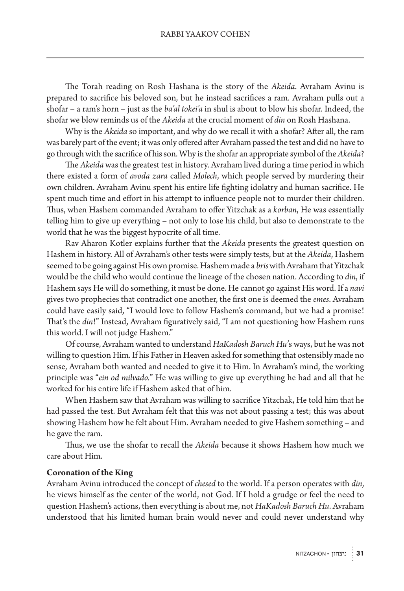The Torah reading on Rosh Hashana is the story of the *Akeida*. Avraham Avinu is prepared to sacrifice his beloved son, but he instead sacrifices a ram. Avraham pulls out a shofar – a ram's horn – just as the *ba'al tokei'a* in shul is about to blow his shofar. Indeed, the shofar we blow reminds us of the *Akeida* at the crucial moment of *din* on Rosh Hashana.

Why is the *Akeida* so important, and why do we recall it with a shofar? After all, the ram was barely part of the event; it was only offered after Avraham passed the test and did no have to go through with the sacrifice of his son. Why is the shofar an appropriate symbol of the *Akeida*?

The *Akeida* was the greatest test in history. Avraham lived during a time period in which there existed a form of *avoda zara* called *Molech*, which people served by murdering their own children. Avraham Avinu spent his entire life fighting idolatry and human sacrifice. He spent much time and effort in his attempt to influence people not to murder their children. Thus, when Hashem commanded Avraham to offer Yitzchak as a *korban*, He was essentially telling him to give up everything – not only to lose his child, but also to demonstrate to the world that he was the biggest hypocrite of all time.

Rav Aharon Kotler explains further that the *Akeida* presents the greatest question on Hashem in history. All of Avraham's other tests were simply tests, but at the *Akeida*, Hashem seemed to be going against His own promise. Hashem made a *bris* with Avraham that Yitzchak would be the child who would continue the lineage of the chosen nation. According to *din*, if Hashem says He will do something, it must be done. He cannot go against His word. If a *navi* gives two prophecies that contradict one another, the first one is deemed the *emes*. Avraham could have easily said, "I would love to follow Hashem's command, but we had a promise! That's the *din*!" Instead, Avraham figuratively said, "I am not questioning how Hashem runs this world. I will not judge Hashem."

Of course, Avraham wanted to understand *HaKadosh Baruch Hu'*s ways, but he was not willing to question Him. If his Father in Heaven asked for something that ostensibly made no sense, Avraham both wanted and needed to give it to Him. In Avraham's mind, the working principle was "*ein od milvado.*" He was willing to give up everything he had and all that he worked for his entire life if Hashem asked that of him.

When Hashem saw that Avraham was willing to sacrifice Yitzchak, He told him that he had passed the test. But Avraham felt that this was not about passing a test; this was about showing Hashem how he felt about Him. Avraham needed to give Hashem something – and he gave the ram.

Thus, we use the shofar to recall the *Akeida* because it shows Hashem how much we care about Him.

#### **Coronation of the King**

Avraham Avinu introduced the concept of *chesed* to the world. If a person operates with *din*, he views himself as the center of the world, not God. If I hold a grudge or feel the need to question Hashem's actions, then everything is about me, not *HaKadosh Baruch Hu*. Avraham understood that his limited human brain would never and could never understand why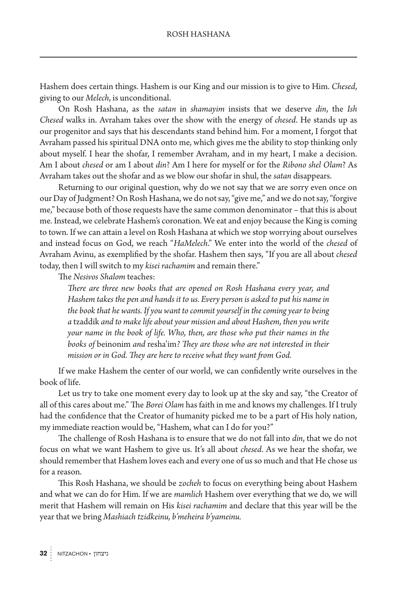Hashem does certain things. Hashem is our King and our mission is to give to Him. *Chesed*, giving to our *Melech*, is unconditional.

On Rosh Hashana, as the *satan* in *shamayim* insists that we deserve *din*, the *Ish Chesed* walks in. Avraham takes over the show with the energy of *chesed*. He stands up as our progenitor and says that his descendants stand behind him. For a moment, I forgot that Avraham passed his spiritual DNA onto me, which gives me the ability to stop thinking only about myself. I hear the shofar, I remember Avraham, and in my heart, I make a decision. Am I about *chesed* or am I about *din*? Am I here for myself or for the *Ribono shel Olam*? As Avraham takes out the shofar and as we blow our shofar in shul, the *satan* disappears.

Returning to our original question, why do we not say that we are sorry even once on our Day of Judgment? On Rosh Hashana, we do not say, "give me," and we do not say, "forgive me," because both of those requests have the same common denominator – that this is about me. Instead, we celebrate Hashem's coronation. We eat and enjoy because the King is coming to town. If we can attain a level on Rosh Hashana at which we stop worrying about ourselves and instead focus on God, we reach "*HaMelech*." We enter into the world of the *chesed* of Avraham Avinu, as exemplified by the shofar. Hashem then says, "If you are all about *chesed* today, then I will switch to my *kisei rachamim* and remain there."

The *Nesivos Shalom* teaches:

*There are three new books that are opened on Rosh Hashana every year, and Hashem takes the pen and hands it to us. Every person is asked to put his name in the book that he wants. If you want to commit yourself in the coming year to being a* tzaddik *and to make life about your mission and about Hashem, then you write your name in the book of life. Who, then, are those who put their names in the books of* beinonim *and* resha'im*? They are those who are not interested in their mission or in God. They are here to receive what they want from God.* 

If we make Hashem the center of our world, we can confidently write ourselves in the book of life.

Let us try to take one moment every day to look up at the sky and say, "the Creator of all of this cares about me." The *Borei Olam* has faith in me and knows my challenges. If I truly had the confidence that the Creator of humanity picked me to be a part of His holy nation, my immediate reaction would be, "Hashem, what can I do for you?"

The challenge of Rosh Hashana is to ensure that we do not fall into *din*, that we do not focus on what we want Hashem to give us. It's all about *chesed*. As we hear the shofar, we should remember that Hashem loves each and every one of us so much and that He chose us for a reason.

This Rosh Hashana, we should be *zocheh* to focus on everything being about Hashem and what we can do for Him. If we are *mamlich* Hashem over everything that we do, we will merit that Hashem will remain on His *kisei rachamim* and declare that this year will be the year that we bring *Mashiach tzidkeinu, b'meheira b'yameinu.*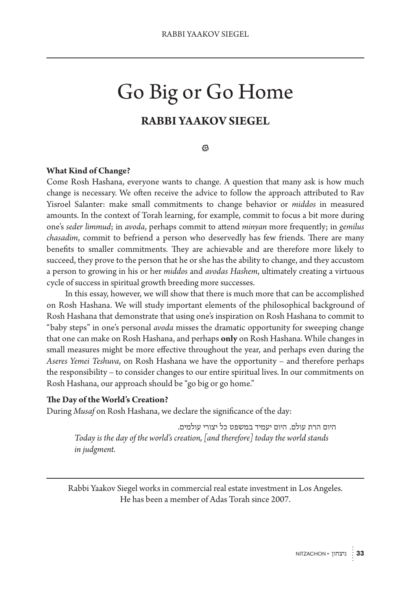# Go Big or Go Home

### **RABBI YAAKOV SIEGEL**

ස

### **What Kind of Change?**

Come Rosh Hashana, everyone wants to change. A question that many ask is how much change is necessary. We often receive the advice to follow the approach attributed to Rav Yisroel Salanter: make small commitments to change behavior or *middos* in measured amounts. In the context of Torah learning, for example, commit to focus a bit more during one's *seder limmud*; in *avoda*, perhaps commit to attend *minyan* more frequently; in *gemilus chasadim*, commit to befriend a person who deservedly has few friends. There are many benefits to smaller commitments. They are achievable and are therefore more likely to succeed, they prove to the person that he or she has the ability to change, and they accustom a person to growing in his or her *middos* and *avodas Hashem*, ultimately creating a virtuous cycle of success in spiritual growth breeding more successes.

In this essay, however, we will show that there is much more that can be accomplished on Rosh Hashana. We will study important elements of the philosophical background of Rosh Hashana that demonstrate that using one's inspiration on Rosh Hashana to commit to "baby steps" in one's personal *avoda* misses the dramatic opportunity for sweeping change that one can make on Rosh Hashana, and perhaps **only** on Rosh Hashana. While changes in small measures might be more effective throughout the year, and perhaps even during the *Aseres Yemei Teshuva*, on Rosh Hashana we have the opportunity – and therefore perhaps the responsibility – to consider changes to our entire spiritual lives. In our commitments on Rosh Hashana, our approach should be "go big or go home."

### **The Day of the World's Creation?**

During *Musaf* on Rosh Hashana, we declare the significance of the day:

היום הרת עולם. היום יעמיד במשפט כל יצורי עולמים. *Today is the day of the world's creation, [and therefore] today the world stands in judgment.*

Rabbi Yaakov Siegel works in commercial real estate investment in Los Angeles. He has been a member of Adas Torah since 2007.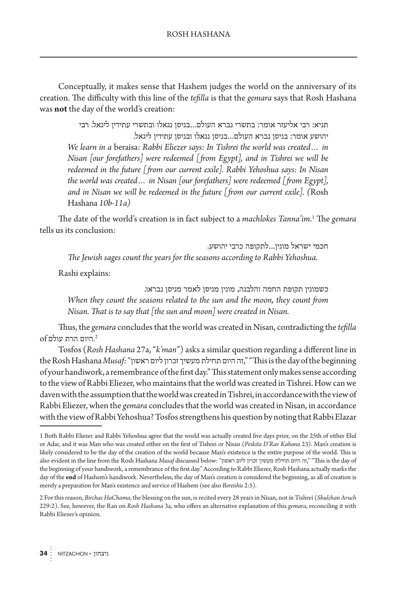Conceptually, it makes sense that Hashem judges the world on the anniversary of its creation. The difficulty with this line of the *tefilla* is that the *gemara* says that Rosh Hashana was **not** the day of the world's creation:

תניא: רבי אליעזר אומר: בתשרי נברא העולם...בניסן נגאלו ובתשרי עתידין ליגאל. רבי יהושע אומר: בניסן נברא העולם...בניסן נגאלו ובניסן עתידין ליגאל. *We learn in a* beraisa*: Rabbi Eliezer says: In Tishrei the world was created… in Nisan [our forefathers] were redeemed [from Egypt], and in Tishrei we will be redeemed in the future [from our current exile]. Rabbi Yehoshua says: In Nisan the world was created… in Nisan [our forefathers] were redeemed [from Egypt], and in Nisan we will be redeemed in the future [from our current exile]. (*Rosh Hashana *10b-11a)*

The date of the world's creation is in fact subject to a *machlokes Tanna'im*. 1 The *gemara* tells us its conclusion:

חכמי ישראל מונין...לתקופה כרבי יהושע. *The Jewish sages count the years for the seasons according to Rabbi Yehoshua.*

Rashi explains:

כשמונין תקופת החמה והלבנה, מונין מניסן לאמר מניסן נבראו. *When they count the seasons related to the sun and the moon, they count from Nisan. That is to say that [the sun and moon] were created in Nisan.*

Thus, the *gemara* concludes that the world was created in Nisan, contradicting the *tefilla*  $\rm of$ היום הרת עולם. $^2$ 

Tosfos (*Rosh Hashana* 27a, "*k'man*") asks a similar question regarding a different line in the Rosh Hashana *Musaf*: "ראשון ליום זכרון מעשיך תחילת היום זה," "This is the day of the beginning of your handiwork, a remembrance of the first day." This statement only makes sense according to the view of Rabbi Eliezer, who maintains that the world was created in Tishrei. How can we daven with the assumption that the world was created in Tishrei, in accordance with the view of Rabbi Eliezer, when the *gemara* concludes that the world was created in Nisan, in accordance with the view of Rabbi Yehoshua? Tosfos strengthens his question by noting that Rabbi Elazar

<sup>1</sup> Both Rabbi Eliezer and Rabbi Yehoshua agree that the world was actually created five days prior, on the 25th of either Elul or Adar, and it was Man who was created either on the first of Tishrei or Nisan (*Peskita D'Rav Kahana* 23). Man's creation is likely considered to be the day of the creation of the world because Man's existence is the entire purpose of the world. This is also evident in the line from the Rosh Hashana *Musaf* discussed below: "ראשון ליום זכרון מעשיך תחילת היום זה," "This is the day of the beginning of your handiwork, a remembrance of the first day." According to Rabbi Eliezer, Rosh Hashana actually marks the day of the **end** of Hashem's handiwork. Nevertheless, the day of Man's creation is considered the beginning, as all of creation is merely a preparation for Man's existence and service of Hashem (see also *Bereishis* 2:5).

<sup>2</sup> For this reason, *Birchas HaChama*, the blessing on the sun, is recited every 28 years in Nisan, not in Tishrei (*Shulchan Aruch* 229:2). See, however, the Ran on *Rosh Hashana* 3a, who offers an alternative explanation of this *gemara*, reconciling it with Rabbi Eliezer's opinion.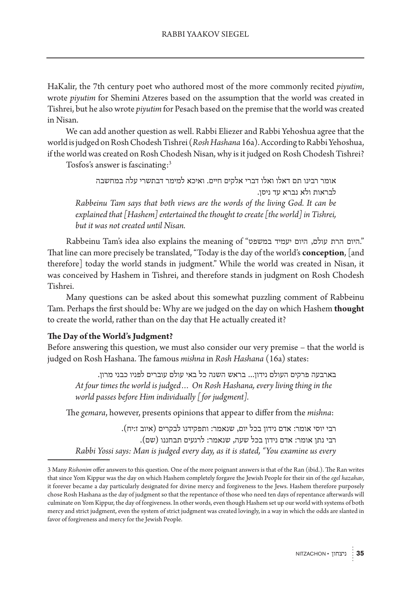HaKalir, the 7th century poet who authored most of the more commonly recited *piyutim*, wrote *piyutim* for Shemini Atzeres based on the assumption that the world was created in Tishrei, but he also wrote *piyutim* for Pesach based on the premise that the world was created in Nisan.

We can add another question as well. Rabbi Eliezer and Rabbi Yehoshua agree that the world is judged on Rosh Chodesh Tishrei (*Rosh Hashana* 16a). According to Rabbi Yehoshua, if the world was created on Rosh Chodesh Nisan, why is it judged on Rosh Chodesh Tishrei?

Tosfos's answer is fascinating:3

אומר רבינו תם דאלו ואלו דברי אלקים חיים. ואיכא למימר דבתשרי עלה במחשבה לבראות ולא נברא עד ניסן. *Rabbeinu Tam says that both views are the words of the living God. It can be explained that [Hashem] entertained the thought to create [the world] in Tishrei, but it was not created until Nisan.* 

Rabbeinu Tam's idea also explains the meaning of "היום הרת עולם, היום יעמיד במשפט". That line can more precisely be translated, "Today is the day of the world's **conception**, [and therefore] today the world stands in judgment." While the world was created in Nisan, it was conceived by Hashem in Tishrei, and therefore stands in judgment on Rosh Chodesh Tishrei.

Many questions can be asked about this somewhat puzzling comment of Rabbeinu Tam. Perhaps the first should be: Why are we judged on the day on which Hashem **thought** to create the world, rather than on the day that He actually created it?

### **The Day of the World's Judgment?**

Before answering this question, we must also consider our very premise – that the world is judged on Rosh Hashana. The famous *mishna* in *Rosh Hashana* (16a) states:

בארבעה פרקים העולם נידון... בראש השנה כל באי עולם עוברים לפניו כבני מרון. *At four times the world is judged… On Rosh Hashana, every living thing in the world passes before Him individually [for judgment].*

The *gemara*, however, presents opinions that appear to differ from the *mishna*:

רבי יוסי אומר: אדם נידון בכל יום, שנאמר: ותפקידנו לבקרים )איוב ז:יח(. רבי נתן אומר: אדם נידון בכל שעה, שנאמר: לרגעים תבחננו (שם). *Rabbi Yossi says: Man is judged every day, as it is stated, "You examine us every* 

<sup>3</sup> Many *Rishonim* offer answers to this question. One of the more poignant answers is that of the Ran (ibid.). The Ran writes that since Yom Kippur was the day on which Hashem completely forgave the Jewish People for their sin of the *egel hazahav*, it forever became a day particularly designated for divine mercy and forgiveness to the Jews. Hashem therefore purposely chose Rosh Hashana as the day of judgment so that the repentance of those who need ten days of repentance afterwards will culminate on Yom Kippur, the day of forgiveness. In other words, even though Hashem set up our world with systems of both mercy and strict judgment, even the system of strict judgment was created lovingly, in a way in which the odds are slanted in favor of forgiveness and mercy for the Jewish People.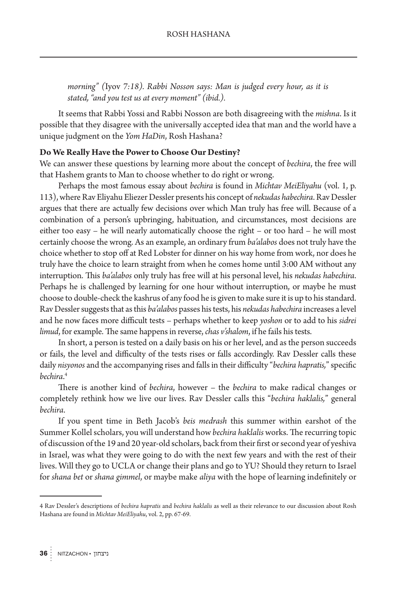*morning" (*Iyov *7:18). Rabbi Nosson says: Man is judged every hour, as it is stated, "and you test us at every moment" (ibid.).*

It seems that Rabbi Yossi and Rabbi Nosson are both disagreeing with the *mishna*. Is it possible that they disagree with the universally accepted idea that man and the world have a unique judgment on the *Yom HaDin*, Rosh Hashana?

### **Do We Really Have the Power to Choose Our Destiny?**

We can answer these questions by learning more about the concept of *bechira*, the free will that Hashem grants to Man to choose whether to do right or wrong.

Perhaps the most famous essay about *bechira* is found in *Michtav MeiEliyahu* (vol. 1, p. 113), where Rav Eliyahu Eliezer Dessler presents his concept of *nekudas habechira*. Rav Dessler argues that there are actually few decisions over which Man truly has free will. Because of a combination of a person's upbringing, habituation, and circumstances, most decisions are either too easy – he will nearly automatically choose the right – or too hard – he will most certainly choose the wrong. As an example, an ordinary frum *ba'alabos* does not truly have the choice whether to stop off at Red Lobster for dinner on his way home from work, nor does he truly have the choice to learn straight from when he comes home until 3:00 AM without any interruption. This *ba'alabos* only truly has free will at his personal level, his *nekudas habechira*. Perhaps he is challenged by learning for one hour without interruption, or maybe he must choose to double-check the kashrus of any food he is given to make sure it is up to his standard. Rav Dessler suggests that as this *ba'alabos* passes his tests, his *nekudas habechira* increases a level and he now faces more difficult tests – perhaps whether to keep *yoshon* or to add to his *sidrei limud*, for example. The same happens in reverse, *chas v'shalom*, if he fails his tests.

In short, a person is tested on a daily basis on his or her level, and as the person succeeds or fails, the level and difficulty of the tests rises or falls accordingly. Rav Dessler calls these daily *nisyonos* and the accompanying rises and falls in their difficulty "*bechira hapratis,*" specific *bechira*. 4

There is another kind of *bechira*, however – the *bechira* to make radical changes or completely rethink how we live our lives. Rav Dessler calls this "*bechira haklalis,*" general *bechira*.

If you spent time in Beth Jacob's *beis medrash* this summer within earshot of the Summer Kollel scholars, you will understand how *bechira haklalis* works. The recurring topic of discussion of the 19 and 20 year-old scholars, back from their first or second year of yeshiva in Israel, was what they were going to do with the next few years and with the rest of their lives. Will they go to UCLA or change their plans and go to YU? Should they return to Israel for *shana bet* or *shana gimmel*, or maybe make *aliya* with the hope of learning indefinitely or

<sup>4</sup> Rav Dessler's descriptions of *bechira hapratis* and *bechira haklalis* as well as their relevance to our discussion about Rosh Hashana are found in *Michtav MeiEliyahu*, vol. 2, pp. 67-69.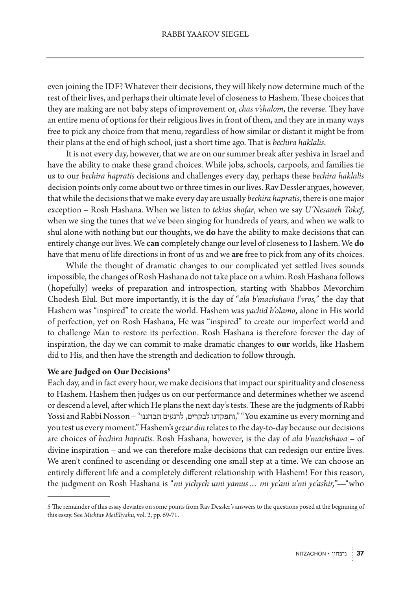even joining the IDF? Whatever their decisions, they will likely now determine much of the rest of their lives, and perhaps their ultimate level of closeness to Hashem. These choices that they are making are not baby steps of improvement or, *chas v'shalom*, the reverse. They have an entire menu of options for their religious lives in front of them, and they are in many ways free to pick any choice from that menu, regardless of how similar or distant it might be from their plans at the end of high school, just a short time ago. That is *bechira haklalis*.

It is not every day, however, that we are on our summer break after yeshiva in Israel and have the ability to make these grand choices. While jobs, schools, carpools, and families tie us to our *bechira hapratis* decisions and challenges every day, perhaps these *bechira haklalis*  decision points only come about two or three times in our lives. Rav Dessler argues, however, that while the decisions that we make every day are usually *bechira hapratis*, there is one major exception – Rosh Hashana. When we listen to *tekias shofar*, when we say *U'Nesaneh Tokef*, when we sing the tunes that we've been singing for hundreds of years, and when we walk to shul alone with nothing but our thoughts, we **do** have the ability to make decisions that can entirely change our lives. We **can** completely change our level of closeness to Hashem. We **do** have that menu of life directions in front of us and we **are** free to pick from any of its choices.

While the thought of dramatic changes to our complicated yet settled lives sounds impossible, the changes of Rosh Hashana do not take place on a whim. Rosh Hashana follows (hopefully) weeks of preparation and introspection, starting with Shabbos Mevorchim Chodesh Elul. But more importantly, it is the day of "*ala b'machshava l'vros,*" the day that Hashem was "inspired" to create the world. Hashem was *yachid b'olamo*, alone in His world of perfection, yet on Rosh Hashana, He was "inspired" to create our imperfect world and to challenge Man to restore its perfection. Rosh Hashana is therefore forever the day of inspiration, the day we can commit to make dramatic changes to **our** worlds, like Hashem did to His, and then have the strength and dedication to follow through.

#### We are Judged on Our Decisions<sup>5</sup>

Each day, and in fact every hour, we make decisions that impact our spirituality and closeness to Hashem. Hashem then judges us on our performance and determines whether we ascend or descend a level, after which He plans the next day's tests. These are the judgments of Rabbi Yossi and Rabbi Nosson – "תבחננו לרגעים ,לבקרים ותפקדנו," "You examine us every morning and you test us every moment." Hashem's *gezar din* relates to the day-to-day because our decisions are choices of *bechira hapratis*. Rosh Hashana, however, is the day of *ala b'machshava* – of divine inspiration – and we can therefore make decisions that can redesign our entire lives. We aren't confined to ascending or descending one small step at a time. We can choose an entirely different life and a completely different relationship with Hashem! For this reason, the judgment on Rosh Hashana is "*mi yichyeh umi yamus*… *mi ye'ani u'mi ye'ashir,*"—"who

<sup>5</sup> The remainder of this essay deviates on some points from Rav Dessler's answers to the questions posed at the beginning of this essay. See *Michtav MeiEliyahu*, vol. 2, pp. 69-71.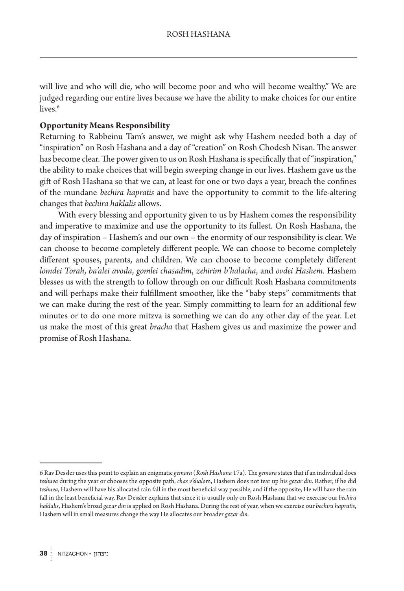will live and who will die, who will become poor and who will become wealthy." We are judged regarding our entire lives because we have the ability to make choices for our entire lives $6$ 

#### **Opportunity Means Responsibility**

Returning to Rabbeinu Tam's answer, we might ask why Hashem needed both a day of "inspiration" on Rosh Hashana and a day of "creation" on Rosh Chodesh Nisan. The answer has become clear. The power given to us on Rosh Hashana is specifically that of "inspiration," the ability to make choices that will begin sweeping change in our lives. Hashem gave us the gift of Rosh Hashana so that we can, at least for one or two days a year, breach the confines of the mundane *bechira hapratis* and have the opportunity to commit to the life-altering changes that *bechira haklalis* allows.

With every blessing and opportunity given to us by Hashem comes the responsibility and imperative to maximize and use the opportunity to its fullest. On Rosh Hashana, the day of inspiration – Hashem's and our own – the enormity of our responsibility is clear. We can choose to become completely different people. We can choose to become completely different spouses, parents, and children. We can choose to become completely different *lomdei Torah*, *ba'alei avoda*, *gomlei chasadim*, *zehirim b'halacha*, and *ovdei Hashem.* Hashem blesses us with the strength to follow through on our difficult Rosh Hashana commitments and will perhaps make their fulfillment smoother, like the "baby steps" commitments that we can make during the rest of the year. Simply committing to learn for an additional few minutes or to do one more mitzva is something we can do any other day of the year. Let us make the most of this great *bracha* that Hashem gives us and maximize the power and promise of Rosh Hashana.

<sup>6</sup> Rav Dessler uses this point to explain an enigmatic *gemara* (*Rosh Hashana* 17a). The *gemara* states that if an individual does *teshuva* during the year or chooses the opposite path, *chas v'shalo*m, Hashem does not tear up his *gezar din*. Rather, if he did *teshuva*, Hashem will have his allocated rain fall in the most beneficial way possible, and if the opposite, He will have the rain fall in the least beneficial way. Rav Dessler explains that since it is usually only on Rosh Hashana that we exercise our *bechira haklalis*, Hashem's broad *gezar din* is applied on Rosh Hashana. During the rest of year, when we exercise our *bechira hapratis*, Hashem will in small measures change the way He allocates our broader *gezar din.*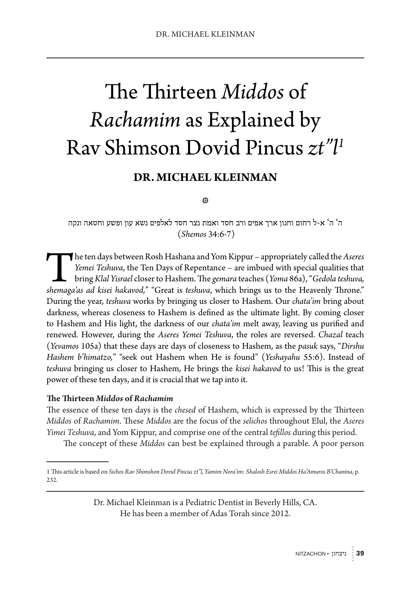## The Thirteen *Middos* of *Rachamim* as Explained by Rav Shimson Dovid Pincus *zt"l1*

#### **DR. MICHAEL KLEINMAN**

€}

ה' ה' א-ל רחום וחנון ארך אפים ורב חסד ואמת נצר חסד לאלפים נשא עון ופשע וחטאה ונקה (*Shemos* 34:6-7)

The ten days between Rosh Hashana and Yom Kippur – appropriately called the *Aseres Yemei Teshuva*, the Ten Days of Repentance – are imbued with special qualities that bring Klal Yisrael closer to Hashem. The *gemara* te *Yemei Teshuva*, the Ten Days of Repentance – are imbued with special qualities that bring *Klal Yisrael* closer to Hashem. The *gemara* teaches (*Yoma* 86a), "*Gedola teshuva, shemaga'as ad kisei hakavod,*" "Great is *teshuva*, which brings us to the Heavenly Throne." During the year, *teshuva* works by bringing us closer to Hashem. Our *chata'im* bring about darkness, whereas closeness to Hashem is defined as the ultimate light. By coming closer to Hashem and His light, the darkness of our *chata'im* melt away, leaving us purified and renewed. However, during the *Aseres Yemei Teshuva*, the roles are reversed. *Chazal* teach (*Yevamos* 105a) that these days are days of closeness to Hashem, as the *pasuk* says, "*Dirshu Hashem b'himatzo,*" "seek out Hashem when He is found" (*Yeshayahu* 55:6). Instead of *teshuva* bringing us closer to Hashem, He brings the *kisei hakavod* to us! This is the great power of these ten days, and it is crucial that we tap into it.

#### **The Thirteen** *Middos* **of** *Rachamim*

The essence of these ten days is the *chesed* of Hashem, which is expressed by the Thirteen *Middos* of *Rachamim*. These *Middos* are the focus of the *selichos* throughout Elul, the *Aseres Yimei Teshuva*, and Yom Kippur, and comprise one of the central *tefillos* during this period.

The concept of these *Middos* can best be explained through a parable. A poor person

Dr. Michael Kleinman is a Pediatric Dentist in Beverly Hills, CA. He has been a member of Adas Torah since 2012.

<sup>1</sup> This article is based on *Sichos Rav Shimshon Dovid Pincus zt"l, Yamim Nora'im: Shalosh Esrei Middos Ha'Amuros B'Chanina*, p. 232.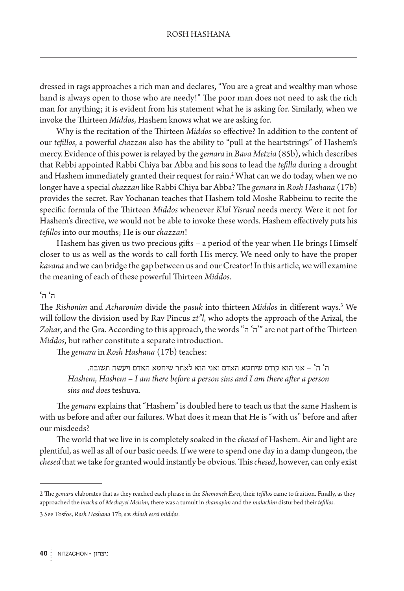dressed in rags approaches a rich man and declares, "You are a great and wealthy man whose hand is always open to those who are needy!" The poor man does not need to ask the rich man for anything; it is evident from his statement what he is asking for. Similarly, when we invoke the Thirteen *Middos*, Hashem knows what we are asking for.

Why is the recitation of the Thirteen *Middos* so effective? In addition to the content of our *tefillos*, a powerful *chazzan* also has the ability to "pull at the heartstrings" of Hashem's mercy. Evidence of this power is relayed by the *gemara* in *Bava Metzia* (85b), which describes that Rebbi appointed Rabbi Chiya bar Abba and his sons to lead the *tefilla* during a drought and Hashem immediately granted their request for rain.<sup>2</sup> What can we do today, when we no longer have a special *chazzan* like Rabbi Chiya bar Abba? The *gemara* in *Rosh Hashana* (17b) provides the secret. Rav Yochanan teaches that Hashem told Moshe Rabbeinu to recite the specific formula of the Thirteen *Middos* whenever *Klal Yisrael* needs mercy. Were it not for Hashem's directive, we would not be able to invoke these words. Hashem effectively puts his *tefillos* into our mouths; He is our *chazzan*!

Hashem has given us two precious gifts – a period of the year when He brings Himself closer to us as well as the words to call forth His mercy. We need only to have the proper *kavana* and we can bridge the gap between us and our Creator! In this article, we will examine the meaning of each of these powerful Thirteen *Middos*.

#### **ה' ה'**

The *Rishonim* and *Acharonim* divide the *pasuk* into thirteen *Middos* in different ways.3 We will follow the division used by Rav Pincus *zt"l*, who adopts the approach of the Arizal, the *Zohar*, and the Gra. According to this approach, the words "ה' ה "'are not part of the Thirteen *Middos*, but rather constitute a separate introduction.

The *gemara* in *Rosh Hashana* (17b) teaches:

ה' ה' – אני הוא קודם שיחטא האדם ואני הוא לאחר שיחטא האדם ויעשה תשובה. *Hashem, Hashem – I am there before a person sins and I am there after a person sins and does* teshuva*.*

The *gemara* explains that "Hashem" is doubled here to teach us that the same Hashem is with us before and after our failures. What does it mean that He is "with us" before and after our misdeeds?

The world that we live in is completely soaked in the *chesed* of Hashem. Air and light are plentiful, as well as all of our basic needs. If we were to spend one day in a damp dungeon, the *chesed* that we take for granted would instantly be obvious. This *chesed*, however, can only exist

<sup>2</sup> The *gemara* elaborates that as they reached each phrase in the *Shemoneh Esrei*, their *tefillos* came to fruition. Finally, as they approached the *bracha* of *Mechayei Meisim*, there was a tumult in *shamayim* and the *malachim* disturbed their *tefillos*.

<sup>3</sup> See Tosfos, *Rosh Hashana* 17b, s.v. *shlosh esrei middos.*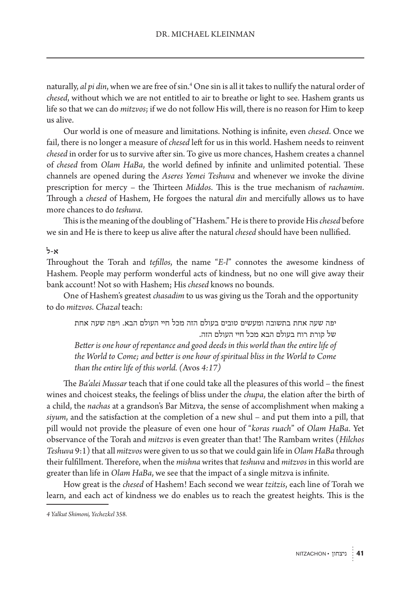naturally, *al pi din*, when we are free of sin.4 One sin is all it takes to nullify the natural order of *chesed*, without which we are not entitled to air to breathe or light to see. Hashem grants us life so that we can do *mitzvos*; if we do not follow His will, there is no reason for Him to keep us alive.

Our world is one of measure and limitations. Nothing is infinite, even *chesed*. Once we fail, there is no longer a measure of *chesed* left for us in this world. Hashem needs to reinvent *chesed* in order for us to survive after sin. To give us more chances, Hashem creates a channel of *chesed* from *Olam HaBa*, the world defined by infinite and unlimited potential. These channels are opened during the *Aseres Yemei Teshuva* and whenever we invoke the divine prescription for mercy – the Thirteen *Middos*. This is the true mechanism of *rachamim*. Through a *chesed* of Hashem, He forgoes the natural *din* and mercifully allows us to have more chances to do *teshuva*.

This is the meaning of the doubling of "Hashem." He is there to provide His *chesed* before we sin and He is there to keep us alive after the natural *chesed* should have been nullified.

#### **א-ל**

Throughout the Torah and *tefillos*, the name "*E-l*" connotes the awesome kindness of Hashem. People may perform wonderful acts of kindness, but no one will give away their bank account! Not so with Hashem; His *chesed* knows no bounds.

One of Hashem's greatest *chasadim* to us was giving us the Torah and the opportunity to do *mitzvos*. *Chazal* teach:

יפה שעה אחת בתשובה ומעשים טובים בעולם הזה מכל חיי העולם הבא. ויפה שעה אחת של קורת רוח בעולם הבא מכל חיי העולם הזה. *Better is one hour of repentance and good deeds in this world than the entire life of the World to Come; and better is one hour of spiritual bliss in the World to Come than the entire life of this world. (*Avos *4:17)*

The *Ba'alei Mussar* teach that if one could take all the pleasures of this world – the finest wines and choicest steaks, the feelings of bliss under the *chupa*, the elation after the birth of a child, the *nachas* at a grandson's Bar Mitzva, the sense of accomplishment when making a *siyum*, and the satisfaction at the completion of a new shul – and put them into a pill, that pill would not provide the pleasure of even one hour of "*koras ruach*" of *Olam HaBa*. Yet observance of the Torah and *mitzvos* is even greater than that! The Rambam writes (*Hilchos Teshuva* 9:1) that all *mitzvos* were given to us so that we could gain life in *Olam HaBa* through their fulfillment. Therefore, when the *mishna* writes that *teshuva* and *mitzvos* in this world are greater than life in *Olam HaBa*, we see that the impact of a single mitzva is infinite.

How great is the *chesed* of Hashem! Each second we wear *tzitzis*, each line of Torah we learn, and each act of kindness we do enables us to reach the greatest heights. This is the

*<sup>4</sup> Yalkut Shimoni, Yechezkel* 358*.*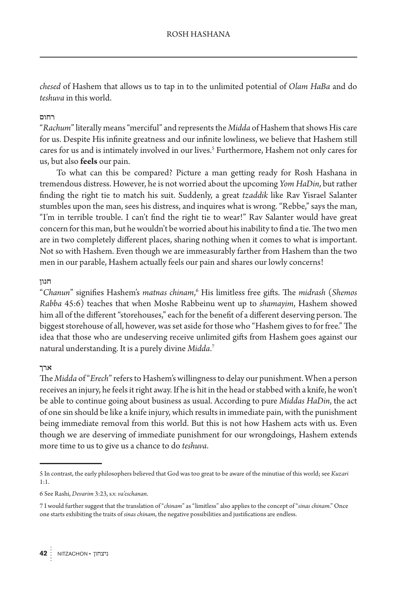*chesed* of Hashem that allows us to tap in to the unlimited potential of *Olam HaBa* and do *teshuva* in this world.

#### **רחום**

"*Rachum*" literally means "merciful" and represents the *Midda* of Hashem that shows His care for us. Despite His infinite greatness and our infinite lowliness, we believe that Hashem still cares for us and is intimately involved in our lives.5 Furthermore, Hashem not only cares for us, but also **feels** our pain.

To what can this be compared? Picture a man getting ready for Rosh Hashana in tremendous distress. However, he is not worried about the upcoming *Yom HaDin*, but rather finding the right tie to match his suit. Suddenly, a great *tzaddik* like Rav Yisrael Salanter stumbles upon the man, sees his distress, and inquires what is wrong. "Rebbe," says the man, "I'm in terrible trouble. I can't find the right tie to wear!" Rav Salanter would have great concern for this man, but he wouldn't be worried about his inability to find a tie. The two men are in two completely different places, sharing nothing when it comes to what is important. Not so with Hashem. Even though we are immeasurably farther from Hashem than the two men in our parable, Hashem actually feels our pain and shares our lowly concerns!

#### **חנון**

"*Chanun*" signifies Hashem's *matnas chinam*, 6 His limitless free gifts. The *midrash* (*Shemos Rabba* 45:6) teaches that when Moshe Rabbeinu went up to *shamayim*, Hashem showed him all of the different "storehouses," each for the benefit of a different deserving person. The biggest storehouse of all, however, was set aside for those who "Hashem gives to for free." The idea that those who are undeserving receive unlimited gifts from Hashem goes against our natural understanding. It is a purely divine *Midda*. 7

#### **ארך**

The *Midda* of "*Erech*" refers to Hashem's willingness to delay our punishment. When a person receives an injury, he feels it right away. If he is hit in the head or stabbed with a knife, he won't be able to continue going about business as usual. According to pure *Middas HaDin*, the act of one sin should be like a knife injury, which results in immediate pain, with the punishment being immediate removal from this world. But this is not how Hashem acts with us. Even though we are deserving of immediate punishment for our wrongdoings, Hashem extends more time to us to give us a chance to do *teshuva*.

<sup>5</sup> In contrast, the early philosophers believed that God was too great to be aware of the minutiae of this world; see *Kuzari* 1:1.

<sup>6</sup> See Rashi, *Devarim* 3:23, s.v. *va'eschanan*.

<sup>7</sup> I would further suggest that the translation of "*chinam*" as "limitless" also applies to the concept of "*sinas chinam*." Once one starts exhibiting the traits of *sinas chinam*, the negative possibilities and justifications are endless.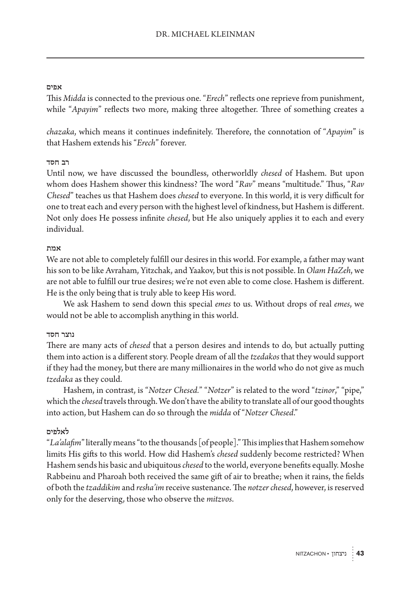#### **אפים**

This *Midda* is connected to the previous one. "*Erech*" reflects one reprieve from punishment, while "*Apayim*" reflects two more, making three altogether. Three of something creates a

*chazaka*, which means it continues indefinitely. Therefore, the connotation of "*Apayim*" is that Hashem extends his "*Erech*" forever.

#### **רב חסד**

Until now, we have discussed the boundless, otherworldly *chesed* of Hashem. But upon whom does Hashem shower this kindness? The word "*Rav*" means "multitude." Thus, "*Rav Chesed*" teaches us that Hashem does *chesed* to everyone. In this world, it is very difficult for one to treat each and every person with the highest level of kindness, but Hashem is different. Not only does He possess infinite *chesed*, but He also uniquely applies it to each and every individual.

#### **אמת**

We are not able to completely fulfill our desires in this world. For example, a father may want his son to be like Avraham, Yitzchak, and Yaakov, but this is not possible. In *Olam HaZeh*, we are not able to fulfill our true desires; we're not even able to come close. Hashem is different. He is the only being that is truly able to keep His word.

We ask Hashem to send down this special *emes* to us. Without drops of real *emes*, we would not be able to accomplish anything in this world.

#### **נוצר חסד**

There are many acts of *chesed* that a person desires and intends to do, but actually putting them into action is a different story. People dream of all the *tzedakos* that they would support if they had the money, but there are many millionaires in the world who do not give as much *tzedaka* as they could.

Hashem, in contrast, is "*Notzer Chesed.*" "*Notzer*" is related to the word "*tzinor*," "pipe," which the *chesed* travels through. We don't have the ability to translate all of our good thoughts into action, but Hashem can do so through the *midda* of "*Notzer Chesed*."

#### **לאלפים**

"*La'alafim*" literally means "to the thousands [of people]." This implies that Hashem somehow limits His gifts to this world. How did Hashem's *chesed* suddenly become restricted? When Hashem sends his basic and ubiquitous *chesed* to the world, everyone benefits equally. Moshe Rabbeinu and Pharoah both received the same gift of air to breathe; when it rains, the fields of both the *tzaddikim* and *resha'im* receive sustenance. The *notzer chesed*, however, is reserved only for the deserving, those who observe the *mitzvos*.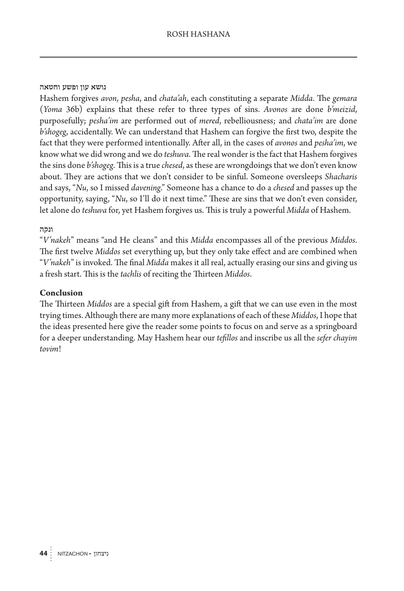#### **נושא עון ופשע וחטאה**

Hashem forgives *avon*, *pesha*, and *chata'ah*, each constituting a separate *Midda*. The *gemara* (*Yoma* 36b) explains that these refer to three types of sins. *Avonos* are done *b'meizid*, purposefully; *pesha'im* are performed out of *mered*, rebelliousness; and *chata'im* are done *b'shogeg*, accidentally. We can understand that Hashem can forgive the first two, despite the fact that they were performed intentionally. After all, in the cases of *avonos* and *pesha'im*, we know what we did wrong and we do *teshuva*. The real wonder is the fact that Hashem forgives the sins done *b'shogeg*. This is a true *chesed*, as these are wrongdoings that we don't even know about. They are actions that we don't consider to be sinful. Someone oversleeps *Shacharis* and says, "*Nu*, so I missed *davening*." Someone has a chance to do a *chesed* and passes up the opportunity, saying, "*Nu*, so I'll do it next time." These are sins that we don't even consider, let alone do *teshuva* for, yet Hashem forgives us. This is truly a powerful *Midda* of Hashem.

#### **ונקה**

"*V'nakeh*" means "and He cleans" and this *Midda* encompasses all of the previous *Middos*. The first twelve *Middos* set everything up, but they only take effect and are combined when "*V'nakeh*" is invoked. The final *Midda* makes it all real, actually erasing our sins and giving us a fresh start. This is the *tachlis* of reciting the Thirteen *Middos*.

#### **Conclusion**

The Thirteen *Middos* are a special gift from Hashem, a gift that we can use even in the most trying times. Although there are many more explanations of each of these *Middos*, I hope that the ideas presented here give the reader some points to focus on and serve as a springboard for a deeper understanding. May Hashem hear our *tefillos* and inscribe us all the *sefer chayim tovim*!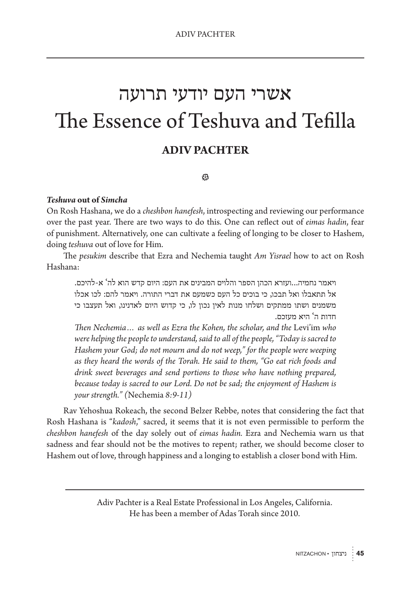## אשרי העם יודעי תרועה The Essence of Teshuva and Tefilla **ADIV PACHTER**

•

#### *Teshuva* **out of** *Simcha*

On Rosh Hashana, we do a *cheshbon hanefesh*, introspecting and reviewing our performance over the past year. There are two ways to do this. One can reflect out of *eimas hadin*, fear of punishment. Alternatively, one can cultivate a feeling of longing to be closer to Hashem, doing *teshuva* out of love for Him.

The *pesukim* describe that Ezra and Nechemia taught *Am Yisrael* how to act on Rosh Hashana:

ויאמר נחמיה...ועזרא הכהן הספר והלוים המבינים את העם: היום קדש הוא לה' א-להיכם. אל תתאבלו ואל תבכו, כי בוכים כל העם כשמעם את דברי התורה. ויאמר להם: לכו אכלו משמנים ושתו ממתקים ושלחו מנות לאין נכון לו, כי קדוש היום לאדנינו, ואל תעצבו כי חדות ה' היא מעזכם.

*Then Nechemia… as well as Ezra the Kohen, the scholar, and the* Levi'im *who were helping the people to understand, said to all of the people, "Today is sacred to Hashem your God; do not mourn and do not weep," for the people were weeping as they heard the words of the Torah. He said to them, "Go eat rich foods and drink sweet beverages and send portions to those who have nothing prepared, because today is sacred to our Lord. Do not be sad; the enjoyment of Hashem is your strength." (*Nechemia *8:9-11)*

Rav Yehoshua Rokeach, the second Belzer Rebbe, notes that considering the fact that Rosh Hashana is "*kadosh*," sacred, it seems that it is not even permissible to perform the *cheshbon hanefesh* of the day solely out of *eimas hadin.* Ezra and Nechemia warn us that sadness and fear should not be the motives to repent; rather, we should become closer to Hashem out of love, through happiness and a longing to establish a closer bond with Him.

> Adiv Pachter is a Real Estate Professional in Los Angeles, California. He has been a member of Adas Torah since 2010.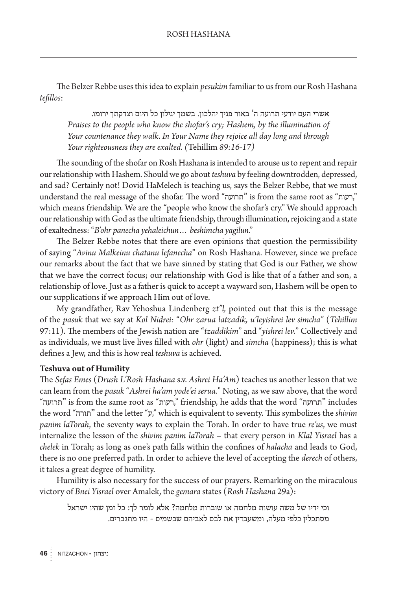The Belzer Rebbe uses this idea to explain *pesukim* familiar to us from our Rosh Hashana *tefillos*:

אשרי העם יודעי תרועה ה' באור פניך יהלכון. בשמך יגילון כל היום וצדקתך ירומו. *Praises to the people who know the shofar's cry; Hashem, by the illumination of Your countenance they walk. In Your Name they rejoice all day long and through Your righteousness they are exalted. (*Tehillim *89:16-17)*

The sounding of the shofar on Rosh Hashana is intended to arouse us to repent and repair our relationship with Hashem. Should we go about *teshuva* by feeling downtrodden, depressed, and sad? Certainly not! Dovid HaMelech is teaching us, says the Belzer Rebbe, that we must understand the real message of the shofar. The word "תרועה" is from the same root as "רעות," which means friendship. We are the "people who know the shofar's cry." We should approach our relationship with God as the ultimate friendship, through illumination, rejoicing and a state of exaltedness: "*B'ohr panecha yehaleichun… beshimcha yagilun*."

The Belzer Rebbe notes that there are even opinions that question the permissibility of saying "*Avinu Malkeinu chatanu lefanecha*" on Rosh Hashana. However, since we preface our remarks about the fact that we have sinned by stating that God is our Father, we show that we have the correct focus; our relationship with God is like that of a father and son, a relationship of love. Just as a father is quick to accept a wayward son, Hashem will be open to our supplications if we approach Him out of love.

My grandfather, Rav Yehoshua Lindenberg *zt"l,* pointed out that this is the message of the *pasuk* that we say at *Kol Nidrei:* "*Ohr zarua latzadik, u'leyishrei lev simcha"* (*Tehillim* 97:11). The members of the Jewish nation are "*tzaddikim*" and "*yishrei lev.*" Collectively and as individuals, we must live lives filled with *ohr* (light) and *simcha* (happiness); this is what defines a Jew, and this is how real *teshuva* is achieved.

#### **Teshuva out of Humility**

The *Sefas Emes* (*Drush L'Rosh Hashana* s.v. *Ashrei Ha'Am*) teaches us another lesson that we can learn from the *pasuk* "*Ashrei ha'am yode'ei serua.*" Noting, as we saw above, that the word "תרועה" is from the same root as "רעות," friendship, he adds that the word "תרועה" the word "תורה "and the letter "ע, "which is equivalent to seventy. This symbolizes the *shivim panim laTorah*, the seventy ways to explain the Torah. In order to have true *re'us*, we must internalize the lesson of the *shivim panim laTorah* – that every person in *Klal Yisrael* has a *chelek* in Torah; as long as one's path falls within the confines of *halacha* and leads to God, there is no one preferred path. In order to achieve the level of accepting the *derech* of others, it takes a great degree of humility.

Humility is also necessary for the success of our prayers. Remarking on the miraculous victory of *Bnei Yisrael* over Amalek, the *gemara* states (*Rosh Hashana* 29a):

וכי ידיו של משה עושות מלחמה או שוברות מלחמה? אלא לומר לך: כל זמן שהיו ישראל מסתכלין כלפי מעלה, ומשעבדין את לבם לאביהם שבשמים - היו מתגברים.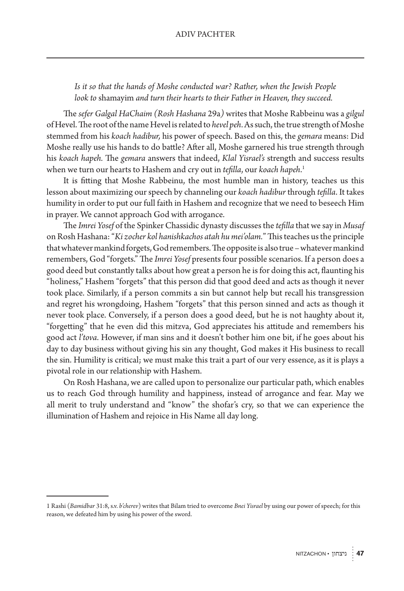*Is it so that the hands of Moshe conducted war? Rather, when the Jewish People look to* shamayim *and turn their hearts to their Father in Heaven, they succeed.* 

The *sefer Galgal HaChaim (Rosh Hashana* 29a*)* writes that Moshe Rabbeinu was a *gilgul* of Hevel. The root of the name Hevel is related to *hevel peh*. As such, the true strength of Moshe stemmed from his *koach hadibur,* his power of speech. Based on this, the *gemara* means: Did Moshe really use his hands to do battle? After all, Moshe garnered his true strength through his *koach hapeh.* The *gemara* answers that indeed, *Klal Yisrael's* strength and success results when we turn our hearts to Hashem and cry out in *tefilla*, our *koach hapeh*. 1

It is fitting that Moshe Rabbeinu, the most humble man in history, teaches us this lesson about maximizing our speech by channeling our *koach hadibur* through *tefilla*. It takes humility in order to put our full faith in Hashem and recognize that we need to beseech Him in prayer. We cannot approach God with arrogance.

The *Imrei Yosef* of the Spinker Chassidic dynasty discusses the *tefilla* that we say in *Musaf* on Rosh Hashana: "*Ki zocher kol hanishkachos atah hu mei'olam.*" This teaches us the principle that whatever mankind forgets, God remembers. The opposite is also true – whatever mankind remembers, God "forgets." The *Imrei Yosef* presents four possible scenarios. If a person does a good deed but constantly talks about how great a person he is for doing this act, flaunting his "holiness," Hashem "forgets" that this person did that good deed and acts as though it never took place. Similarly, if a person commits a sin but cannot help but recall his transgression and regret his wrongdoing, Hashem "forgets" that this person sinned and acts as though it never took place. Conversely, if a person does a good deed, but he is not haughty about it, "forgetting" that he even did this mitzva, God appreciates his attitude and remembers his good act *l'tova*. However, if man sins and it doesn't bother him one bit, if he goes about his day to day business without giving his sin any thought, God makes it His business to recall the sin. Humility is critical; we must make this trait a part of our very essence, as it is plays a pivotal role in our relationship with Hashem.

On Rosh Hashana, we are called upon to personalize our particular path, which enables us to reach God through humility and happiness, instead of arrogance and fear. May we all merit to truly understand and "know" the shofar's cry, so that we can experience the illumination of Hashem and rejoice in His Name all day long.

<sup>1</sup> Rashi (*Bamidbar* 31:8, s.v. *b'cherev*) writes that Bilam tried to overcome *Bnei Yisrael* by using our power of speech; for this reason, we defeated him by using his power of the sword.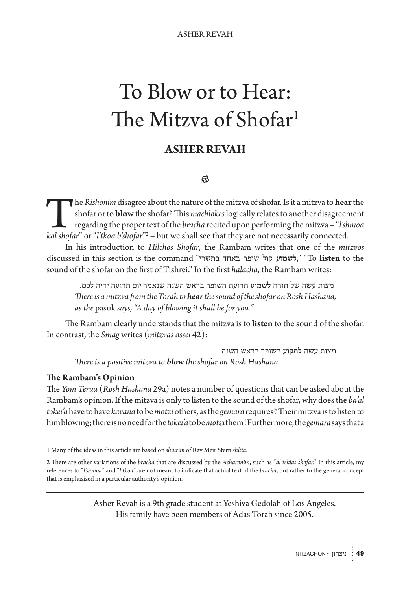# To Blow or to Hear: The Mitzva of Shofar<sup>1</sup>

#### **ASHER REVAH**

#### £ჭ

The *Rishonim* disagree about the nature of the mitzva of shofar. Is it a mitzva to **hear** the shofar or to **blow** the shofar? This *machlokes* logically relates to another disagreement regarding the proper text of the *br* shofar or to **blow** the shofar? This *machlokes* logically relates to another disagreement regarding the proper text of the *bracha* recited upon performing the mitzva – "*l'shmoa* 

In his introduction to *Hilchos Shofar*, the Rambam writes that one of the *mitzvos* discussed in this section is the command "בתשרי באחד שופר קול **לשמוע**," "To **listen** to the sound of the shofar on the first of Tishrei." In the first *halacha*, the Rambam writes:

 מצות עשה של תורה **לשמוע** תרועת השופר בראש השנה שנאמר יום תרועה יהיה לכם. *There is a mitzva from the Torah to hear the sound of the shofar on Rosh Hashana, as the* pasuk *says, "A day of blowing it shall be for you."*

The Rambam clearly understands that the mitzva is to **listen** to the sound of the shofar. In contrast, the *Smag* writes (*mitzvas assei* 42):

מצות עשה **לתקוע** בשופר בראש השנה *There is a positive mitzva to blow the shofar on Rosh Hashana.*

#### **The Rambam's Opinion**

The *Yom Terua* (*Rosh Hashana* 29a) notes a number of questions that can be asked about the Rambam's opinion. If the mitzva is only to listen to the sound of the shofar, why does the *ba'al tokei'a* have to have *kavana* to be *motzi* others, as the *gemara* requires? Their mitzva is to listen to him blowing; there is no need for the *tokei'a* to be *motzi* them! Furthermore, the *gemara* says that a

Asher Revah is a 9th grade student at Yeshiva Gedolah of Los Angeles. His family have been members of Adas Torah since 2005.

<sup>1</sup> Many of the ideas in this article are based on *shiurim* of Rav Meir Stern *shlita*.

<sup>2</sup> There are other variations of the *bracha* that are discussed by the *Acharonim*, such as "*al tekias shofar.*" In this article, my references to "*l'shmoa*" and "*l'tkoa*" are not meant to indicate that actual text of the *bracha*, but rather to the general concept that is emphasized in a particular authority's opinion.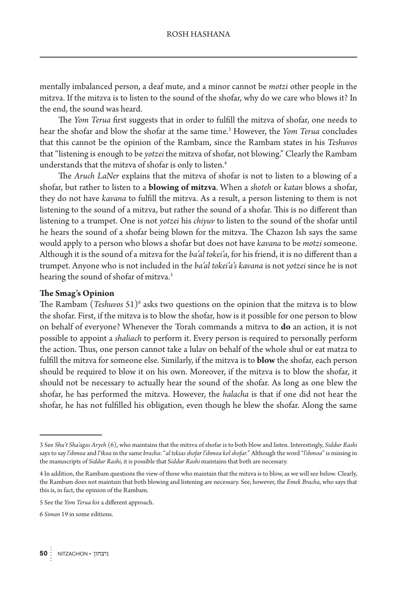mentally imbalanced person, a deaf mute, and a minor cannot be *motzi* other people in the mitzva. If the mitzva is to listen to the sound of the shofar, why do we care who blows it? In the end, the sound was heard.

The *Yom Terua* first suggests that in order to fulfill the mitzva of shofar, one needs to hear the shofar and blow the shofar at the same time.3 However, the *Yom Terua* concludes that this cannot be the opinion of the Rambam, since the Rambam states in his *Teshuvos* that "listening is enough to be *yotzei* the mitzva of shofar, not blowing." Clearly the Rambam understands that the mitzva of shofar is only to listen.<sup>4</sup>

The *Aruch LaNer* explains that the mitzva of shofar is not to listen to a blowing of a shofar, but rather to listen to a **blowing of mitzva**. When a *shoteh* or *katan* blows a shofar, they do not have *kavana* to fulfill the mitzva. As a result, a person listening to them is not listening to the sound of a mitzva, but rather the sound of a shofar. This is no different than listening to a trumpet. One is not *yotzei* his *chiyuv* to listen to the sound of the shofar until he hears the sound of a shofar being blown for the mitzva. The Chazon Ish says the same would apply to a person who blows a shofar but does not have *kavana* to be *motzi* someone. Although it is the sound of a mitzva for the *ba'al tokei'a*, for his friend, it is no different than a trumpet. Anyone who is not included in the *ba'al tokei'a's kavana* is not *yotzei* since he is not hearing the sound of shofar of mitzva.<sup>5</sup>

#### **The Smag's Opinion**

The Rambam (*Teshuvos* 51)<sup>6</sup> asks two questions on the opinion that the mitzva is to blow the shofar. First, if the mitzva is to blow the shofar, how is it possible for one person to blow on behalf of everyone? Whenever the Torah commands a mitzva to **do** an action, it is not possible to appoint a *shaliach* to perform it. Every person is required to personally perform the action. Thus, one person cannot take a lulav on behalf of the whole shul or eat matza to fulfill the mitzva for someone else. Similarly, if the mitzva is to **blow** the shofar, each person should be required to blow it on his own. Moreover, if the mitzva is to blow the shofar, it should not be necessary to actually hear the sound of the shofar. As long as one blew the shofar, he has performed the mitzva. However, the *halacha* is that if one did not hear the shofar, he has not fulfilled his obligation, even though he blew the shofar. Along the same

<sup>3</sup> See *Shu't Sha'agas Aryeh* (6), who maintains that the mitzva of shofar is to both blow and listen. Interestingly, *Siddur Rashi* says to say *l'shmoa* and *l'tkoa* in the same *bracha*: "*al tekias shofar l'shmoa kol shofar.*" Although the word "*l'shmoa*" is missing in the manuscripts of *Siddur Rashi*, it is possible that S*iddur Rashi* maintains that both are necessary.

<sup>4</sup> In addition, the Rambam questions the view of those who maintain that the mitzva is to blow, as we will see below. Clearly, the Rambam does not maintain that both blowing and listening are necessary. See, however, the *Emek Bracha*, who says that this is, in fact, the opinion of the Rambam.

<sup>5</sup> See the *Yom Terua* for a different approach.

<sup>6</sup> *Siman* 19 in some editions.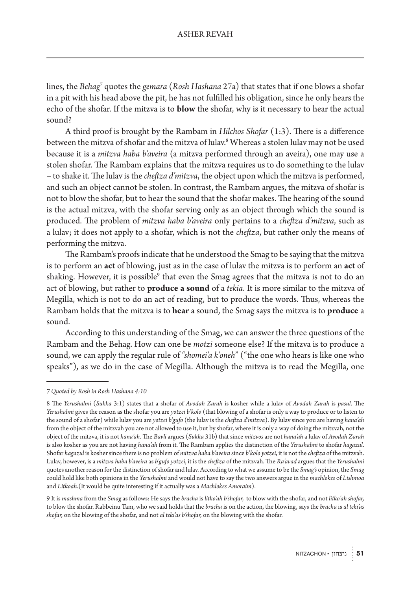lines, the *Behag7* quotes the *gemara* (*Rosh Hashana* 27a) that states that if one blows a shofar in a pit with his head above the pit, he has not fulfilled his obligation, since he only hears the echo of the shofar. If the mitzva is to **blow** the shofar, why is it necessary to hear the actual sound?

A third proof is brought by the Rambam in *Hilchos Shofar* (1:3). There is a difference between the mitzva of shofar and the mitzva of lulav.8 Whereas a stolen lulav may not be used because it is a *mitzva haba b'aveira* (a mitzva performed through an aveira), one may use a stolen shofar. The Rambam explains that the mitzva requires us to do something to the lulav – to shake it. The lulav is the *cheftza d'mitzva*, the object upon which the mitzva is performed, and such an object cannot be stolen. In contrast, the Rambam argues, the mitzva of shofar is not to blow the shofar, but to hear the sound that the shofar makes. The hearing of the sound is the actual mitzva, with the shofar serving only as an object through which the sound is produced. The problem of *mitzva haba b'aveira* only pertains to a *cheftza d'mitzva*, such as a lulav; it does not apply to a shofar, which is not the *cheftza*, but rather only the means of performing the mitzva.

The Rambam's proofs indicate that he understood the Smag to be saying that the mitzva is to perform an **act** of blowing, just as in the case of lulav the mitzva is to perform an **act** of shaking. However, it is possible<sup>9</sup> that even the Smag agrees that the mitzva is not to do an act of blowing, but rather to **produce a sound** of a *tekia*. It is more similar to the mitzva of Megilla, which is not to do an act of reading, but to produce the words. Thus, whereas the Rambam holds that the mitzva is to **hear** a sound, the Smag says the mitzva is to **produce** a sound.

According to this understanding of the Smag, we can answer the three questions of the Rambam and the Behag. How can one be *motzi* someone else? If the mitzva is to produce a sound, we can apply the regular rule of *"shomei'a k'oneh*" ("the one who hears is like one who speaks"), as we do in the case of Megilla. Although the mitzva is to read the Megilla, one

*<sup>7</sup> Quoted by Rosh in Rosh Hashana 4:10*

<sup>8</sup> The *Yerushalmi* (*Sukka* 3:1) states that a shofar of *Avodah Zarah* is kosher while a lulav of *Avodah Zarah* is *pasul*. The *Yerushalmi* gives the reason as the shofar you are *yotzei b'kolo* (that blowing of a shofar is only a way to produce or to listen to the sound of a shofar) while lulav you are *yotzei b'gufo* (the lulav is the *cheftza d'mitzva*). By lulav since you are having *hana'ah* from the object of the mitzvah you are not allowed to use it, but by shofar, where it is only a way of doing the mitzvah, not the object of the mitzva, it is not *hana'ah*. The *Bavli* argues (*Sukka* 31b) that since *mitzvos* are not *hana'ah* a lulav of *Avodah Zarah* is also kosher as you are not having *hana'ah* from it. The Rambam applies the distinction of the *Yerushalmi* to shofar *hagazul*. Shofar *hagazul* is kosher since there is no problem of *mitzva haba b'aveira* since *b'kolo yotzei*, it is not the *cheftza* of the mitzvah. Lulav, however, is a *mitzva haba b'aveira* as *b'gufo yotzei*, it is the *cheftza* of the mitzvah. The *Ra'avad* argues that the *Yerushalmi* quotes another reason for the distinction of shofar and lulav. According to what we assume to be the *Smag's* opinion, the *Smag* could hold like both opinions in the *Yerushalmi* and would not have to say the two answers argue in the *machlokes* of *Lishmoa* and *Litkoah*.(It would be quite interesting if it actually was a *Machlokes Amoraim*).

<sup>9</sup> It is *mashma* from the *Smag* as follows: He says the *bracha* is *litko'ah b'shofar,* to blow with the shofar, and not *litko'ah shofar,* to blow the shofar. Rabbeinu Tam, who we said holds that the *bracha* is on the action, the blowing, says the *bracha* is *al teki'as shofar,* on the blowing of the shofar, and not *al teki'as b'shofar,* on the blowing with the shofar.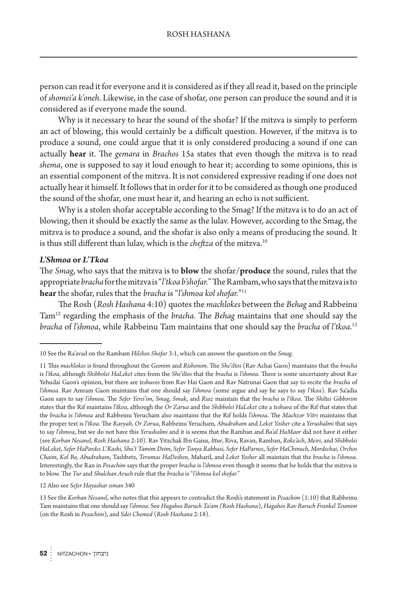person can read it for everyone and it is considered as if they all read it, based on the principle of *shomei'a k'oneh*. Likewise, in the case of shofar, one person can produce the sound and it is considered as if everyone made the sound.

Why is it necessary to hear the sound of the shofar? If the mitzva is simply to perform an act of blowing, this would certainly be a difficult question. However, if the mitzva is to produce a sound, one could argue that it is only considered producing a sound if one can actually **hear** it. The *gemara* in *Brachos* 15a states that even though the mitzva is to read *shema*, one is supposed to say it loud enough to hear it; according to some opinions, this is an essential component of the mitzva. It is not considered expressive reading if one does not actually hear it himself. It follows that in order for it to be considered as though one produced the sound of the shofar, one must hear it, and hearing an echo is not sufficient.

Why is a stolen shofar acceptable according to the Smag? If the mitzva is to do an act of blowing, then it should be exactly the same as the lulav. However, according to the Smag, the mitzva is to produce a sound, and the shofar is also only a means of producing the sound. It is thus still different than lulav, which is the *cheftza* of the mitzva.<sup>10</sup>

#### *L'Shmoa* **or** *L'Tkoa*

The *Smag*, who says that the mitzva is to **blow** the shofar/**produce** the sound, rules that the appropriate *bracha* for the mitzva is "*l'tkoa b'shofar.*" The Rambam, who says that the mitzva is to **hear** the shofar, rules that the *bracha* is "*l'shmoa kol shofar.*"11

The Rosh (*Rosh Hashana* 4:10) quotes the *machlokes* between the *Behag* and Rabbeinu Tam12 regarding the emphasis of the *bracha*. The *Behag* maintains that one should say the *bracha* of *l'shmoa*, while Rabbeinu Tam maintains that one should say the *bracha* of *l'tkoa*. 13

<sup>10</sup> See the Ra'avad on the Rambam *Hilchos Shofar* 3:1, which can answer the question on the *Smag*.

<sup>11</sup> This *machlokes* is found throughout the *Geonim* and *Rishonim*. The *She'iltos* (Rav Achai Gaon) maintains that the *bracha* is *l'tkoa*, although *Shibbolei HaLeket* cites from the *She'iltos* that the *bracha* is *l'shmoa*. There is some uncertainty about Rav Yehudai Gaon's opinion, but there are *teshuvos* from Rav Hai Gaon and Rav Natrunai Gaon that say to recite the *bracha* of *l'shmoa*. Rav Amram Gaon maintains that one should say *l'shmoa* (some argue and say he says to say *l'tkoa*). Rav Sa'adia Gaon says to say *l'shmoa*. The *Sefer Yerei'im*, *Smag*, *Smak*, and *Riaz* maintain that the *bracha* is *l'tkoa*. The *Shiltei Gibborim* states that the Rif maintains *l'tkoa*, although the *Or Zarua* and the *Shibbolei HaLeket* cite a *teshuva* of the Rif that states that the *bracha* is *l'shmoa* and Rabbeinu Yerucham also maintains that the Rif holds *l'shmoa*. The *Machzor Vitri* maintains that the proper text is *l'tkoa*. The *Ravyah*, *Or Zorua*, Rabbeinu Yerucham, *Abudraham* and *Leket Yosher* cite a *Yerushalmi* that says to say *l'shmoa*, but we do not have this *Yerushalmi* and it is seems that the Ramban and *Ba'al HaMaor* did not have it either (see *Korban Nesanel*, *Rosh Hashana* 2:10). Rav Yitzchak Ibn Gaius, *Ittur*, Riva, Ravan, Ramban, *Roke'ach*, *Meiri*, and *Shibbolei HaLeket*, *Sefer HaPardes L'Rashi, Shu't Tamim Deim*, *Sefer Tanya Rabbasi*, *Sefer HaParnes*, *Sefer HaChinuch, Mordechai*, *Orchos Chaim*, *Kol Bo, Abudraham*, Tashbetz, *Terumas HaDeshen*, Maharil, and *Leket Yosher* all maintain that the *bracha* is *l'shmoa*. Interestingly, the Ran in *Pesachim* says that the proper *bracha* is *l'shmoa* even though it seems that he holds that the mitzva is to blow. The *Tur* and *Shulchan Aruch* rule that the *bracha* is "*l'shmoa kol shofar.*"

<sup>12</sup> Also see *Sefer Hayashar siman* 340

<sup>13</sup> See the *Korban Nesanel,* who notes that this appears to contradict the Rosh's statement in *Pesachim* (1:10) that Rabbeinu Tam maintains that one should say *l'shmoa*. See *Hagahos Baruch Ta'am (Rosh Hashana*), *Hagahos Rav Baruch Frankel Teumim* (on the Rosh in *Pesachim*), and *Sdei Chemed* (*Rosh Hashana* 2:18).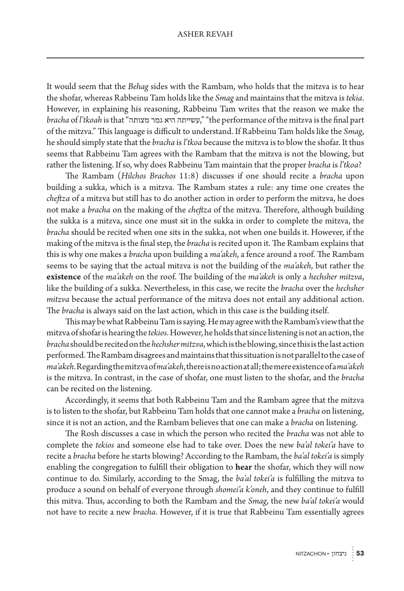#### ASHER REVAH

It would seem that the *Behag* sides with the Rambam, who holds that the mitzva is to hear the shofar, whereas Rabbeinu Tam holds like the *Smag* and maintains that the mitzva is *tekia*. However, in explaining his reasoning, Rabbeinu Tam writes that the reason we make the *bracha* of *l'tkoah* is that "מצותה גמר היא עשייתה," "the performance of the mitzva is the final part of the mitzva." This language is difficult to understand. If Rabbeinu Tam holds like the *Smag*, he should simply state that the *bracha* is *l'tkoa* because the mitzva is to blow the shofar. It thus seems that Rabbeinu Tam agrees with the Rambam that the mitzva is not the blowing, but rather the listening. If so, why does Rabbeinu Tam maintain that the proper *bracha* is *l'tkoa*?

The Rambam (*Hilchos Brachos* 11:8) discusses if one should recite a *bracha* upon building a sukka, which is a mitzva. The Rambam states a rule: any time one creates the *cheftza* of a mitzva but still has to do another action in order to perform the mitzva, he does not make a *bracha* on the making of the *cheftza* of the mitzva. Therefore, although building the sukka is a mitzva, since one must sit in the sukka in order to complete the mitzva, the *bracha* should be recited when one sits in the sukka, not when one builds it. However, if the making of the mitzva is the final step, the *bracha* is recited upon it. The Rambam explains that this is why one makes a *bracha* upon building a *ma'akeh*, a fence around a roof. The Rambam seems to be saying that the actual mitzva is not the building of the *ma'akeh*, but rather the **existence** of the *ma'akeh* on the roof. The building of the *ma'akeh* is only a *hechsher mitzva*, like the building of a sukka. Nevertheless, in this case, we recite the *bracha* over the *hechsher mitzva* because the actual performance of the mitzva does not entail any additional action. The *bracha* is always said on the last action, which in this case is the building itself.

This may be what Rabbeinu Tam is saying. He may agree with the Rambam's view that the mitzva of shofar is hearing the *tekios*. However, he holds that since listening is not an action, the *bracha* should be recited on the *hechsher mitzva*, which is the blowing, since this is the last action performed. The Rambam disagrees and maintains that this situation is not parallel to the case of *ma'akeh*. Regarding the mitzva of *ma'akeh*, there is no action at all; the mere existence of a *ma'akeh* is the mitzva. In contrast, in the case of shofar, one must listen to the shofar, and the *bracha* can be recited on the listening.

Accordingly, it seems that both Rabbeinu Tam and the Rambam agree that the mitzva is to listen to the shofar, but Rabbeinu Tam holds that one cannot make a *bracha* on listening, since it is not an action, and the Rambam believes that one can make a *bracha* on listening.

The Rosh discusses a case in which the person who recited the *bracha* was not able to complete the *tekios* and someone else had to take over. Does the new *ba'al tokei'a* have to recite a *bracha* before he starts blowing? According to the Rambam, the *ba'al tokei'a* is simply enabling the congregation to fulfill their obligation to **hear** the shofar, which they will now continue to do. Similarly, according to the Smag, the *ba'al tokei'a* is fulfilling the mitzva to produce a sound on behalf of everyone through *shomei'a k'oneh*, and they continue to fulfill this mitva. Thus, according to both the Rambam and the *Smag*, the new *ba'al tokei'a* would not have to recite a new *bracha*. However, if it is true that Rabbeinu Tam essentially agrees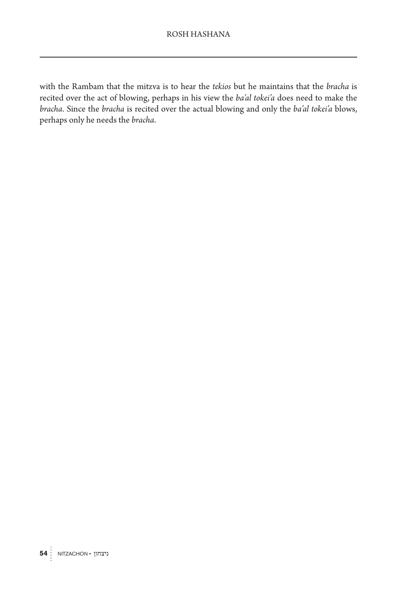with the Rambam that the mitzva is to hear the *tekios* but he maintains that the *bracha* is recited over the act of blowing, perhaps in his view the *ba'al tokei'a* does need to make the *bracha*. Since the *bracha* is recited over the actual blowing and only the *ba'al tokei'a* blows, perhaps only he needs the *bracha*.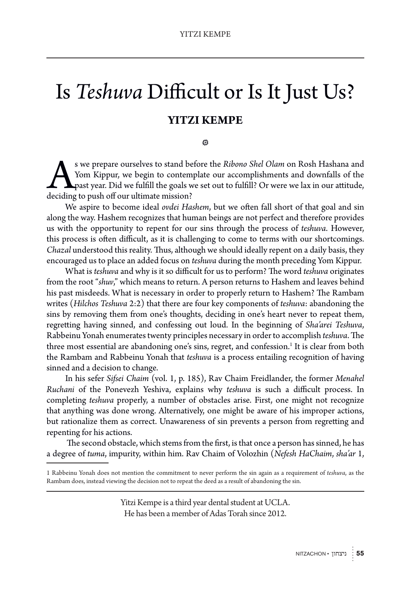## Is *Teshuva* Difficult or Is It Just Us?

#### **YITZI KEMPE**

#### •

s we prepare ourselves to stand before the *Ribono Shel Olam* on Rosh Hashana and Yom Kippur, we begin to contemplate our accomplishments and downfalls of the past year. Did we fulfill the goals we set out to fulfill? Or w Yom Kippur, we begin to contemplate our accomplishments and downfalls of the past year. Did we fulfill the goals we set out to fulfill? Or were we lax in our attitude, deciding to push off our ultimate mission?

We aspire to become ideal *ovdei Hashem*, but we often fall short of that goal and sin along the way. Hashem recognizes that human beings are not perfect and therefore provides us with the opportunity to repent for our sins through the process of *teshuva*. However, this process is often difficult, as it is challenging to come to terms with our shortcomings. *Chazal* understood this reality. Thus, although we should ideally repent on a daily basis, they encouraged us to place an added focus on *teshuva* during the month preceding Yom Kippur.

What is *teshuva* and why is it so difficult for us to perform? The word *teshuva* originates from the root "*shuv*," which means to return. A person returns to Hashem and leaves behind his past misdeeds. What is necessary in order to properly return to Hashem? The Rambam writes (*Hilchos Teshuva* 2:2) that there are four key components of *teshuva*: abandoning the sins by removing them from one's thoughts, deciding in one's heart never to repeat them, regretting having sinned, and confessing out loud. In the beginning of *Sha'arei Teshuva*, Rabbeinu Yonah enumerates twenty principles necessary in order to accomplish *teshuva*. The three most essential are abandoning one's sins, regret, and confession.<sup>1</sup> It is clear from both the Rambam and Rabbeinu Yonah that *teshuva* is a process entailing recognition of having sinned and a decision to change.

In his sefer *Sifsei Chaim* (vol. 1, p. 185), Rav Chaim Freidlander, the former *Menahel Ruchani* of the Ponevezh Yeshiva, explains why *teshuva* is such a difficult process. In completing *teshuva* properly, a number of obstacles arise. First, one might not recognize that anything was done wrong. Alternatively, one might be aware of his improper actions, but rationalize them as correct. Unawareness of sin prevents a person from regretting and repenting for his actions.

 The second obstacle, which stems from the first, is that once a person has sinned, he has a degree of *tuma*, impurity, within him. Rav Chaim of Volozhin (*Nefesh HaChaim*, *sha'ar* 1,

Yitzi Kempe is a third year dental student at UCLA. He has been a member of Adas Torah since 2012.

<sup>1</sup> Rabbeinu Yonah does not mention the commitment to never perform the sin again as a requirement of *teshuva*, as the Rambam does, instead viewing the decision not to repeat the deed as a result of abandoning the sin.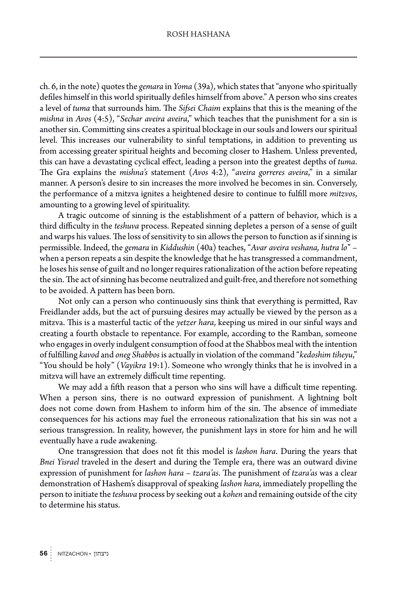ch. 6, in the note) quotes the *gemara* in *Yoma* (39a), which states that "anyone who spiritually defiles himself in this world spiritually defiles himself from above." A person who sins creates a level of *tuma* that surrounds him. The *Sifsei Chaim* explains that this is the meaning of the *mishna* in *Avos* (4:5), "*Sechar aveira aveira*," which teaches that the punishment for a sin is another sin. Committing sins creates a spiritual blockage in our souls and lowers our spiritual level. This increases our vulnerability to sinful temptations, in addition to preventing us from accessing greater spiritual heights and becoming closer to Hashem. Unless prevented, this can have a devastating cyclical effect, leading a person into the greatest depths of *tuma*. The Gra explains the *mishna's* statement (*Avos* 4:2), "*aveira gorreres aveira*," in a similar manner. A person's desire to sin increases the more involved he becomes in sin. Conversely, the performance of a mitzva ignites a heightened desire to continue to fulfill more *mitzvos*, amounting to a growing level of spirituality.

A tragic outcome of sinning is the establishment of a pattern of behavior, which is a third difficulty in the *teshuva* process. Repeated sinning depletes a person of a sense of guilt and warps his values. The loss of sensitivity to sin allows the person to function as if sinning is permissible. Indeed, the *gemara* in *Kiddushin* (40a) teaches, "*Avar aveira veshana, hutra lo*" – when a person repeats a sin despite the knowledge that he has transgressed a commandment, he loses his sense of guilt and no longer requires rationalization of the action before repeating the sin. The act of sinning has become neutralized and guilt-free, and therefore not something to be avoided. A pattern has been born.

Not only can a person who continuously sins think that everything is permitted, Rav Freidlander adds, but the act of pursuing desires may actually be viewed by the person as a mitzva. This is a masterful tactic of the *yetzer hara*, keeping us mired in our sinful ways and creating a fourth obstacle to repentance. For example, according to the Ramban, someone who engages in overly indulgent consumption of food at the Shabbos meal with the intention of fulfilling *kavod* and *oneg Shabbos* is actually in violation of the command "*kedoshim tiheyu*," "You should be holy" (*Vayikra* 19:1). Someone who wrongly thinks that he is involved in a mitzva will have an extremely difficult time repenting.

We may add a fifth reason that a person who sins will have a difficult time repenting. When a person sins, there is no outward expression of punishment. A lightning bolt does not come down from Hashem to inform him of the sin. The absence of immediate consequences for his actions may fuel the erroneous rationalization that his sin was not a serious transgression. In reality, however, the punishment lays in store for him and he will eventually have a rude awakening.

One transgression that does not fit this model is *lashon hara*. During the years that *Bnei Yisrael* traveled in the desert and during the Temple era, there was an outward divine expression of punishment for *lashon hara* – *tzara'as*. The punishment of *tzara'as* was a clear demonstration of Hashem's disapproval of speaking *lashon hara*, immediately propelling the person to initiate the *teshuva* process by seeking out a *kohen* and remaining outside of the city to determine his status.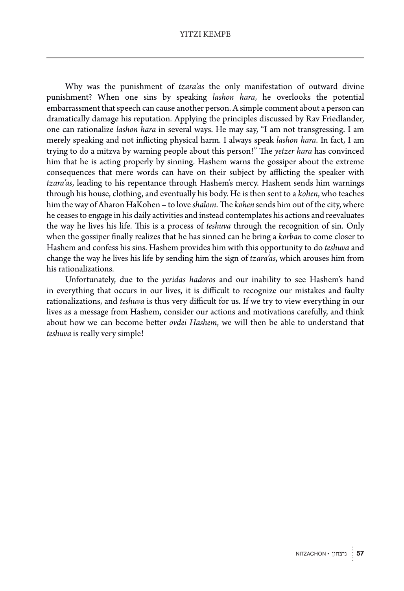Why was the punishment of *tzara'as* the only manifestation of outward divine punishment? When one sins by speaking *lashon hara*, he overlooks the potential embarrassment that speech can cause another person. A simple comment about a person can dramatically damage his reputation. Applying the principles discussed by Rav Friedlander, one can rationalize *lashon hara* in several ways. He may say, "I am not transgressing. I am merely speaking and not inflicting physical harm. I always speak *lashon hara*. In fact, I am trying to do a mitzva by warning people about this person!" The *yetzer hara* has convinced him that he is acting properly by sinning. Hashem warns the gossiper about the extreme consequences that mere words can have on their subject by afflicting the speaker with *tzara'as*, leading to his repentance through Hashem's mercy. Hashem sends him warnings through his house, clothing, and eventually his body. He is then sent to a *kohen*, who teaches him the way of Aharon HaKohen – to love *shalom*. The *kohen* sends him out of the city, where he ceases to engage in his daily activities and instead contemplates his actions and reevaluates the way he lives his life. This is a process of *teshuva* through the recognition of sin. Only when the gossiper finally realizes that he has sinned can he bring a *korban* to come closer to Hashem and confess his sins. Hashem provides him with this opportunity to do *teshuva* and change the way he lives his life by sending him the sign of *tzara'as*, which arouses him from his rationalizations.

Unfortunately, due to the *yeridas hadoros* and our inability to see Hashem's hand in everything that occurs in our lives, it is difficult to recognize our mistakes and faulty rationalizations, and *teshuva* is thus very difficult for us. If we try to view everything in our lives as a message from Hashem, consider our actions and motivations carefully, and think about how we can become better *ovdei Hashem*, we will then be able to understand that *teshuva* is really very simple!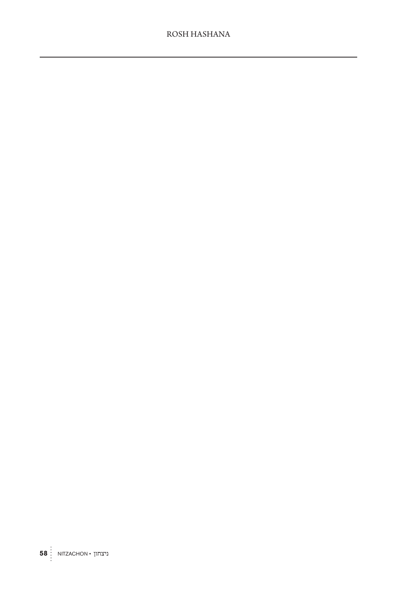#### ROSH HASHANA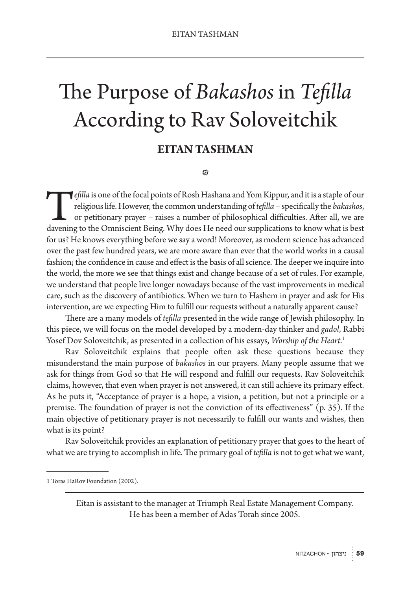## The Purpose of *Bakashos* in *Tefilla*  According to Rav Soloveitchik **EITAN TASHMAN**

•

*efilla* is one of the focal points of Rosh Hashana and Yom Kippur, and it is a staple of our religious life. However, the common understanding of *tefilla* – specifically the *bakashos*, or petitionary prayer – raises a n religious life. However, the common understanding of *tefilla* – specifically the *bakashos*, or petitionary prayer – raises a number of philosophical difficulties. After all, we are davening to the Omniscient Being. Why does He need our supplications to know what is best for us? He knows everything before we say a word! Moreover, as modern science has advanced over the past few hundred years, we are more aware than ever that the world works in a causal fashion; the confidence in cause and effect is the basis of all science. The deeper we inquire into the world, the more we see that things exist and change because of a set of rules. For example, we understand that people live longer nowadays because of the vast improvements in medical care, such as the discovery of antibiotics. When we turn to Hashem in prayer and ask for His intervention, are we expecting Him to fulfill our requests without a naturally apparent cause?

There are a many models of *tefilla* presented in the wide range of Jewish philosophy. In this piece, we will focus on the model developed by a modern-day thinker and *gadol*, Rabbi Yosef Dov Soloveitchik, as presented in a collection of his essays, *Worship of the Heart*. 1

Rav Soloveitchik explains that people often ask these questions because they misunderstand the main purpose of *bakashos* in our prayers. Many people assume that we ask for things from God so that He will respond and fulfill our requests. Rav Soloveitchik claims, however, that even when prayer is not answered, it can still achieve its primary effect. As he puts it, "Acceptance of prayer is a hope, a vision, a petition, but not a principle or a premise. The foundation of prayer is not the conviction of its effectiveness" (p. 35). If the main objective of petitionary prayer is not necessarily to fulfill our wants and wishes, then what is its point?

Rav Soloveitchik provides an explanation of petitionary prayer that goes to the heart of what we are trying to accomplish in life. The primary goal of *tefilla* is not to get what we want,

1 Toras HaRov Foundation (2002).

Eitan is assistant to the manager at Triumph Real Estate Management Company. He has been a member of Adas Torah since 2005.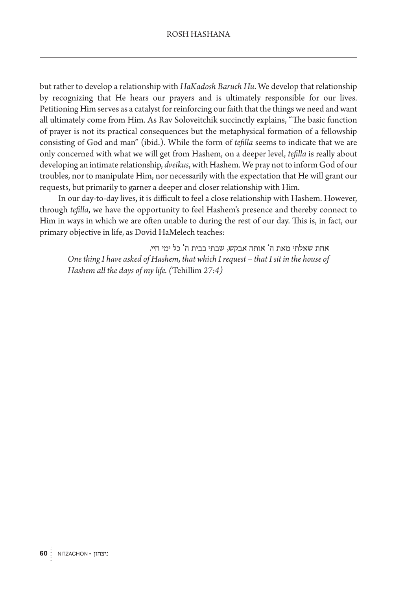but rather to develop a relationship with *HaKadosh Baruch Hu*. We develop that relationship by recognizing that He hears our prayers and is ultimately responsible for our lives. Petitioning Him serves as a catalyst for reinforcing our faith that the things we need and want all ultimately come from Him. As Rav Soloveitchik succinctly explains, "The basic function of prayer is not its practical consequences but the metaphysical formation of a fellowship consisting of God and man" (ibid.). While the form of *tefilla* seems to indicate that we are only concerned with what we will get from Hashem, on a deeper level, *tefilla* is really about developing an intimate relationship, *dveikus*, with Hashem. We pray not to inform God of our troubles, nor to manipulate Him, nor necessarily with the expectation that He will grant our requests, but primarily to garner a deeper and closer relationship with Him.

In our day-to-day lives, it is difficult to feel a close relationship with Hashem. However, through *tefilla*, we have the opportunity to feel Hashem's presence and thereby connect to Him in ways in which we are often unable to during the rest of our day. This is, in fact, our primary objective in life, as Dovid HaMelech teaches:

אחת שאלתי מאת ה' אותה אבקש, שבתי בבית ה' כל ימי חיי. *One thing I have asked of Hashem, that which I request – that I sit in the house of Hashem all the days of my life. (*Tehillim *27:4)*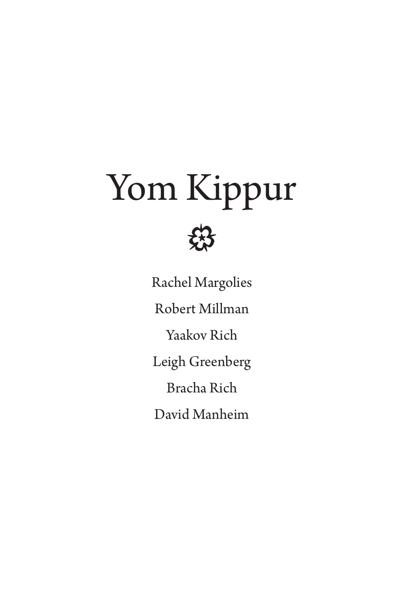# Yom Kippur



Rachel Margolies Robert Millman Yaakov Rich Leigh Greenberg Bracha Rich David Manheim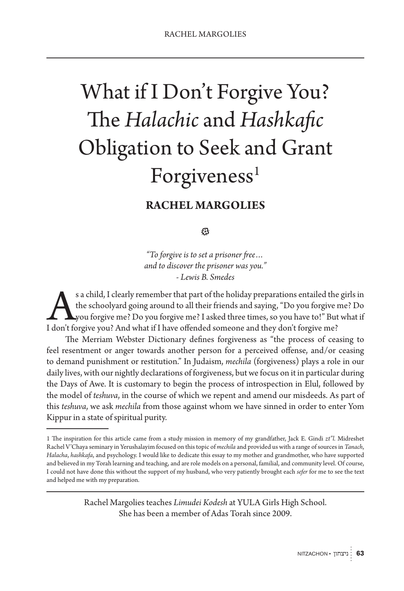## What if I Don't Forgive You? The *Halachic* and *Hashkafic* Obligation to Seek and Grant Forgiveness<sup>1</sup>

#### **RACHEL MARGOLIES**

•

*"To forgive is to set a prisoner free… and to discover the prisoner was you." - Lewis B. Smedes*

S a child, I clearly remember that part of the holiday preparations entailed the girls in the schoolyard going around to all their friends and saying, "Do you forgive me? Do you forgive me? Do you forgive me? I asked three the schoolyard going around to all their friends and saying, "Do you forgive me? Do you forgive me? Do you forgive me? I asked three times, so you have to!" But what if

The Merriam Webster Dictionary defines forgiveness as "the process of ceasing to feel resentment or anger towards another person for a perceived offense, and/or ceasing to demand punishment or restitution." In Judaism, *mechila* (forgiveness) plays a role in our daily lives, with our nightly declarations of forgiveness, but we focus on it in particular during the Days of Awe. It is customary to begin the process of introspection in Elul, followed by the model of *teshuva*, in the course of which we repent and amend our misdeeds. As part of this *teshuva*, we ask *mechila* from those against whom we have sinned in order to enter Yom Kippur in a state of spiritual purity.

Rachel Margolies teaches *Limudei Kodesh* at YULA Girls High School. She has been a member of Adas Torah since 2009.

<sup>1</sup> The inspiration for this article came from a study mission in memory of my grandfather, Jack E. Gindi *zt"l.* Midreshet Rachel V'Chaya seminary in Yerushalayim focused on this topic of *mechila* and provided us with a range of sources in *Tanach*, *Halacha*, *hashkafa*, and psychology. I would like to dedicate this essay to my mother and grandmother, who have supported and believed in my Torah learning and teaching, and are role models on a personal, familial, and community level. Of course, I could not have done this without the support of my husband, who very patiently brought each *sefer* for me to see the text and helped me with my preparation.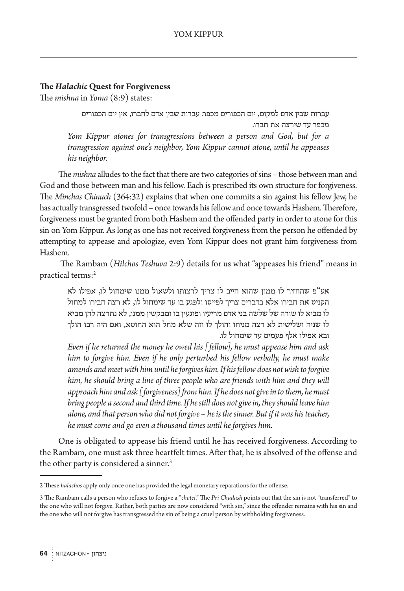#### **The** *Halachic* **Quest for Forgiveness**

The *mishna* in *Yoma* (8:9) states:

עברות שבין אדם למקום, יום הכפורים מכפר. עברות שבין אדם לחברו, אין יום הכפורים מכפר עד שירצה את חברו. *Yom Kippur atones for transgressions between a person and God, but for a transgression against one's neighbor, Yom Kippur cannot atone, until he appeases his neighbor.*

The *mishna* alludes to the fact that there are two categories of sins – those between man and God and those between man and his fellow. Each is prescribed its own structure for forgiveness. The *Minchas Chinuch* (364:32) explains that when one commits a sin against his fellow Jew, he has actually transgressed twofold – once towards his fellow and once towards Hashem. Therefore, forgiveness must be granted from both Hashem and the offended party in order to atone for this sin on Yom Kippur. As long as one has not received forgiveness from the person he offended by attempting to appease and apologize, even Yom Kippur does not grant him forgiveness from Hashem.

 The Rambam (*Hilchos Teshuva* 2:9) details for us what "appeases his friend" means in practical terms:<sup>2</sup>

אע"פ שהחזיר לו ממון שהוא חייב לו צריך לרצותו ולשאול ממנו שימחול לו, אפילו לא הקניט את חבירו אלא בדברים צריך לפייסו ולפגע בו עד שימחול לו, לא רצה חבירו למחול לו מביא לו שורה של שלשה בני אדם מריעיו ופוגעין בו ומבקשין ממנו, לא נתרצה להן מביא לו שניה ושלישית לא רצה מניחו והולך לו וזה שלא מחל הוא החוטא, ואם היה רבו הולך ובא אפילו אלף פעמים עד שימחול לו.

*Even if he returned the money he owed his [fellow], he must appease him and ask him to forgive him. Even if he only perturbed his fellow verbally, he must make amends and meet with him until he forgives him. If his fellow does not wish to forgive*  him, he should bring a line of three people who are friends with him and they will *approach him and ask [forgiveness] from him. If he does not give in to them, he must bring people a second and third time. If he still does not give in, they should leave him alone, and that person who did not forgive – he is the sinner. But if it was his teacher, he must come and go even a thousand times until he forgives him.*

One is obligated to appease his friend until he has received forgiveness. According to the Rambam, one must ask three heartfelt times. After that, he is absolved of the offense and the other party is considered a sinner.<sup>3</sup>

<sup>2</sup> These *halachos* apply only once one has provided the legal monetary reparations for the offense.

<sup>3</sup> The Rambam calls a person who refuses to forgive a "*chotei*." The *Pri Chadash* points out that the sin is not "transferred" to the one who will not forgive. Rather, both parties are now considered "with sin," since the offender remains with his sin and the one who will not forgive has transgressed the sin of being a cruel person by withholding forgiveness.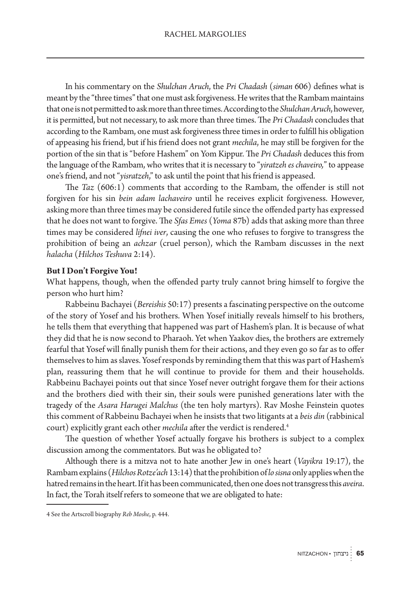In his commentary on the *Shulchan Aruch*, the *Pri Chadash* (*siman* 606) defines what is meant by the "three times" that one must ask forgiveness. He writes that the Rambam maintains that one is not permitted to ask more than three times. According to the *Shulchan Aruch*, however, it is permitted, but not necessary, to ask more than three times. The *Pri Chadash* concludes that according to the Rambam, one must ask forgiveness three times in order to fulfill his obligation of appeasing his friend, but if his friend does not grant *mechila*, he may still be forgiven for the portion of the sin that is "before Hashem" on Yom Kippur. The *Pri Chadash* deduces this from the language of the Rambam, who writes that it is necessary to "*yiratzeh es chaveiro,*" to appease one's friend, and not "*yisratzeh*," to ask until the point that his friend is appeased.

The *Taz* (606:1) comments that according to the Rambam, the offender is still not forgiven for his sin *bein adam lachaveiro* until he receives explicit forgiveness. However, asking more than three times may be considered futile since the offended party has expressed that he does not want to forgive. The *Sfas Emes* (*Yoma* 87b) adds that asking more than three times may be considered *lifnei iver*, causing the one who refuses to forgive to transgress the prohibition of being an *achzar* (cruel person), which the Rambam discusses in the next *halacha* (*Hilchos Teshuva* 2:14).

#### **But I Don't Forgive You!**

What happens, though, when the offended party truly cannot bring himself to forgive the person who hurt him?

Rabbeinu Bachayei (*Bereishis* 50:17) presents a fascinating perspective on the outcome of the story of Yosef and his brothers. When Yosef initially reveals himself to his brothers, he tells them that everything that happened was part of Hashem's plan. It is because of what they did that he is now second to Pharaoh. Yet when Yaakov dies, the brothers are extremely fearful that Yosef will finally punish them for their actions, and they even go so far as to offer themselves to him as slaves. Yosef responds by reminding them that this was part of Hashem's plan, reassuring them that he will continue to provide for them and their households. Rabbeinu Bachayei points out that since Yosef never outright forgave them for their actions and the brothers died with their sin, their souls were punished generations later with the tragedy of the *Asara Harugei Malchus* (the ten holy martyrs). Rav Moshe Feinstein quotes this comment of Rabbeinu Bachayei when he insists that two litigants at a *beis din* (rabbinical court) explicitly grant each other *mechila* after the verdict is rendered.<sup>4</sup>

The question of whether Yosef actually forgave his brothers is subject to a complex discussion among the commentators. But was he obligated to?

Although there is a mitzva not to hate another Jew in one's heart (*Vayikra* 19:17), the Rambam explains (*Hilchos Rotze'ach* 13:14) that the prohibition of *lo sisna* only applies when the hatred remains in the heart. If it has been communicated, then one does not transgress this *aveira*. In fact, the Torah itself refers to someone that we are obligated to hate:

<sup>4</sup> See the Artscroll biography *Reb Moshe*, p. 444.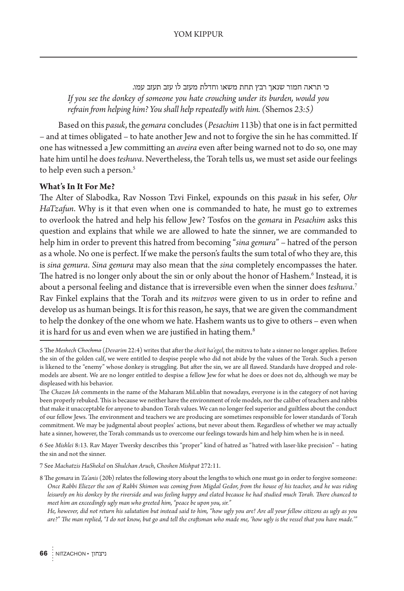כי תראה חמור שנאך רבץ תחת משאו וחדלת מעזב לו עזב תעזב עמו. *If you see the donkey of someone you hate crouching under its burden, would you refrain from helping him? You shall help repeatedly with him. (*Shemos *23:5)*

Based on this *pasuk*, the *gemara* concludes (*Pesachim* 113b) that one is in fact permitted – and at times obligated – to hate another Jew and not to forgive the sin he has committed. If one has witnessed a Jew committing an *aveira* even after being warned not to do so, one may hate him until he does *teshuva*. Nevertheless, the Torah tells us, we must set aside our feelings to help even such a person.<sup>5</sup>

#### **What's In It For Me?**

The Alter of Slabodka, Rav Nosson Tzvi Finkel, expounds on this *pasuk* in his sefer, *Ohr HaTzafun*. Why is it that even when one is commanded to hate, he must go to extremes to overlook the hatred and help his fellow Jew? Tosfos on the *gemara* in *Pesachim* asks this question and explains that while we are allowed to hate the sinner, we are commanded to help him in order to prevent this hatred from becoming "*sina gemura*" – hatred of the person as a whole. No one is perfect. If we make the person's faults the sum total of who they are, this is *sina gemura*. *Sina gemura* may also mean that the *sina* completely encompasses the hater. The hatred is no longer only about the sin or only about the honor of Hashem.<sup>6</sup> Instead, it is about a personal feeling and distance that is irreversible even when the sinner does *teshuva*. 7 Rav Finkel explains that the Torah and its *mitzvos* were given to us in order to refine and develop us as human beings. It is for this reason, he says, that we are given the commandment to help the donkey of the one whom we hate. Hashem wants us to give to others – even when it is hard for us and even when we are justified in hating them.<sup>8</sup>

<sup>5</sup> The *Meshech Chochma* (*Devarim* 22:4) writes that after the *cheit ha'egel*, the mitzva to hate a sinner no longer applies. Before the sin of the golden calf, we were entitled to despise people who did not abide by the values of the Torah. Such a person is likened to the "enemy" whose donkey is struggling. But after the sin, we are all flawed. Standards have dropped and rolemodels are absent. We are no longer entitled to despise a fellow Jew for what he does or does not do, although we may be displeased with his behavior.

The *Chazon Ish* comments in the name of the Maharam MiLublin that nowadays, everyone is in the category of not having been properly rebuked. This is because we neither have the environment of role models, nor the caliber of teachers and rabbis that make it unacceptable for anyone to abandon Torah values. We can no longer feel superior and guiltless about the conduct of our fellow Jews. The environment and teachers we are producing are sometimes responsible for lower standards of Torah commitment. We may be judgmental about peoples' actions, but never about them. Regardless of whether we may actually hate a sinner, however, the Torah commands us to overcome our feelings towards him and help him when he is in need.

<sup>6</sup> See *Mishlei* 8:13. Rav Mayer Twersky describes this "proper" kind of hatred as "hatred with laser-like precision" – hating the sin and not the sinner.

<sup>7</sup> See *Machatzis HaShekel* on *Shulchan Aruch*, *Choshen Mishpat* 272:11.

<sup>8</sup> The *gemara* in *Ta'anis* (20b) relates the following story about the lengths to which one must go in order to forgive someone: *Once Rabbi Eliezer the son of Rabbi Shimon was coming from Migdal Gedor, from the house of his teacher, and he was riding leisurely on his donkey by the riverside and was feeling happy and elated because he had studied much Torah. There chanced to meet him an exceedingly ugly man who greeted him, "peace be upon you, sir."* 

*He, however, did not return his salutation but instead said to him, "how ugly you are! Are all your fellow citizens as ugly as you are?" The man replied, "I do not know, but go and tell the craftsman who made me, 'how ugly is the vessel that you have made.'"*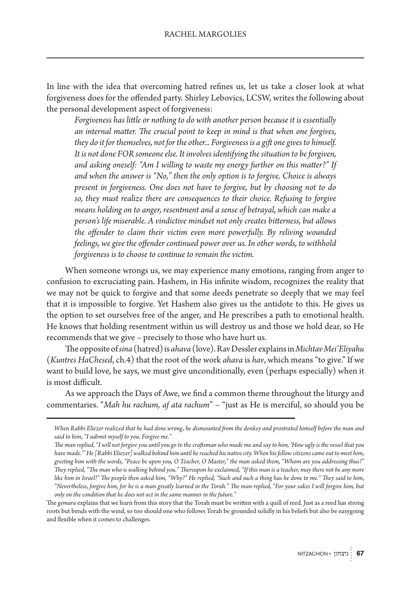In line with the idea that overcoming hatred refines us, let us take a closer look at what forgiveness does for the offended party. Shirley Lebovics, LCSW, writes the following about the personal development aspect of forgiveness:

*Forgiveness has little or nothing to do with another person because it is essentially an internal matter. The crucial point to keep in mind is that when one forgives, they do it for themselves, not for the other... Forgiveness is a gift one gives to himself. It is not done FOR someone else. It involves identifying the situation to be forgiven, and asking oneself: "Am I willing to waste my energy further on this matter?" If and when the answer is "No," then the only option is to forgive. Choice is always present in forgiveness. One does not have to forgive, but by choosing not to do so, they must realize there are consequences to their choice. Refusing to forgive means holding on to anger, resentment and a sense of betrayal, which can make a person's life miserable. A vindictive mindset not only creates bitterness, but allows the offender to claim their victim even more powerfully. By reliving wounded feelings, we give the offender continued power over us. In other words, to withhold forgiveness is to choose to continue to remain the victim.* 

When someone wrongs us, we may experience many emotions, ranging from anger to confusion to excruciating pain. Hashem, in His infinite wisdom, recognizes the reality that we may not be quick to forgive and that some deeds penetrate so deeply that we may feel that it is impossible to forgive. Yet Hashem also gives us the antidote to this. He gives us the option to set ourselves free of the anger, and He prescribes a path to emotional health. He knows that holding resentment within us will destroy us and those we hold dear, so He recommends that we give – precisely to those who have hurt us.

The opposite of *sina* (hatred) is *ahava* (love). Rav Dessler explains in *MichtavMei'Eliyahu*  (*Kuntres HaChesed*, ch.4) that the root of the work *ahava* is *hav*, which means "to give." If we want to build love, he says, we must give unconditionally, even (perhaps especially) when it is most difficult.

As we approach the Days of Awe, we find a common theme throughout the liturgy and commentaries. "*Mah hu rachum, af ata rachum*" – "just as He is merciful, so should you be

*When Rabbi Eliezer realized that he had done wrong, he dismounted from the donkey and prostrated himself before the man and said to him, "I submit myself to you. Forgive me."*

*The man replied, "I will not forgive you until you go to the craftsman who made me and say to him, 'How ugly is the vessel that you have made.'" He [Rabbi Eliezer] walked behind him until he reached his native city. When his fellow citizens came out to meet him, greeting him with the words, "Peace be upon you, O Teacher, O Master," the man asked them, "Whom are you addressing thus?" They replied, "The man who is walking behind you." Thereupon he exclaimed, "If this man is a teacher, may there not be any more like him in Israel!" The people then asked him, "Why?" He replied, "Such and such a thing has he done to me." They said to him, "Nevertheless, forgive him, for he is a man greatly learned in the Torah." The man replied, "For your sakes I will forgive him, but only on the condition that he does not act in the same manner in the future."* 

The *gemara* explains that we learn from this story that the Torah must be written with a quill of reed. Just as a reed has strong roots but bends with the wind, so too should one who follows Torah be grounded solidly in his beliefs but also be easygoing and flexible when it comes to challenges.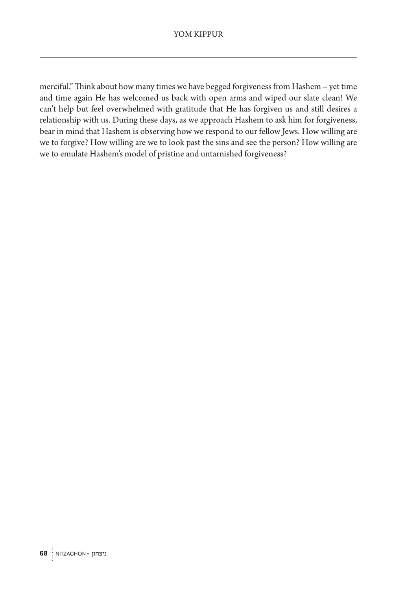merciful." Think about how many times we have begged forgiveness from Hashem – yet time and time again He has welcomed us back with open arms and wiped our slate clean! We can't help but feel overwhelmed with gratitude that He has forgiven us and still desires a relationship with us. During these days, as we approach Hashem to ask him for forgiveness, bear in mind that Hashem is observing how we respond to our fellow Jews. How willing are we to forgive? How willing are we to look past the sins and see the person? How willing are we to emulate Hashem's model of pristine and untarnished forgiveness?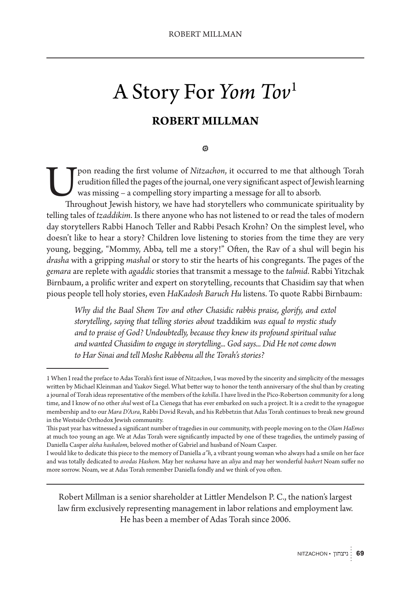### A Story For *Yom Tov*<sup>1</sup>

#### **ROBERT MILLMAN**

#### •

pon reading the first volume of *Nitzachon*, it occurred to me that although Torah erudition filled the pages of the journal, one very significant aspect of Jewish learning was missing – a compelling story imparting a message for all to absorb.

Throughout Jewish history, we have had storytellers who communicate spirituality by telling tales of *tzaddikim*. Is there anyone who has not listened to or read the tales of modern day storytellers Rabbi Hanoch Teller and Rabbi Pesach Krohn? On the simplest level, who doesn't like to hear a story? Children love listening to stories from the time they are very young, begging, "Mommy, Abba*,* tell me a story!" Often, the Rav of a shul will begin his *drasha* with a gripping *mashal* or story to stir the hearts of his congregants. The pages of the *gemara* are replete with *agaddic* stories that transmit a message to the *talmid*. Rabbi Yitzchak Birnbaum, a prolific writer and expert on storytelling, recounts that Chasidim say that when pious people tell holy stories, even *HaKadosh Baruch Hu* listens. To quote Rabbi Birnbaum:

*Why did the Baal Shem Tov and other Chasidic rabbis praise, glorify, and extol storytelling, saying that telling stories about* tzaddikim *was equal to mystic study and to praise of God? Undoubtedly, because they knew its profound spiritual value and wanted Chasidim to engage in storytelling... God says... Did He not come down to Har Sinai and tell Moshe Rabbenu all the Torah's stories?* 

Robert Millman is a senior shareholder at Littler Mendelson P. C., the nation's largest law firm exclusively representing management in labor relations and employment law. He has been a member of Adas Torah since 2006.

<sup>1</sup> When I read the preface to Adas Torah's first issue of *Nitzachon*, I was moved by the sincerity and simplicity of the messages written by Michael Kleinman and Yaakov Siegel. What better way to honor the tenth anniversary of the shul than by creating a journal of Torah ideas representative of the members of the *kehilla*. I have lived in the Pico-Robertson community for a long time, and I know of no other *shul* west of La Cienega that has ever embarked on such a project. It is a credit to the synagogue membership and to our *Mara D'Asra*, Rabbi Dovid Revah, and his Rebbetzin that Adas Torah continues to break new ground in the Westside Orthodox Jewish community.

This past year has witnessed a significant number of tragedies in our community, with people moving on to the *Olam HaEmes* at much too young an age. We at Adas Torah were significantly impacted by one of these tragedies, the untimely passing of Daniella Casper *aleha hashalom*, beloved mother of Gabriel and husband of Noam Casper.

I would like to dedicate this piece to the memory of Daniella *a"h*, a vibrant young woman who always had a smile on her face and was totally dedicated to *avodas Hashem*. May her *neshama* have an *aliya* and may her wonderful *bashert* Noam suffer no more sorrow. Noam, we at Adas Torah remember Daniella fondly and we think of you often.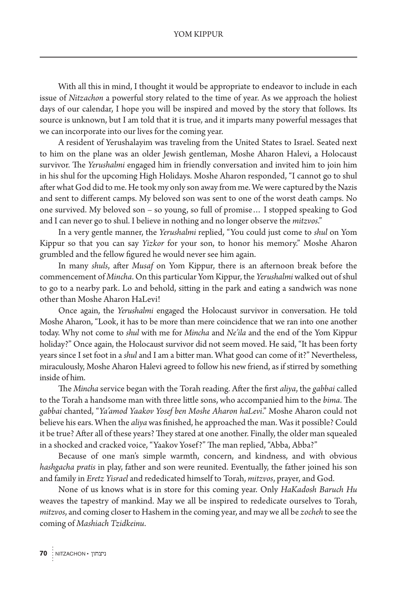With all this in mind, I thought it would be appropriate to endeavor to include in each issue of *Nitzachon* a powerful story related to the time of year. As we approach the holiest days of our calendar, I hope you will be inspired and moved by the story that follows. Its source is unknown, but I am told that it is true, and it imparts many powerful messages that we can incorporate into our lives for the coming year.

A resident of Yerushalayim was traveling from the United States to Israel. Seated next to him on the plane was an older Jewish gentleman, Moshe Aharon Halevi, a Holocaust survivor. The *Yerushalmi* engaged him in friendly conversation and invited him to join him in his shul for the upcoming High Holidays. Moshe Aharon responded, "I cannot go to shul after what God did to me. He took my only son away from me. We were captured by the Nazis and sent to different camps. My beloved son was sent to one of the worst death camps. No one survived. My beloved son – so young, so full of promise… I stopped speaking to God and I can never go to shul. I believe in nothing and no longer observe the *mitzvos*."

In a very gentle manner, the *Yerushalmi* replied, "You could just come to *shul* on Yom Kippur so that you can say *Yizkor* for your son, to honor his memory." Moshe Aharon grumbled and the fellow figured he would never see him again.

In many *shuls*, after *Musaf* on Yom Kippur, there is an afternoon break before the commencement of *Mincha*. On this particular Yom Kippur, the *Yerushalmi* walked out of shul to go to a nearby park. Lo and behold, sitting in the park and eating a sandwich was none other than Moshe Aharon HaLevi!

Once again, the *Yerushalmi* engaged the Holocaust survivor in conversation. He told Moshe Aharon, "Look, it has to be more than mere coincidence that we ran into one another today. Why not come to *shul* with me for *Mincha* and *Ne'ila* and the end of the Yom Kippur holiday?" Once again, the Holocaust survivor did not seem moved. He said, "It has been forty years since I set foot in a *shul* and I am a bitter man. What good can come of it?" Nevertheless, miraculously, Moshe Aharon Halevi agreed to follow his new friend, as if stirred by something inside of him.

The *Mincha* service began with the Torah reading. After the first *aliya*, the *gabbai* called to the Torah a handsome man with three little sons, who accompanied him to the *bima*. The *gabbai* chanted, "*Ya'amod Yaakov Yosef ben Moshe Aharon haLevi*." Moshe Aharon could not believe his ears. When the *aliya* was finished, he approached the man. Was it possible? Could it be true? After all of these years? They stared at one another. Finally, the older man squealed in a shocked and cracked voice, "Yaakov Yosef?" The man replied, "Abba, Abba?"

Because of one man's simple warmth, concern, and kindness, and with obvious *hashgacha pratis* in play, father and son were reunited. Eventually, the father joined his son and family in *Eretz Yisrael* and rededicated himself to Torah, *mitzvos*, prayer, and God.

None of us knows what is in store for this coming year. Only *HaKadosh Baruch Hu* weaves the tapestry of mankind. May we all be inspired to rededicate ourselves to Torah, *mitzvos*, and coming closer to Hashem in the coming year, and may we all be *zocheh* to see the coming of *Mashiach Tzidkeinu*.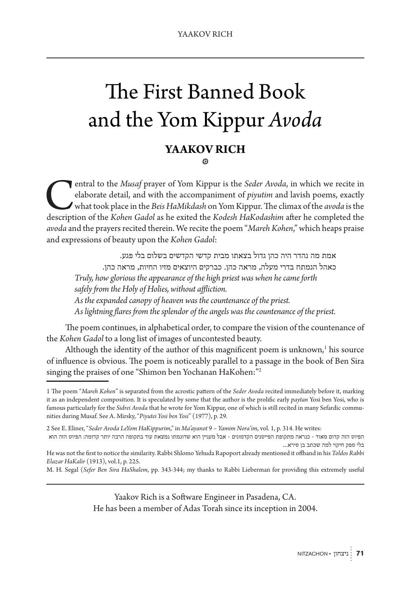# The First Banned Book and the Yom Kippur *Avoda*

#### **YAAKOV RICH** €3

entral to the *Musaf* prayer of Yom Kippur is the *Seder Avoda*, in which we recite in elaborate detail, and with the accompaniment of *piyutim* and lavish poems, exactly what took place in the *Beis HaMikdash* on Yom Kipp elaborate detail, and with the accompaniment of *piyutim* and lavish poems, exactly what took place in the *Beis HaMikdash* on Yom Kippur. The climax of the *avoda* is the *avoda* and the prayers recited therein. We recite the poem "*Mareh Kohen*," which heaps praise and expressions of beauty upon the *Kohen Gadol*:

אמת מה נהדר היה כהן גדול בצאתו מבית קדשי הקדשים בשלום בלי פגע. כאהל הנמתח בדרי מעלה, מראה כהן. כברקים היוצאים מזיו החיות, מראה כהן. *Truly, how glorious the appearance of the high priest was when he came forth safely from the Holy of Holies, without affliction. As the expanded canopy of heaven was the countenance of the priest. As lightning flares from the splendor of the angels was the countenance of the priest.*

The poem continues, in alphabetical order, to compare the vision of the countenance of the *Kohen Gadol* to a long list of images of uncontested beauty.

Although the identity of the author of this magnificent poem is unknown, $^1$  his source of influence is obvious. The poem is noticeably parallel to a passage in the book of Ben Sira singing the praises of one "Shimon ben Yochanan HaKohen:"2

2 See E. Eliner, "*Seder Avoda LeYom HaKippurim*," in *Ma'ayanot* 9 – *Yamim Nora'im*, vol. 1, p. 314. He writes: הפיוט הזה קדום מאוד - כנראה מתקופת הפייטנים הקדמונים - אבל מעניין הוא שדוגמתו נמצאת עוד בתקופה הרבה יותר קדומה: הפיוט הזה הוא

בלי ספק חיקוי למה שכתב בן סירא...

Yaakov Rich is a Software Engineer in Pasadena, CA. He has been a member of Adas Torah since its inception in 2004.

<sup>1</sup> The poem "*Mareh Kohen*" is separated from the acrostic pattern of the *Seder Avoda* recited immediately before it, marking it as an independent composition. It is speculated by some that the author is the prolific early *paytan* Yosi ben Yosi, who is famous particularly for the *Sidrei Avoda* that he wrote for Yom Kippur, one of which is still recited in many Sefardic communities during Musaf. See A. Mirsky, "*Piyutei Yosi ben Yosi*" (1977), p. 29.

He was not the first to notice the similarity. Rabbi Shlomo Yehuda Rapoport already mentioned it offhand in his *Toldos Rabbi Elazar HaKalir* (1913), vol.1, p. 225.

M. H. Segal (*Sefer Ben Sira HaShalem*, pp. 343-344; my thanks to Rabbi Lieberman for providing this extremely useful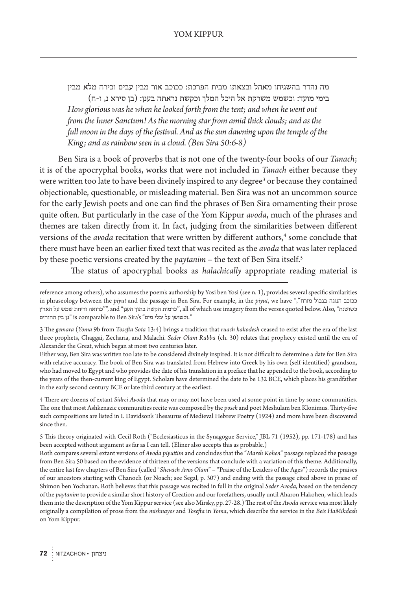מה נהדר בהשגיחו מאהל ובצאתו מבית הפרכת׃ ככוכב אור מבין עבים וכירח מלא מבין

בימי מועד׃ וכשמש משרקת אל היכל המלך וכקשת נראתה בענן׃ )בן סירא נ, ו-ח( *How glorious was he when he looked forth from the tent; and when he went out from the Inner Sanctum! As the morning star from amid thick clouds; and as the full moon in the days of the festival. And as the sun dawning upon the temple of the King; and as rainbow seen in a cloud. (Ben Sira 50:6-8)*

Ben Sira is a book of proverbs that is not one of the twenty-four books of our *Tanach*; it is of the apocryphal books, works that were not included in *Tanach* either because they were written too late to have been divinely inspired to any degree<sup>3</sup> or because they contained objectionable, questionable, or misleading material. Ben Sira was not an uncommon source for the early Jewish poets and one can find the phrases of Ben Sira ornamenting their prose quite often. But particularly in the case of the Yom Kippur *avoda*, much of the phrases and themes are taken directly from it. In fact, judging from the similarities between different versions of the *avoda* recitation that were written by different authors,<sup>4</sup> some conclude that there must have been an earlier fixed text that was recited as the *avoda* that was later replaced by these poetic versions created by the *paytanim* – the text of Ben Sira itself.5

The status of apocryphal books as *halachically* appropriate reading material is

3 The *gemara* (*Yoma* 9b from *Tosefta Sota* 13:4) brings a tradition that *ruach hakodesh* ceased to exist after the era of the last three prophets, Chaggai, Zecharia, and Malachi. *Seder Olam Rabba* (ch. 30) relates that prophecy existed until the era of Alexander the Great, which began at most two centuries later.

Either way, Ben Sira was written too late to be considered divinely inspired. It is not difficult to determine a date for Ben Sira with relative accuracy. The book of Ben Sira was translated from Hebrew into Greek by his own (self-identified) grandson, who had moved to Egypt and who provides the date of his translation in a preface that he appended to the book, according to the years of the then-current king of Egypt. Scholars have determined the date to be 132 BCE, which places his grandfather in the early second century BCE or late third century at the earliest.

4 There are dozens of extant *Sidrei Avoda* that may or may not have been used at some point in time by some communities. The one that most Ashkenazic communities recite was composed by the *posek* and poet Meshulam ben Klonimus. Thirty-five such compositions are listed in I. Davidson's Thesaurus of Medieval Hebrew Poetry (1924) and more have been discovered since then.

5 This theory originated with Cecil Roth ("Ecclesiasticus in the Synagogue Service," JBL 71 (1952), pp. 171-178) and has been accepted without argument as far as I can tell. (Eliner also accepts this as probable.)

Roth compares several extant versions of *Avoda piyuttim* and concludes that the "*Mareh Kohen*" passage replaced the passage from Ben Sira 50 based on the evidence of thirteen of the versions that conclude with a variation of this theme. Additionally, the entire last few chapters of Ben Sira (called "*Shevach Avos Olam*" – "Praise of the Leaders of the Ages") records the praises of our ancestors starting with Chanoch (or Noach; see Segal, p. 307) and ending with the passage cited above in praise of Shimon ben Yochanan. Roth believes that this passage was recited in full in the original *Seder Avoda*, based on the tendency of the *paytanim* to provide a similar short history of Creation and our forefathers, usually until Aharon Hakohen, which leads them into the description of the Yom Kippur service (see also Mirsky, pp. 27-28.) The rest of the *Avoda* service was most likely originally a compilation of prose from the *mishnayos* and *Tosefta* in *Yoma*, which describe the service in the *Beis HaMikdash* on Yom Kippur.

reference among others), who assumes the poem's authorship by Yosi ben Yosi (see n. 1), provides several specific similarities in phraseology between the *piyut* and the passage in Ben Sira. For example, in the *piyut*, we have ","מזרח בגבול הנוגה ככוכב הארץ על שמש זריחת כרואה"", and "הענן בתוך הקשת כדמות", all of which use imagery from the verses quoted below. Also, "כשושנת ".וכשושן על יבלי מים" is comparable to Ben Sira's "גן בין החוחים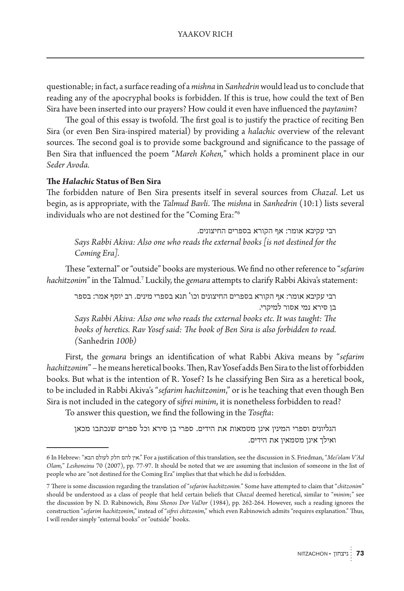questionable; in fact, a surface reading of a *mishna* in *Sanhedrin* would lead us to conclude that reading any of the apocryphal books is forbidden. If this is true, how could the text of Ben Sira have been inserted into our prayers? How could it even have influenced the *paytanim*?

The goal of this essay is twofold. The first goal is to justify the practice of reciting Ben Sira (or even Ben Sira-inspired material) by providing a *halachic* overview of the relevant sources. The second goal is to provide some background and significance to the passage of Ben Sira that influenced the poem "*Mareh Kohen,*" which holds a prominent place in our *Seder Avoda.*

### **The** *Halachic* **Status of Ben Sira**

The forbidden nature of Ben Sira presents itself in several sources from *Chazal*. Let us begin, as is appropriate, with the *Talmud Bavli*. The *mishna* in *Sanhedrin* (10:1) lists several individuals who are not destined for the "Coming Era:"6

רבי עקיבא אומר: אף הקורא בספרים החיצונים. *Says Rabbi Akiva: Also one who reads the external books [is not destined for the Coming Era].*

These "external" or "outside" books are mysterious. We find no other reference to "*sefarim hachitzonim*" in the Talmud.7 Luckily, the *gemara* attempts to clarify Rabbi Akiva's statement:

רבי עקיבא אומר: אף הקורא בספרים החיצונים וכו' תנא בספרי מינים. רב יוסף אמר: בספר בן סירא נמי אסור למיקרי. *Says Rabbi Akiva: Also one who reads the external books etc. It was taught: The books of heretics. Rav Yosef said: The book of Ben Sira is also forbidden to read. (*Sanhedrin *100b)*

First, the *gemara* brings an identification of what Rabbi Akiva means by "*sefarim hachitzonim*" – he means heretical books. Then, Rav Yosef adds Ben Sira to the list of forbidden books. But what is the intention of R. Yosef? Is he classifying Ben Sira as a heretical book, to be included in Rabbi Akiva's "*sefarim hachitzonim*," or is he teaching that even though Ben Sira is not included in the category of s*ifrei minim*, it is nonetheless forbidden to read?

To answer this question, we find the following in the *Tosefta*:

הגליונים וספרי המינין אינן מטמאות את הידים. ספרי בן סירא וכל ספרים שנכתבו מכאן ואילך אינן מטמאין את הידים.

<sup>6</sup> In Hebrew: "הבא לעולם חלק להם אין. "For a justification of this translation, see the discussion in S. Friedman, "*Mei'olam V'Ad Olam,*" *Leshoneinu* 70 (2007), pp. 77-97. It should be noted that we are assuming that inclusion of someone in the list of people who are "not destined for the Coming Era" implies that that which he did is forbidden.

<sup>7</sup> There is some discussion regarding the translation of "*sefarim hachitzonim.*" Some have attempted to claim that "*chitzonim*" should be understood as a class of people that held certain beliefs that *Chazal* deemed heretical, similar to "*minim*;" see the discussion by N. D. Rabinowich, *Binu Shenos Dor VaDor* (1984), pp. 262-264. However, such a reading ignores the construction "*sefarim hachitzonim*," instead of "*sifrei chitzonim*," which even Rabinowich admits "requires explanation." Thus, I will render simply "external books" or "outside" books.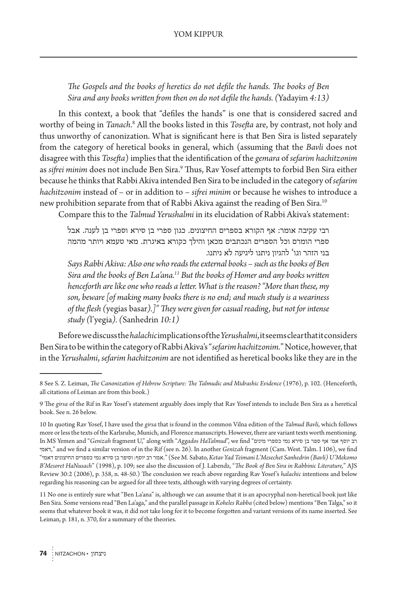*The Gospels and the books of heretics do not defile the hands. The books of Ben Sira and any books written from then on do not defile the hands. (*Yadayim *4:13)*

In this context, a book that "defiles the hands" is one that is considered sacred and worthy of being in *Tanach*. 8 All the books listed in this *Tosefta* are, by contrast, not holy and thus unworthy of canonization. What is significant here is that Ben Sira is listed separately from the category of heretical books in general, which (assuming that the *Bavli* does not disagree with this *Tosefta*) implies that the identification of the *gemara* of *sefarim hachitzonim* as sifrei minim does not include Ben Sira.<sup>9</sup> Thus, Rav Yosef attempts to forbid Ben Sira either because he thinks that Rabbi Akiva intended Ben Sira to be included in the category of *sefarim hachitzonim* instead of – or in addition to – *sifrei minim* or because he wishes to introduce a new prohibition separate from that of Rabbi Akiva against the reading of Ben Sira.10

Compare this to the *Talmud Yerushalmi* in its elucidation of Rabbi Akiva's statement:

רבי עקיבה אומר: אף הקורא בספרים החיצונים. כגון ספרי בן סירא וספרי בן לענה. אבל ספרי הומרם וכל הספרים הנכתבים מכאן והילך כקורא באיגרת. מאי טעמא ויותר מהמה בני הזהר וגו' להגיון ניתנו ליגיעה לא ניתנו.

*Says Rabbi Akiva: Also one who reads the external books – such as the books of Ben Sira and the books of Ben La'ana.11 But the books of Homer and any books written henceforth are like one who reads a letter. What is the reason? "More than these, my son, beware [of making many books there is no end; and much study is a weariness of the flesh (*yegias basar*).]" They were given for casual reading, but not for intense study (*l'yegia*). (*Sanhedrin *10:1)*

Before we discuss the *halachic* implications of the *Yerushalmi*, it seems clear that it considers Ben Sira to be within the category of Rabbi Akiva's "*sefarim hachitzonim.*" Notice, however, that in the *Yerushalmi*, *sefarim hachitzonim* are not identified as heretical books like they are in the

<sup>8</sup> See S. Z. Leiman, *The Canonization of Hebrew Scripture: The Talmudic and Midrashic Evidence* (1976), p. 102. (Henceforth, all citations of Leiman are from this book.)

<sup>9</sup> The *girsa* of the Rif in Rav Yosef 's statement arguably does imply that Rav Yosef intends to include Ben Sira as a heretical book. See n. 26 below.

<sup>10</sup> In quoting Rav Yosef, I have used the *girsa* that is found in the common Vilna edition of the *Talmud Bavli*, which follows more or less the texts of the Karlsruhe, Munich, and Florence manuscripts. However, there are variant texts worth mentioning. In MS Yemen and "*Genizah* fragment U," along with "*Aggados HaTalmud*", we find "מינים כספרי נמי סירא בן ספר אף אמ׳ יוסף רב דאמי, "and we find a similar version of in the Rif (see n. 26). In another *Genizah* fragment (Cam. West. Talm. I 106), we find "דאמי החיצונים כספרים נמי סירא בן וסיפר :יוסף רב אמר.) "See M. Sabato, *Ketav Yad Teimani L'Mesechet Sanhedrin (Bavli) U'Mekomo B'Mesoret HaNusach*" (1998), p. 109; see also the discussion of J. Labendz, "*The Book of Ben Sira in Rabbinic Literature,*" AJS Review 30:2 (2006), p. 358, n. 48-50.) The conclusion we reach above regarding Rav Yosef 's *halachic* intentions and below regarding his reasoning can be argued for all three texts, although with varying degrees of certainty.

<sup>11</sup> No one is entirely sure what "Ben La'ana" is, although we can assume that it is an apocryphal non-heretical book just like Ben Sira. Some versions read "Ben La'aga," and the parallel passage in *Koheles Rabba* (cited below) mentions "Ben Talga," so it seems that whatever book it was, it did not take long for it to become forgotten and variant versions of its name inserted. See Leiman, p. 181, n. 370, for a summary of the theories.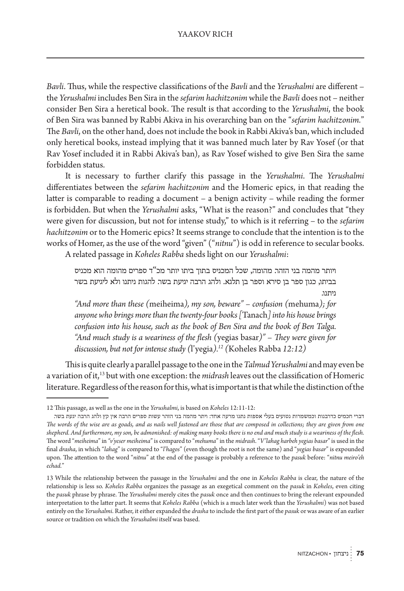*Bavli*. Thus, while the respective classifications of the *Bavli* and the *Yerushalmi* are different – the *Yerushalmi* includes Ben Sira in the *sefarim hachitzonim* while the *Bavli* does not – neither consider Ben Sira a heretical book. The result is that according to the *Yerushalmi*, the book of Ben Sira was banned by Rabbi Akiva in his overarching ban on the "*sefarim hachitzonim.*" The *Bavli*, on the other hand, does not include the book in Rabbi Akiva's ban, which included only heretical books, instead implying that it was banned much later by Rav Yosef (or that Rav Yosef included it in Rabbi Akiva's ban), as Rav Yosef wished to give Ben Sira the same forbidden status.

It is necessary to further clarify this passage in the *Yerushalmi*. The *Yerushalmi* differentiates between the *sefarim hachitzonim* and the Homeric epics, in that reading the latter is comparable to reading a document – a benign activity – while reading the former is forbidden. But when the *Yerushalmi* asks, "What is the reason?" and concludes that "they were given for discussion, but not for intense study," to which is it referring – to the *sefarim hachitzonim* or to the Homeric epics? It seems strange to conclude that the intention is to the works of Homer, as the use of the word "given" ("*nitnu*") is odd in reference to secular books.

A related passage in *Koheles Rabba* sheds light on our *Yerushalmi*:

ויותר מהמה בני הזהר. מהומה, שכל המכניס בתוך ביתו יותר מכ"ד ספרים מהומה הוא מכניס בביתו, כגון ספר בן סירא וספר בן תלגא. ולהג הרבה יגיעת בשר. להגות ניתנו ולא ליגיעת בשר ניתנו.

*"And more than these (*meiheima*), my son, beware" – confusion (*mehuma*); for anyone who brings more than the twenty-four books [*Tanach*] into his house brings confusion into his house, such as the book of Ben Sira and the book of Ben Talga. "And much study is a weariness of the flesh (*yegias basar*)" – They were given for discussion, but not for intense study (*l'yegia*).12 (*Koheles Rabba *12:12)*

This is quite clearly a parallel passage to the one in the *Talmud Yerushalmi* and may even be a variation of it,13 but with one exception: the *midrash* leaves out the classification of Homeric literature. Regardless of the reason for this, what is important is that while the distinction of the

<sup>12</sup> This passage, as well as the one in the *Yerushalmi*, is based on *Koheles* 12:11-12:

דברי חכמים כדרבנות וכמשמרות נטועים בעלי אספות נתנו מרעה אחד: ויתר מהמה בני הזהר עשות ספרים הרבה אין קץ ולהג הרבה יגעת בשר. *The words of the wise are as goads, and as nails well fastened are those that are composed in collections; they are given from one shepherd. And furthermore, my son, be admonished: of making many books there is no end and much study is a weariness of the flesh.* The word "*meiheima*" in *"v'yeser meiheima*" is compared to "*mehuma*" in the *midrash*. "*V'lahag harbeh yegias basar*" is used in the final *drasha*, in which "*lahag*" is compared to "*l'hagos*" (even though the root is not the same) and "*yegias basar*" is expounded upon. The attention to the word "*nitnu*" at the end of the passage is probably a reference to the *pasuk* before: "*nitnu meiro'eh echad.*"

<sup>13</sup> While the relationship between the passage in the *Yerushalmi* and the one in *Koheles Rabba* is clear, the nature of the relationship is less so. *Koheles Rabba* organizes the passage as an exegetical comment on the *pasuk* in *Koheles*, even citing the *pasuk* phrase by phrase. The *Yerushalmi* merely cites the *pasuk* once and then continues to bring the relevant expounded interpretation to the latter part. It seems that *Koheles Rabba* (which is a much later work than the *Yerushalmi*) was not based entirely on the *Yerushalmi*. Rather, it either expanded the *drasha* to include the first part of the *pasuk* or was aware of an earlier source or tradition on which the *Yerushalmi* itself was based.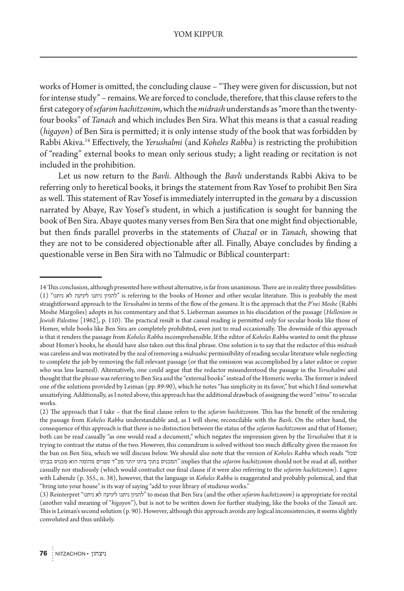works of Homer is omitted, the concluding clause – "They were given for discussion, but not for intense study" – remains. We are forced to conclude, therefore, that this clause refers to the first category of *sefarim hachitzonim*, which the *midrash* understands as "more than the twentyfour books" of *Tanach* and which includes Ben Sira. What this means is that a casual reading (*higayon*) of Ben Sira is permitted; it is only intense study of the book that was forbidden by Rabbi Akiva.14 Effectively, the *Yerushalmi* (and *Koheles Rabba*) is restricting the prohibition of "reading" external books to mean only serious study; a light reading or recitation is not included in the prohibition.

Let us now return to the *Bavli*. Although the *Bavli* understands Rabbi Akiva to be referring only to heretical books, it brings the statement from Rav Yosef to prohibit Ben Sira as well. This statement of Rav Yosef is immediately interrupted in the *gemara* by a discussion narrated by Abaye, Rav Yosef's student, in which a justification is sought for banning the book of Ben Sira. Abaye quotes many verses from Ben Sira that one might find objectionable, but then finds parallel proverbs in the statements of *Chazal* or in *Tanach*, showing that they are not to be considered objectionable after all. Finally, Abaye concludes by finding a questionable verse in Ben Sira with no Talmudic or Biblical counterpart:

<sup>14</sup> This conclusion, although presented here without alternative, is far from unanimous. There are in reality three possibilities: (1) "ניתנו לא ליגיעה ניתנו להגיון "is referring to the books of Homer and other secular literature. This is probably the most straightforward approach to the *Yerushalmi* in terms of the flow of the *gemara*. It is the approach that the *P'nei Moshe* (Rabbi Moshe Margolies) adopts in his commentary and that S. Lieberman assumes in his elucidation of the passage (*Hellenism in Jewish Palestine* [1962], p. 110). The practical result is that casual reading is permitted only for secular books like those of Homer, while books like Ben Sira are completely prohibited, even just to read occasionally. The downside of this approach is that it renders the passage from *Koheles Rabba* incomprehensible. If the editor of *Koheles Rabba* wanted to omit the phrase about Homer's books, he should have also taken out this final phrase. One solution is to say that the redactor of this *midrash* was careless and was motivated by the zeal of removing a *midrashic* permissibility of reading secular literature while neglecting to complete the job by removing the full relevant passage (or that the omission was accomplished by a later editor or copier who was less learned). Alternatively, one could argue that the redactor misunderstood the passage in the *Yerushalmi* and thought that the phrase was referring to Ben Sira and the "external books" instead of the Homeric works. The former is indeed one of the solutions provided by Leiman (pp. 89-90), which he notes "has simplicity in its favor," but which I find somewhat unsatisfying. Additionally, as I noted above, this approach has the additional drawback of assigning the word "*nitnu*" to secular works.

<sup>(2)</sup> The approach that I take – that the final clause refers to the *sefarim hachitzonim*. This has the benefit of the rendering the passage from *Koheles Rabba* understandable and, as I will show, reconcilable with the *Bavli*. On the other hand, the consequence of this approach is that there is no distinction between the status of the *sefarim hachitzonim* and that of Homer; both can be read casually "as one would read a document," which negates the impression given by the *Yerushalmi* that it is trying to contrast the status of the two. However, this conundrum is solved without too much difficulty given the reason for the ban on Ben Sira, which we will discuss below. We should also note that the version of *Koheles Rabba* which reads "שכל התכניס בתוך ביתו יותר מכ<sup>"</sup>ד ספרים מהומה הוא מכניס בתוך "implies that the *sefarim hachitzonim* should not be read at all, neither casually nor studiously (which would contradict our final clause if it were also referring to the *sefarim hachitzonim*). I agree with Labendz (p. 355., n. 38), however, that the language in *Koheles Rabba* is exaggerated and probably polemical, and that "bring into your house" is its way of saying "add to your library of studious works."

<sup>(3)</sup> Reinterpret "ניתנו לא ליגיעה ניתנו להגיון "to mean that Ben Sira (and the other *sefarim hachitzonim*) is appropriate for recital (another valid meaning of "*higayon*"), but is not to be written down for further studying, like the books of the *Tanach* are. This is Leiman's second solution (p. 90). However, although this approach avoids any logical inconsistencies, it seems slightly convoluted and thus unlikely.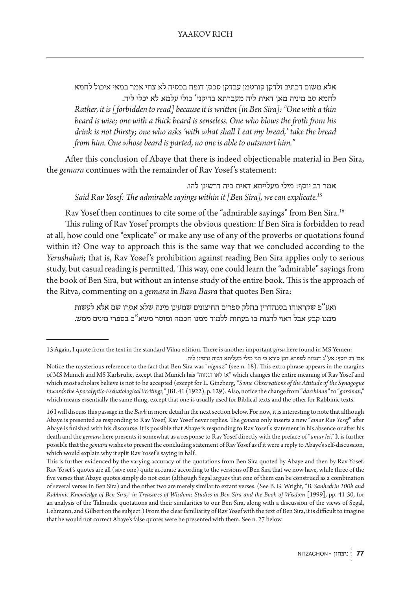אלא משום דכתיב זלדקן קורטמן עבדקן סכסן דנפח בכסיה לא צחי אמר במאי איכול לחמא לחמא סב מיניה מאן דאית ליה מעברתא בדיקני' כולי עלמא לא יכלי ליה. *Rather, it is [forbidden to read] because it is written [in Ben Sira]: "One with a thin beard is wise; one with a thick beard is senseless. One who blows the froth from his drink is not thirsty; one who asks 'with what shall I eat my bread,' take the bread from him. One whose beard is parted, no one is able to outsmart him."* 

After this conclusion of Abaye that there is indeed objectionable material in Ben Sira, the *gemara* continues with the remainder of Rav Yosef 's statement:

אמר רב יוסף: מילי מעלייתא דאית ביה דרשינן להו. *Said Rav Yosef: The admirable sayings within it [Ben Sira], we can explicate.15*

Rav Yosef then continues to cite some of the "admirable sayings" from Ben Sira.<sup>16</sup>

This ruling of Rav Yosef prompts the obvious question: If Ben Sira is forbidden to read at all, how could one "explicate" or make any use of any of the proverbs or quotations found within it? One way to approach this is the same way that we concluded according to the *Yerushalmi*; that is, Rav Yosef 's prohibition against reading Ben Sira applies only to serious study, but casual reading is permitted. This way, one could learn the "admirable" sayings from the book of Ben Sira, but without an intense study of the entire book. This is the approach of the Ritva, commenting on a *gemara* in *Bava Basra* that quotes Ben Sira:

ואע"פ שקראוהו בסנהדרין בחלק ספרים החיצונים שמעינן מינה שלא אסרו שם אלא לעשות ממנו קבע אבל ראוי להגות בו בעתות ללמוד ממנו חכמה ומוסר משא"כ בספרי מינים ממש.

<sup>15</sup> Again, I quote from the text in the standard Vilna edition. There is another important *girsa* here found in MS Yemen: אמ׳ רב יוסף: אע''ג דגנזוה לספרא דבן סירא כי הני מילי מעליתא דביה גרסינן ליה.

Notice the mysterious reference to the fact that Ben Sira was "*nignaz*" (see n. 18). This extra phrase appears in the margins of MS Munich and MS Karlsruhe, except that Munich has "דגנזוה לאו אי "which changes the entire meaning of Rav Yosef and which most scholars believe is not to be accepted (except for L. Ginzberg, "*Some Observations of the Attitude of the Synagogue towards the Apocalyptic-Eschatological Writings,*" JBL 41 (1922), p. 129). Also, notice the change from "*darshinan*" to "*garsinan*," which means essentially the same thing, except that one is usually used for Biblical texts and the other for Rabbinic texts.

<sup>16</sup> I will discuss this passage in the *Bavli* in more detail in the next section below. For now, it is interesting to note that although Abaye is presented as responding to Rav Yosef, Rav Yosef never replies. The *gemara* only inserts a new "*amar Rav Yosef*" after Abaye is finished with his discourse. It is possible that Abaye is responding to Rav Yosef 's statement in his absence or after his death and the *gemara* here presents it somewhat as a response to Rav Yosef directly with the preface of "*amar lei*." It is further possible that the *gemara* wishes to present the concluding statement of Rav Yosef as if it were a reply to Abaye's self-discussion, which would explain why it split Rav Yosef's saying in half.

This is further evidenced by the varying accuracy of the quotations from Ben Sira quoted by Abaye and then by Rav Yosef. Rav Yosef 's quotes are all (save one) quite accurate according to the versions of Ben Sira that we now have, while three of the five verses that Abaye quotes simply do not exist (although Segal argues that one of them can be construed as a combination of several verses in Ben Sira) and the other two are merely similar to extant verses. (See B. G. Wright, "*B. Sanhedrin 100b and Rabbinic Knowledge of Ben Sira," in Treasures of Wisdom: Studies in Ben Sira and the Book of Wisdom* [1999], pp. 41-50, for an analysis of the Talmudic quotations and their similarities to our Ben Sira, along with a discussion of the views of Segal, Lehmann, and Gilbert on the subject.) From the clear familiarity of Rav Yosef with the text of Ben Sira, it is difficult to imagine that he would not correct Abaye's false quotes were he presented with them. See n. 27 below.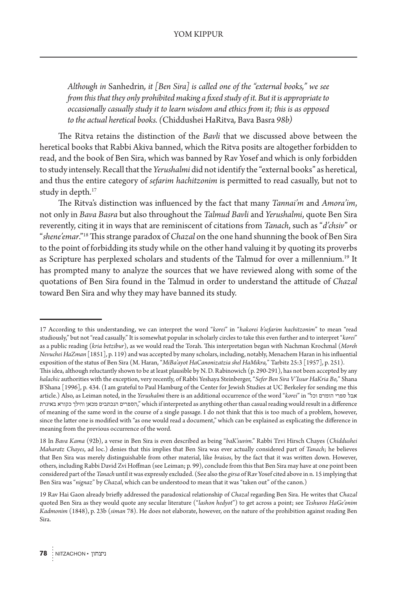*Although in* Sanhedrin*, it [Ben Sira] is called one of the "external books," we see from this that they only prohibited making a fixed study of it. But it is appropriate to occasionally casually study it to learn wisdom and ethics from it; this is as opposed to the actual heretical books. (*Chiddushei HaRitva*,* Bava Basra *98b)*

The Ritva retains the distinction of the *Bavli* that we discussed above between the heretical books that Rabbi Akiva banned, which the Ritva posits are altogether forbidden to read, and the book of Ben Sira, which was banned by Rav Yosef and which is only forbidden to study intensely. Recall that the *Yerushalmi* did not identify the "external books" as heretical, and thus the entire category of *sefarim hachitzonim* is permitted to read casually, but not to study in depth.<sup>17</sup>

The Ritva's distinction was influenced by the fact that many *Tannai'm* and *Amora'im*, not only in *Bava Basra* but also throughout the *Talmud Bavli* and *Yerushalmi*, quote Ben Sira reverently, citing it in ways that are reminiscent of citations from *Tanach*, such as "*d'chsiv*" or "*shene'emar*."18 This strange paradox of *Chazal* on the one hand shunning the book of Ben Sira to the point of forbidding its study while on the other hand valuing it by quoting its proverbs as Scripture has perplexed scholars and students of the Talmud for over a millennium.<sup>19</sup> It has prompted many to analyze the sources that we have reviewed along with some of the quotations of Ben Sira found in the Talmud in order to understand the attitude of *Chazal* toward Ben Sira and why they may have banned its study.

<sup>17</sup> According to this understanding, we can interpret the word "*korei*" in "*hakorei b'sefarim hachitzonim*" to mean "read studiously," but not "read casually." It is somewhat popular in scholarly circles to take this even further and to interpret "*korei*" as a public reading (*kria betzibur*), as we would read the Torah. This interpretation began with Nachman Krochmal (*Moreh Nevuchei HaZman* [1851], p. 119) and was accepted by many scholars, including, notably, Menachem Haran in his influential exposition of the status of Ben Sira (M. Haran, "*MiBa'ayot HaCanonizatzia shel HaMikra,*" Tarbitz 25:3 [1957], p. 251).

This idea, although reluctantly shown to be at least plausible by N. D. Rabinowich (p. 290-291), has not been accepted by any *halachic* authorities with the exception, very recently, of Rabbi Yeshaya Steinberger, "*Sefer Ben Sira V'Issur HaKria Bo,*" Shana B'Shana [1996], p. 434. (I am grateful to Paul Hamburg of the Center for Jewish Studies at UC Berkeley for sending me this article.) Also, as Leiman noted, in the *Yerushalmi* there is an additional occurrence of the word "*korei*" in "וכל הומרם ספרי אבל באיגרת כקורא והילך מכאן הנכתבים הספרים, "which if interpreted as anything other than casual reading would result in a difference of meaning of the same word in the course of a single passage. I do not think that this is too much of a problem, however, since the latter one is modified with "as one would read a document," which can be explained as explicating the difference in meaning from the previous occurrence of the word.

<sup>18</sup> In *Bava Kama* (92b), a verse in Ben Sira is even described as being "*baK'suvim*." Rabbi Tzvi Hirsch Chayes (*Chiddushei Maharatz Chayes*, ad loc.) denies that this implies that Ben Sira was ever actually considered part of *Tanach*; he believes that Ben Sira was merely distinguishable from other material, like *braisos*, by the fact that it was written down. However, others, including Rabbi David Zvi Hoffman (see Leiman; p. 99), conclude from this that Ben Sira may have at one point been considered part of the *Tanach* until it was expressly excluded. (See also the *girsa* of Rav Yosef cited above in n. 15 implying that Ben Sira was "*nignaz*" by *Chazal*, which can be understood to mean that it was "taken out" of the canon.)

<sup>19</sup> Rav Hai Gaon already briefly addressed the paradoxical relationship of *Chazal* regarding Ben Sira. He writes that *Chazal* quoted Ben Sira as they would quote any secular literature ("*lashon hedyot*") to get across a point; see *Teshuvos HaGe'onim Kadmonim* (1848), p. 23b (*siman* 78). He does not elaborate, however, on the nature of the prohibition against reading Ben Sira.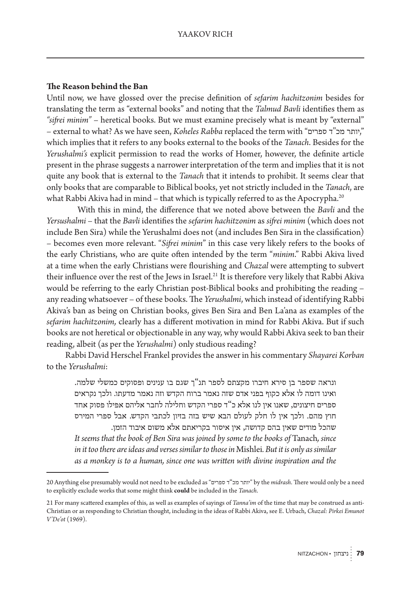### **The Reason behind the Ban**

Until now, we have glossed over the precise definition of *sefarim hachitzonim* besides for translating the term as "external books" and noting that the *Talmud Bavli* identifies them as *"sifrei minim"* – heretical books. But we must examine precisely what is meant by "external" – external to what? As we have seen, *Koheles Rabba* replaced the term with "ספרים ד"מכ יותר, " which implies that it refers to any books external to the books of the *Tanach*. Besides for the *Yerushalmi's* explicit permission to read the works of Homer, however, the definite article present in the phrase suggests a narrower interpretation of the term and implies that it is not quite any book that is external to the *Tanach* that it intends to prohibit. It seems clear that only books that are comparable to Biblical books, yet not strictly included in the *Tanach*, are what Rabbi Akiva had in mind - that which is typically referred to as the Apocrypha.<sup>20</sup>

With this in mind, the difference that we noted above between the *Bavli* and the *Yersushalmi* – that the *Bavli* identifies the *sefarim hachitzonim* as *sifrei minim* (which does not include Ben Sira) while the Yerushalmi does not (and includes Ben Sira in the classification) – becomes even more relevant. "*Sifrei minim*" in this case very likely refers to the books of the early Christians, who are quite often intended by the term "*minim*." Rabbi Akiva lived at a time when the early Christians were flourishing and *Chazal* were attempting to subvert their influence over the rest of the Jews in Israel.21 It is therefore very likely that Rabbi Akiva would be referring to the early Christian post-Biblical books and prohibiting the reading – any reading whatsoever – of these books. The *Yerushalmi*, which instead of identifying Rabbi Akiva's ban as being on Christian books, gives Ben Sira and Ben La'ana as examples of the *sefarim hachitzonim,* clearly has a different motivation in mind for Rabbi Akiva. But if such books are not heretical or objectionable in any way, why would Rabbi Akiva seek to ban their reading, albeit (as per the *Yerushalmi*) only studious reading?

Rabbi David Herschel Frankel provides the answer in his commentary *Shayarei Korban*  to the *Yerushalmi*:

ונראה שספר בן סירא חיברו מקצתם לספר תנ"ך שגם בו ענינים ופסוקים כמשלי שלמה. ואינו דומה לו אלא כקוף בפני אדם שזה נאמר ברוח הקדש וזה נאמר מדעתו. ולכך נקראים ספרים חיצונים, שאנו אין לנו אלא כ"ד ספרי הקדש וחלילה לחבר אליהם אפילו פסוק אחד חוץ מהם. ולכך אין לו חלק לעולם הבא שיש בזה בזיון לכתבי הקדש. אבל ספרי המירס

שהכל מודים שאין בהם קדושה, אין איסור בקריאתם אלא משום איבוד הזמן. *It seems that the book of Ben Sira was joined by some to the books of* Tanach*, since in it too there are ideas and verses similar to those in* Mishlei*. But it is only as similar as a monkey is to a human, since one was written with divine inspiration and the* 

<sup>20</sup> Anything else presumably would not need to be excluded as "ספרים ד"מכ יותר "by the *midrash*. There would only be a need to explicitly exclude works that some might think **could** be included in the *Tanach*.

<sup>21</sup> For many scattered examples of this, as well as examples of sayings of *Tanna'im* of the time that may be construed as anti-Christian or as responding to Christian thought, including in the ideas of Rabbi Akiva, see E. Urbach, *Chazal: Pirkei Emunot V'De'ot* (1969).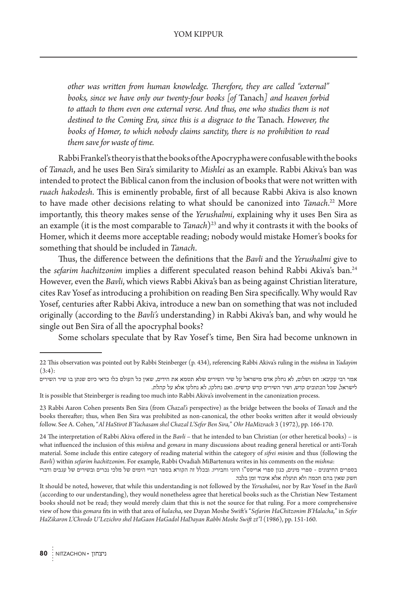*other was written from human knowledge. Therefore, they are called "external" books, since we have only our twenty-four books [of* Tanach*] and heaven forbid to attach to them even one external verse. And thus, one who studies them is not destined to the Coming Era, since this is a disgrace to the* Tanach*. However, the books of Homer, to which nobody claims sanctity, there is no prohibition to read them save for waste of time.*

Rabbi Frankel's theory is that the books of the Apocrypha were confusable with the books of *Tanach*, and he uses Ben Sira's similarity to *Mishlei* as an example. Rabbi Akiva's ban was intended to protect the Biblical canon from the inclusion of books that were not written with *ruach hakodesh*. This is eminently probable, first of all because Rabbi Akiva is also known to have made other decisions relating to what should be canonized into *Tanach*. 22 More importantly, this theory makes sense of the *Yerushalmi*, explaining why it uses Ben Sira as an example (it is the most comparable to *Tanach*)<sup>23</sup> and why it contrasts it with the books of Homer, which it deems more acceptable reading; nobody would mistake Homer's books for something that should be included in *Tanach*.

Thus, the difference between the definitions that the *Bavli* and the *Yerushalmi* give to the *sefarim hachitzonim* implies a different speculated reason behind Rabbi Akiva's ban.<sup>24</sup> However, even the *Bavli*, which views Rabbi Akiva's ban as being against Christian literature, cites Rav Yosef as introducing a prohibition on reading Ben Sira specifically. Why would Rav Yosef, centuries after Rabbi Akiva, introduce a new ban on something that was not included originally (according to the *Bavli's* understanding) in Rabbi Akiva's ban, and why would he single out Ben Sira of all the apocryphal books?

Some scholars speculate that by Rav Yosef 's time, Ben Sira had become unknown in

בספרים החיצונים - ספרי מינים, כגון ספרי אריסט"ו היוני וחביריו. ובכלל זה הקורא בספר דברי הימים של מלכי נכרים ובשירים של עגבים ודברי חשק שאין בהם חכמה ולא תועלת אלא איבוד זמן בלבד.

<sup>22</sup> This observation was pointed out by Rabbi Steinberger (p. 434), referencing Rabbi Akiva's ruling in the *mishna* in *Yadayim*  $(3:4):$ 

אמר רבי עקיבא: חס ושלום, לא נחלק אדם מישראל על שיר השירים שלא תטמא את הידים, שאין כל העולם כלו כדאי כיום שנתן בו שיר השירים לישראל, שכל הכתובים קדש, ושיר השירים קדש קדשים. ואם נחלקו, לא נחלקו אלא על קהלת.

It is possible that Steinberger is reading too much into Rabbi Akiva's involvement in the canonization process.

<sup>23</sup> Rabbi Aaron Cohen presents Ben Sira (from *Chazal's* perspective) as the bridge between the books of *Tanach* and the books thereafter; thus, when Ben Sira was prohibited as non-canonical, the other books written after it would obviously follow. See A. Cohen, "*Al HaStirot B'Yachasam shel Chazal L'Sefer Ben Sira,*" *Ohr HaMizrach* 3 (1972), pp. 166-170.

<sup>24</sup> The interpretation of Rabbi Akiva offered in the *Bavli* – that he intended to ban Christian (or other heretical books) – is what influenced the inclusion of this *mishna* and *gemara* in many discussions about reading general heretical or anti-Torah material. Some include this entire category of reading material within the category of *sifrei minim* and thus (following the *Bavli*) within *sefarim hachitzonim*. For example, Rabbi Ovadiah MiBartenura writes in his comments on the *mishna*:

It should be noted, however, that while this understanding is not followed by the *Yerushalmi*, nor by Rav Yosef in the *Bavli* (according to our understanding), they would nonetheless agree that heretical books such as the Christian New Testament books should not be read; they would merely claim that this is not the source for that ruling. For a more comprehensive view of how this *gemara* fits in with that area of *halacha*, see Dayan Moshe Swift's "*Sefarim HaChitzonim B'Halacha,*" in *Sefer HaZikaron L'Chvodo U'Lezichro shel HaGaon HaGadol HaDayan Rabbi Moshe Swift zt"l* (1986), pp. 151-160.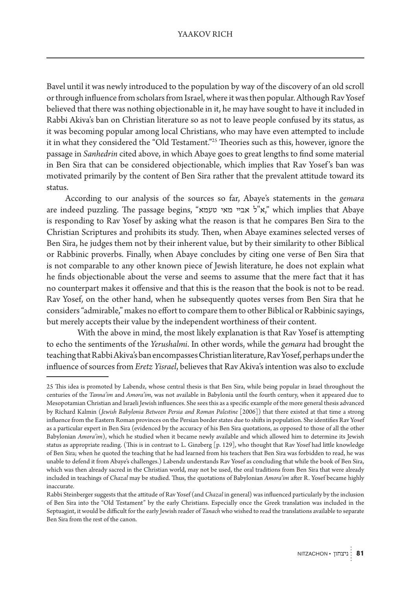Bavel until it was newly introduced to the population by way of the discovery of an old scroll or through influence from scholars from Israel, where it was then popular. Although Rav Yosef believed that there was nothing objectionable in it, he may have sought to have it included in Rabbi Akiva's ban on Christian literature so as not to leave people confused by its status, as it was becoming popular among local Christians, who may have even attempted to include it in what they considered the "Old Testament."<sup>25</sup> Theories such as this, however, ignore the passage in *Sanhedrin* cited above, in which Abaye goes to great lengths to find some material in Ben Sira that can be considered objectionable, which implies that Rav Yosef's ban was motivated primarily by the content of Ben Sira rather that the prevalent attitude toward its status.

According to our analysis of the sources so far, Abaye's statements in the *gemara* are indeed puzzling. The passage begins, "טעמא מאי אביי ל"א, "which implies that Abaye is responding to Rav Yosef by asking what the reason is that he compares Ben Sira to the Christian Scriptures and prohibits its study. Then, when Abaye examines selected verses of Ben Sira, he judges them not by their inherent value, but by their similarity to other Biblical or Rabbinic proverbs. Finally, when Abaye concludes by citing one verse of Ben Sira that is not comparable to any other known piece of Jewish literature, he does not explain what he finds objectionable about the verse and seems to assume that the mere fact that it has no counterpart makes it offensive and that this is the reason that the book is not to be read. Rav Yosef, on the other hand, when he subsequently quotes verses from Ben Sira that he considers "admirable," makes no effort to compare them to other Biblical or Rabbinic sayings, but merely accepts their value by the independent worthiness of their content.

With the above in mind, the most likely explanation is that Rav Yosef is attempting to echo the sentiments of the *Yerushalmi*. In other words, while the *gemara* had brought the teaching that Rabbi Akiva's ban encompasses Christian literature, Rav Yosef, perhaps under the influence of sources from *Eretz Yisrael*, believes that Rav Akiva's intention was also to exclude

<sup>25</sup> This idea is promoted by Labendz, whose central thesis is that Ben Sira, while being popular in Israel throughout the centuries of the *Tanna'im* and *Amora'im*, was not available in Babylonia until the fourth century, when it appeared due to Mesopotamian Christian and Israeli Jewish influences. She sees this as a specific example of the more general thesis advanced by Richard Kalmin (*Jewish Babylonia Between Persia and Roman Palestine* [2006]) that there existed at that time a strong influence from the Eastern Roman provinces on the Persian border states due to shifts in population. She identifies Rav Yosef as a particular expert in Ben Sira (evidenced by the accuracy of his Ben Sira quotations, as opposed to those of all the other Babylonian *Amora'im*), which he studied when it became newly available and which allowed him to determine its Jewish status as appropriate reading. (This is in contrast to L. Ginzberg [p. 129], who thought that Rav Yosef had little knowledge of Ben Sira; when he quoted the teaching that he had learned from his teachers that Ben Sira was forbidden to read, he was unable to defend it from Abaye's challenges.) Labendz understands Rav Yosef as concluding that while the book of Ben Sira, which was then already sacred in the Christian world, may not be used, the oral traditions from Ben Sira that were already included in teachings of *Chazal* may be studied. Thus, the quotations of Babylonian *Amora'im* after R. Yosef became highly inaccurate.

Rabbi Steinberger suggests that the attitude of Rav Yosef (and *Chazal* in general) was influenced particularly by the inclusion of Ben Sira into the "Old Testament" by the early Christians. Especially once the Greek translation was included in the Septuagint, it would be difficult for the early Jewish reader of *Tanach* who wished to read the translations available to separate Ben Sira from the rest of the canon.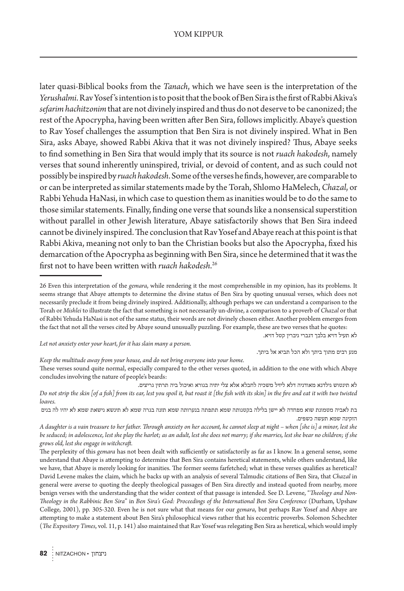later quasi-Biblical books from the *Tanach*, which we have seen is the interpretation of the *Yerushalmi*. Rav Yosef 's intention is to posit that the book of Ben Sira is the first of Rabbi Akiva's *sefarim hachitzonim* that are not divinely inspired and thus do not deserve to be canonized; the rest of the Apocrypha, having been written after Ben Sira, follows implicitly. Abaye's question to Rav Yosef challenges the assumption that Ben Sira is not divinely inspired. What in Ben Sira, asks Abaye, showed Rabbi Akiva that it was not divinely inspired? Thus, Abaye seeks to find something in Ben Sira that would imply that its source is not *ruach hakodesh*, namely verses that sound inherently uninspired, trivial, or devoid of content, and as such could not possibly be inspired by *ruach hakodesh*. Some of the verses he finds, however, are comparable to or can be interpreted as similar statements made by the Torah, Shlomo HaMelech, *Chazal*, or Rabbi Yehuda HaNasi, in which case to question them as inanities would be to do the same to those similar statements. Finally, finding one verse that sounds like a nonsensical superstition without parallel in other Jewish literature, Abaye satisfactorily shows that Ben Sira indeed cannot be divinely inspired. The conclusion that Rav Yosef and Abaye reach at this point is that Rabbi Akiva, meaning not only to ban the Christian books but also the Apocrypha, fixed his demarcation of the Apocrypha as beginning with Ben Sira, since he determined that it was the first not to have been written with *ruach hakodesh*. 26

לא תעיל דויא בלבך דגברי גיברין קטל דויא.

#### *Let not anxiety enter your heart, for it has slain many a person.*

מנע רבים מתוך ביתך ולא הכל תביא אל ביתך.

*Keep the multitude away from your house, and do not bring everyone into your home.*

<sup>26</sup> Even this interpretation of the *gemara*, while rendering it the most comprehensible in my opinion, has its problems. It seems strange that Abaye attempts to determine the divine status of Ben Sira by quoting unusual verses, which does not necessarily preclude it from being divinely inspired. Additionally, although perhaps we can understand a comparison to the Torah or *Mishlei* to illustrate the fact that something is not necessarily un-divine, a comparison to a proverb of *Chazal* or that of Rabbi Yehuda HaNasi is not of the same status, their words are not divinely chosen either. Another problem emerges from the fact that not all the verses cited by Abaye sound unusually puzzling. For example, these are two verses that he quotes:

These verses sound quite normal, especially compared to the other verses quoted, in addition to the one with which Abaye concludes involving the nature of people's beards:

לא תינטוש גילדנא מאודניה דלא ליזיל משכיה לחבלא אלא צלי יתיה בנורא ואיכול ביה תרתין גריצים. *Do not strip the skin [of a fish] from its ear, lest you spoil it, but roast it [the fish with its skin] in the fire and eat it with two twisted loaves.*

בת לאביה מטמונת שוא מפחדה לא יישן בלילה בקטנותה שמא תתפתה בנערותה שמא תזנה בגרה שמא לא תינשא נישאת שמא לא יהיו לה בנים הזקינה שמא תעשה כשפים.

*A daughter is a vain treasure to her father. Through anxiety on her account, he cannot sleep at night – when [she is] a minor, lest she be seduced; in adolescence, lest she play the harlot; as an adult, lest she does not marry; if she marries, lest she bear no children; if she grows old, lest she engage in witchcraft.*

The perplexity of this *gemara* has not been dealt with sufficiently or satisfactorily as far as I know. In a general sense, some understand that Abaye is attempting to determine that Ben Sira contains heretical statements, while others understand, like we have, that Abaye is merely looking for inanities. The former seems farfetched; what in these verses qualifies as heretical? David Levene makes the claim, which he backs up with an analysis of several Talmudic citations of Ben Sira, that *Chazal* in general were averse to quoting the deeply theological passages of Ben Sira directly and instead quoted from nearby, more benign verses with the understanding that the wider context of that passage is intended. See D. Levene, "*Theology and Non-Theology in the Rabbinic Ben Sira*" in *Ben Sira's God: Proceedings of the International Ben Sira Conference* (Durham, Upshaw College, 2001), pp. 305-320. Even he is not sure what that means for our *gemara*, but perhaps Rav Yosef and Abaye are attempting to make a statement about Ben Sira's philosophical views rather that his eccentric proverbs. Solomon Schechter (*The Expository Times*, vol. 11, p. 141) also maintained that Rav Yosef was relegating Ben Sira as heretical, which would imply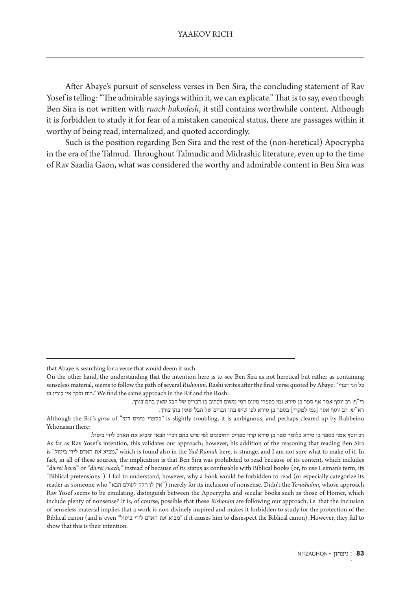After Abaye's pursuit of senseless verses in Ben Sira, the concluding statement of Rav Yosef is telling: "The admirable sayings within it, we can explicate." That is to say, even though Ben Sira is not written with *ruach hakodesh*, it still contains worthwhile content. Although it is forbidden to study it for fear of a mistaken canonical status, there are passages within it worthy of being read, internalized, and quoted accordingly.

Such is the position regarding Ben Sira and the rest of the (non-heretical) Apocrypha in the era of the Talmud. Throughout Talmudic and Midrashic literature, even up to the time of Rav Saadia Gaon, what was considered the worthy and admirable content in Ben Sira was

that Abaye is searching for a verse that would deem it such.

On the other hand, the understanding that the intention here is to see Ben Sira as not heretical but rather as containing senseless material, seems to follow the path of several *Rishonim*. Rashi writes after the final verse quoted by Abaye: "דברי הני כל רוח ולכך אין קורין בו." We find the same approach in the Rif and the Rosh:

רי"ף: רב יוסף אמר אף ספר בן סירא נמי כספרי מינים דמי משום דכתיב בו דברים של הבל שאין בהם צורך.

רא"ש: רב יוסף אסר ]נמי למקרי[ בספר בן סירא לפי שיש בהן דברים של הבל שאין בהן צורך.

Although the Rif 's *girsa* of "דמי מינים כספרי "is slightly troubling, it is ambiguous, and perhaps cleared up by Rabbeinu Yehonasan there:

רב יוסף אמר בספר בן סירא כלומר ספר בן סירא קרוי ספרים החיצונים לפי שיש בהם דברי הבאי ומביא את האדם לידי ביטול. As far as Rav Yosef 's intention, this validates our approach; however, his addition of the reasoning that reading Ben Sira is "ביטול לידי האדם את מביא, "which is found also in the *Yad Ramah* here, is strange, and I am not sure what to make of it. In fact, in all of these sources, the implication is that Ben Sira was prohibited to read because of its content, which includes "*divrei hevel*" or "*divrei ruach,*" instead of because of its status as confusable with Biblical books (or, to use Leiman's term, its "Biblical pretensions"). I fail to understand, however, why a book would be forbidden to read (or especially categorize its reader as someone who "הבא לעולם חלק לו אין ("merely for its inclusion of nonsense. Didn't the *Yerushalmi*, whose approach Rav Yosef seems to be emulating, distinguish between the Apocrypha and secular books such as those of Homer, which include plenty of nonsense? It is, of course, possible that these *Rishonim* are following our approach, i.e. that the inclusion of senseless material implies that a work is non-divinely inspired and makes it forbidden to study for the protection of the Biblical canon (and is even "ביטול לידי האדם את מביא "if it causes him to disrespect the Biblical canon). However, they fail to show that this is their intention.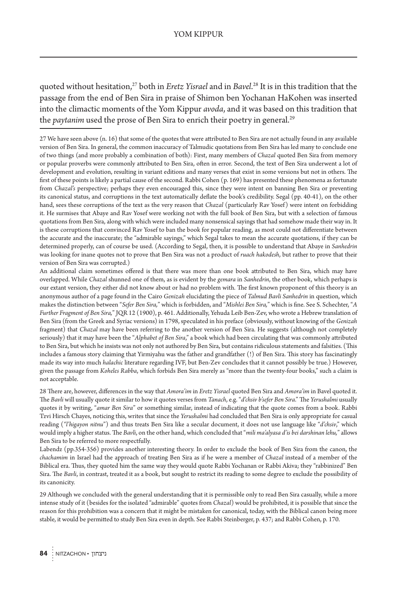quoted without hesitation,<sup>27</sup> both in *Eretz Yisrael* and in *Bavel*.<sup>28</sup> It is in this tradition that the passage from the end of Ben Sira in praise of Shimon ben Yochanan HaKohen was inserted into the climactic moments of the Yom Kippur *avoda*, and it was based on this tradition that the *paytanim* used the prose of Ben Sira to enrich their poetry in general.<sup>29</sup>

27 We have seen above (n. 16) that some of the quotes that were attributed to Ben Sira are not actually found in any available version of Ben Sira. In general, the common inaccuracy of Talmudic quotations from Ben Sira has led many to conclude one of two things (and more probably a combination of both): First, many members of *Chazal* quoted Ben Sira from memory or popular proverbs were commonly attributed to Ben Sira, often in error. Second, the text of Ben Sira underwent a lot of development and evolution, resulting in variant editions and many verses that exist in some versions but not in others. The first of these points is likely a partial cause of the second. Rabbi Cohen (p. 169) has presented these phenomena as fortunate from *Chazal's* perspective; perhaps they even encouraged this, since they were intent on banning Ben Sira or preventing its canonical status, and corruptions in the text automatically deflate the book's credibility. Segal (pp. 40-41), on the other hand, sees these corruptions of the text as the very reason that *Chazal* (particularly Rav Yosef) were intent on forbidding it. He surmises that Abaye and Rav Yosef were working not with the full book of Ben Sira, but with a selection of famous quotations from Ben Sira, along with which were included many nonsensical sayings that had somehow made their way in. It is these corruptions that convinced Rav Yosef to ban the book for popular reading, as most could not differentiate between the accurate and the inaccurate; the "admirable sayings," which Segal takes to mean the accurate quotations, if they can be determined properly, can of course be used. (According to Segal, then, it is possible to understand that Abaye in *Sanhedrin* was looking for inane quotes not to prove that Ben Sira was not a product of *ruach hakodesh*, but rather to prove that their version of Ben Sira was corrupted.)

An additional claim sometimes offered is that there was more than one book attributed to Ben Sira, which may have overlapped. While *Chazal* shunned one of them, as is evident by the *gemara* in *Sanhedrin*, the other book, which perhaps is our extant version, they either did not know about or had no problem with. The first known proponent of this theory is an anonymous author of a page found in the Cairo *Genizah* elucidating the piece of *Talmud Bavli Sanhedrin* in question, which makes the distinction between "*Sefer Ben Sira,*" which is forbidden, and "*Mishlei Ben Sira,*" which is fine. See S. Schechter, "*A Further Fragment of Ben Sira,*" JQR 12 (1900), p. 461. Additionally, Yehuda Leib Ben-Zev, who wrote a Hebrew translation of Ben Sira (from the Greek and Syriac versions) in 1798, speculated in his preface (obviously, without knowing of the *Genizah* fragment) that *Chazal* may have been referring to the another version of Ben Sira. He suggests (although not completely seriously) that it may have been the "*Alphabet of Ben Sira*," a book which had been circulating that was commonly attributed to Ben Sira, but which he insists was not only not authored by Ben Sira, but contains ridiculous statements and falsities. (This includes a famous story claiming that Yirmiyahu was the father and grandfather (!) of Ben Sira. This story has fascinatingly made its way into much *halachic* literature regarding IVF, but Ben-Zev concludes that it cannot possibly be true.) However, given the passage from *Koheles Rabba*, which forbids Ben Sira merely as "more than the twenty-four books," such a claim is not acceptable.

28 There are, however, differences in the way that *Amora'im* in *Eretz Yisrael* quoted Ben Sira and *Amora'im* in Bavel quoted it. The *Bavli* will usually quote it similar to how it quotes verses from *Tanach*, e.g. "*d'chsiv b'sefer Ben Sira*." The *Yerushalmi* usually quotes it by writing, "*amar Ben Sira*" or something similar, instead of indicating that the quote comes from a book. Rabbi Tzvi Hirsch Chayes, noticing this, writes that since the *Yerushalmi* had concluded that Ben Sira is only appropriate for casual reading (*"l'higayon nitnu*") and thus treats Ben Sira like a secular document, it does not use language like "*d'chsiv*," which would imply a higher status. The *Bavli*, on the other hand, which concluded that "*mili ma'alyasa d'is bei darshinan lehu,*" allows Ben Sira to be referred to more respectfully.

Labendz (pp.354-356) provides another interesting theory. In order to exclude the book of Ben Sira from the canon, the *chachamim* in Israel had the approach of treating Ben Sira as if he were a member of *Chazal* instead of a member of the Biblical era. Thus, they quoted him the same way they would quote Rabbi Yochanan or Rabbi Akiva; they "rabbinized" Ben Sira. The *Bavli*, in contrast, treated it as a book, but sought to restrict its reading to some degree to exclude the possibility of its canonicity.

29 Although we concluded with the general understanding that it is permissible only to read Ben Sira casually, while a more intense study of it (besides for the isolated "admirable" quotes from *Chazal*) would be prohibited, it is possible that since the reason for this prohibition was a concern that it might be mistaken for canonical, today, with the Biblical canon being more stable, it would be permitted to study Ben Sira even in depth. See Rabbi Steinberger, p. 437; and Rabbi Cohen, p. 170.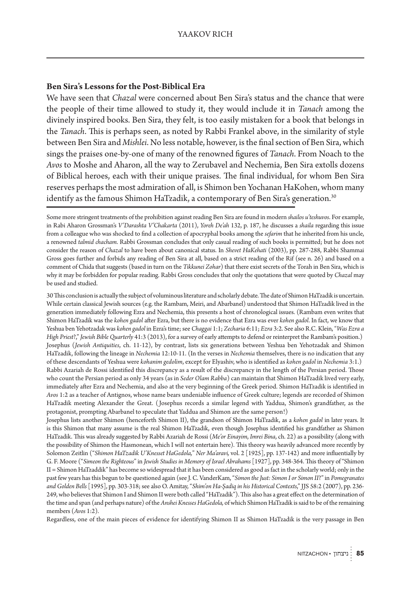### **Ben Sira's Lessons for the Post-Biblical Era**

We have seen that *Chazal* were concerned about Ben Sira's status and the chance that were the people of their time allowed to study it, they would include it in *Tanach* among the divinely inspired books. Ben Sira, they felt, is too easily mistaken for a book that belongs in the *Tanach*. This is perhaps seen, as noted by Rabbi Frankel above, in the similarity of style between Ben Sira and *Mishlei*. No less notable, however, is the final section of Ben Sira, which sings the praises one-by-one of many of the renowned figures of *Tanach*. From Noach to the *Avos* to Moshe and Aharon, all the way to Zerubavel and Nechemia, Ben Sira extolls dozens of Biblical heroes, each with their unique praises. The final individual, for whom Ben Sira reserves perhaps the most admiration of all, is Shimon ben Yochanan HaKohen, whom many identify as the famous Shimon HaTzadik, a contemporary of Ben Sira's generation.<sup>30</sup>

30 This conclusion is actually the subject of voluminous literature and scholarly debate. The date of Shimon HaTzadik is uncertain. While certain classical Jewish sources (e.g. the Rambam, Meiri, and Abarbanel) understood that Shimon HaTzadik lived in the generation immediately following Ezra and Nechemia, this presents a host of chronological issues. (Rambam even writes that Shimon HaTzadik was the *kohen gadol* after Ezra, but there is no evidence that Ezra was ever *kohen gadol*. In fact, we know that Yeshua ben Yehotzadak was *kohen gadol* in Ezra's time; see *Chaggai* 1:1; *Zecharia* 6:11; *Ezra* 3:2. See also R.C. Klein, "*Was Ezra a High Priest*?," *Jewish Bible Quarterly* 41:3 (2013), for a survey of early attempts to defend or reinterpret the Rambam's position.) Josephus (*Jewish Antiquities*, ch. 11-12), by contrast, lists six generations between Yeshua ben Yehotzadak and Shimon HaTzadik, following the lineage in *Nechemia* 12:10-11. (In the verses in *Nechemia* themselves, there is no indication that any of these descendants of Yeshua were *kohanim gedolim*, except for Elyashiv, who is identified as *kohen gadol* in *Nechemia* 3:1.) Rabbi Azariah de Rossi identified this discrepancy as a result of the discrepancy in the length of the Persian period. Those who count the Persian period as only 34 years (as in *Seder Olam Rabba*) can maintain that Shimon HaTzadik lived very early, immediately after Ezra and Nechemia, and also at the very beginning of the Greek period. Shimon HaTzadik is identified in *Avos* 1:2 as a teacher of Antignos, whose name bears undeniable influence of Greek culture; legends are recorded of Shimon HaTzadik meeting Alexander the Great. ( Josephus records a similar legend with Yaddua, Shimon's grandfather, as the protagonist, prompting Abarbanel to speculate that Yaddua and Shimon are the same person!)

Josephus lists another Shimon (henceforth Shimon II), the grandson of Shimon HaTzadik, as a *kohen gadol* in later years. It is this Shimon that many assume is the real Shimon HaTzadik, even though Josephus identified his grandfather as Shimon HaTzadik. This was already suggested by Rabbi Azariah de Rossi (*Me'or Einayim*, *Imrei Bina*, ch. 22) as a possibility (along with the possibility of Shimon the Hasmonean, which I will not entertain here). This theory was heavily advanced more recently by Solomon Zeitlin ("*Shimon HaTzadik U'Knesset HaGedola,*" *Ner Ma'aravi,* vol. 2 [1925], pp. 137-142) and more influentially by G. F. Moore ("*Simeon the Righteous*" in *Jewish Studies in Memory of Israel Abrahams* [1927], pp. 348-364. This theory of "Shimon II = Shimon HaTzaddik" has become so widespread that it has been considered as good as fact in the scholarly world; only in the past few years has this begun to be questioned again (see J. C. VanderKam, "*Simon the Just: Simon I or Simon II*?" in *Pomegranates and Golden Bells* [1995], pp. 303-318; see also O. Amitay, "*Shim'on Ha-Şadiq in his Historical Contexts*," JJS 58:2 (2007), pp. 236- 249, who believes that Shimon I and Shimon II were both called "HaTzadik"). This also has a great effect on the determination of the time and span (and perhaps nature) of the *Anshei Knesses HaGedola,* of which Shimon HaTzadik is said to be of the remaining members (*Avos* 1:2).

Regardless, one of the main pieces of evidence for identifying Shimon II as Shimon HaTzadik is the very passage in Ben

Some more stringent treatments of the prohibition against reading Ben Sira are found in modern *shailos u'teshuvos*. For example, in Rabi Aharon Grossman's *V'Darashta V'Chakarta* (2011), *Yoreh De'ah* 132, p. 187, he discusses a *shaila* regarding this issue from a colleague who was shocked to find a collection of apocryphal books among the *sefarim* that he inherited from his uncle, a renowned *talmid chacham*. Rabbi Grossman concludes that only casual reading of such books is permitted; but he does not consider the reason of *Chazal* to have been about canonical status. In *Shevet HaKehati* (2003), pp. 287-288, Rabbi Shammai Gross goes further and forbids any reading of Ben Sira at all, based on a strict reading of the Rif (see n. 26) and based on a comment of Chida that suggests (based in turn on the *Tikkunei Zohar*) that there exist secrets of the Torah in Ben Sira, which is why it may be forbidden for popular reading. Rabbi Gross concludes that only the quotations that were quoted by *Chazal* may be used and studied.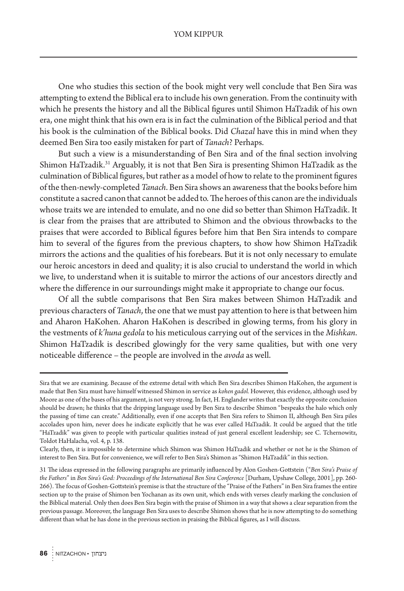One who studies this section of the book might very well conclude that Ben Sira was attempting to extend the Biblical era to include his own generation. From the continuity with which he presents the history and all the Biblical figures until Shimon HaTzadik of his own era, one might think that his own era is in fact the culmination of the Biblical period and that his book is the culmination of the Biblical books. Did *Chazal* have this in mind when they deemed Ben Sira too easily mistaken for part of *Tanach*? Perhaps.

But such a view is a misunderstanding of Ben Sira and of the final section involving Shimon HaTzadik.31 Arguably, it is not that Ben Sira is presenting Shimon HaTzadik as the culmination of Biblical figures, but rather as a model of how to relate to the prominent figures of the then-newly-completed *Tanach*. Ben Sira shows an awareness that the books before him constitute a sacred canon that cannot be added to. The heroes of this canon are the individuals whose traits we are intended to emulate, and no one did so better than Shimon HaTzadik. It is clear from the praises that are attributed to Shimon and the obvious throwbacks to the praises that were accorded to Biblical figures before him that Ben Sira intends to compare him to several of the figures from the previous chapters, to show how Shimon HaTzadik mirrors the actions and the qualities of his forebears. But it is not only necessary to emulate our heroic ancestors in deed and quality; it is also crucial to understand the world in which we live, to understand when it is suitable to mirror the actions of our ancestors directly and where the difference in our surroundings might make it appropriate to change our focus.

Of all the subtle comparisons that Ben Sira makes between Shimon HaTzadik and previous characters of *Tanach*, the one that we must pay attention to here is that between him and Aharon HaKohen. Aharon HaKohen is described in glowing terms, from his glory in the vestments of *k'huna gedola* to his meticulous carrying out of the services in the *Mishkan*. Shimon HaTzadik is described glowingly for the very same qualities, but with one very noticeable difference – the people are involved in the *avoda* as well.

Sira that we are examining. Because of the extreme detail with which Ben Sira describes Shimon HaKohen, the argument is made that Ben Sira must have himself witnessed Shimon in service as *kohen gadol.* However, this evidence, although used by Moore as one of the bases of his argument, is not very strong. In fact, H. Englander writes that exactly the opposite conclusion should be drawn; he thinks that the dripping language used by Ben Sira to describe Shimon "bespeaks the halo which only the passing of time can create." Additionally, even if one accepts that Ben Sira refers to Shimon II, although Ben Sira piles accolades upon him, never does he indicate explicitly that he was ever called HaTzadik. It could be argued that the title "HaTzadik" was given to people with particular qualities instead of just general excellent leadership; see C. Tchernowitz, Toldot HaHalacha, vol. 4, p. 138.

Clearly, then, it is impossible to determine which Shimon was Shimon HaTzadik and whether or not he is the Shimon of interest to Ben Sira. But for convenience, we will refer to Ben Sira's Shimon as "Shimon HaTzadik" in this section.

<sup>31</sup> The ideas expressed in the following paragraphs are primarily influenced by Alon Goshen-Gottstein ("*Ben Sira's Praise of the Fathers*" in *Ben Sira's God: Proceedings of the International Ben Sira Conference* [Durham, Upshaw College, 2001], pp. 260- 266). The focus of Goshen-Gottstein's premise is that the structure of the "Praise of the Fathers" in Ben Sira frames the entire section up to the praise of Shimon ben Yochanan as its own unit, which ends with verses clearly marking the conclusion of the Biblical material. Only then does Ben Sira begin with the praise of Shimon in a way that shows a clear separation from the previous passage. Moreover, the language Ben Sira uses to describe Shimon shows that he is now attempting to do something different than what he has done in the previous section in praising the Biblical figures, as I will discuss.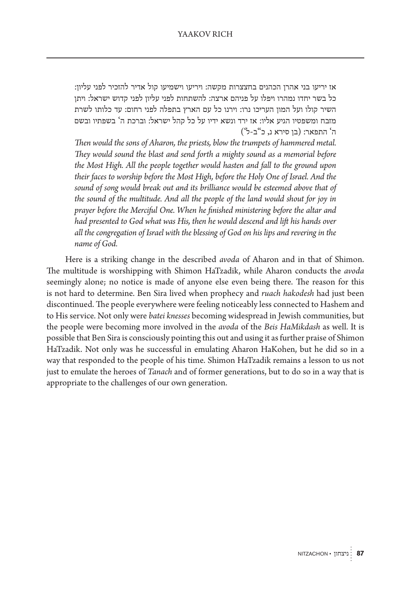אז יריעו בני אהרן הכהנים בחצצרות מקשה׃ ויריעו וישמיעו קול אדיר להזכיר לפני עליון׃ כל בשר יחדו נמהרו ויפלו על פניהם ארצה׃ להשתחות לפני עליון לפני קדוש ישראל׃ ויתן השיר קולו ועל המון העריכו נרו׃ וירנו כל עם הארץ בתפלה לפני רחום׃ עד כלותו לשרת מזבח ומשפטיו הגיע אליו׃ אז ירד ונשא ידיו על כל קהל ישראל׃ וברכת ה' בשפתיו ובשם ה' התפאר: (בן סירא נ, כ"ב-ל')

*Then would the sons of Aharon, the priests, blow the trumpets of hammered metal. They would sound the blast and send forth a mighty sound as a memorial before the Most High. All the people together would hasten and fall to the ground upon their faces to worship before the Most High, before the Holy One of Israel. And the sound of song would break out and its brilliance would be esteemed above that of the sound of the multitude. And all the people of the land would shout for joy in prayer before the Merciful One. When he finished ministering before the altar and had presented to God what was His, then he would descend and lift his hands over all the congregation of Israel with the blessing of God on his lips and revering in the name of God.*

Here is a striking change in the described *avoda* of Aharon and in that of Shimon. The multitude is worshipping with Shimon HaTzadik, while Aharon conducts the *avoda* seemingly alone; no notice is made of anyone else even being there. The reason for this is not hard to determine. Ben Sira lived when prophecy and *ruach hakodesh* had just been discontinued. The people everywhere were feeling noticeably less connected to Hashem and to His service. Not only were *batei knesses* becoming widespread in Jewish communities, but the people were becoming more involved in the *avoda* of the *Beis HaMikdash* as well. It is possible that Ben Sira is consciously pointing this out and using it as further praise of Shimon HaTzadik. Not only was he successful in emulating Aharon HaKohen, but he did so in a way that responded to the people of his time. Shimon HaTzadik remains a lesson to us not just to emulate the heroes of *Tanach* and of former generations, but to do so in a way that is appropriate to the challenges of our own generation.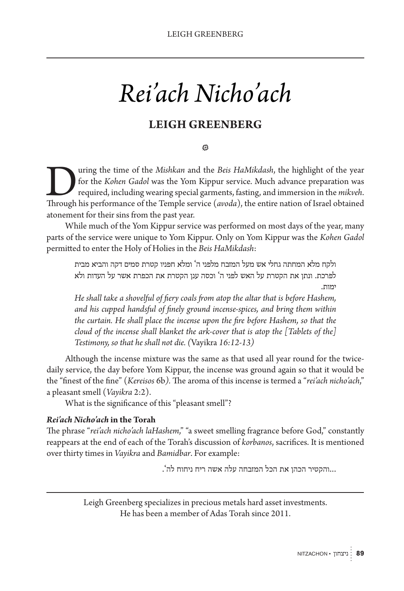# *Rei'ach Nicho'ach*

### **LEIGH GREENBERG**

**•**

ULRER III wing the time of the *Mishkan* and the *Beis HaMikdash*, the highlight of the year for the *Kohen Gadol* was the Yom Kippur service. Much advance preparation was required, including wearing special garments, fast for the *Kohen Gadol* was the Yom Kippur service. Much advance preparation was required, including wearing special garments, fasting, and immersion in the *mikveh*. atonement for their sins from the past year.

While much of the Yom Kippur service was performed on most days of the year, many parts of the service were unique to Yom Kippur. Only on Yom Kippur was the *Kohen Gadol*  permitted to enter the Holy of Holies in the *Beis HaMikdash*:

ולקח מלא המחתה גחלי אש מעל המזבח מלפני ה' ומלא חפניו קטרת סמים דקה והביא מבית לפרכת. ונתן את הקטרת על האש לפני ה' וכסה ענן הקטרת את הכפרת אשר על העדות ולא ימות.

*He shall take a shovelful of fiery coals from atop the altar that is before Hashem, and his cupped handsful of finely ground incense-spices, and bring them within the curtain. He shall place the incense upon the fire before Hashem, so that the cloud of the incense shall blanket the ark-cover that is atop the [Tablets of the] Testimony, so that he shall not die. (*Vayikra *16:12-13)*

Although the incense mixture was the same as that used all year round for the twicedaily service, the day before Yom Kippur, the incense was ground again so that it would be the "finest of the fine" (*Kereisos* 6b*).* The aroma of this incense is termed a "*rei'ach nicho'ach*," a pleasant smell (*Vayikra* 2:2).

What is the significance of this "pleasant smell"?

### *Rei'ach Nicho'ach* **in the Torah**

The phrase "*rei'ach nicho'ach laHashem*," "a sweet smelling fragrance before God," constantly reappears at the end of each of the Torah's discussion of *korbanos*, sacrifices. It is mentioned over thirty times in *Vayikra* and *Bamidbar*. For example:

...והקטיר הכהן את הכל המזבחה עלה אשה ריח ניחוח לה'.

Leigh Greenberg specializes in precious metals hard asset investments. He has been a member of Adas Torah since 2011.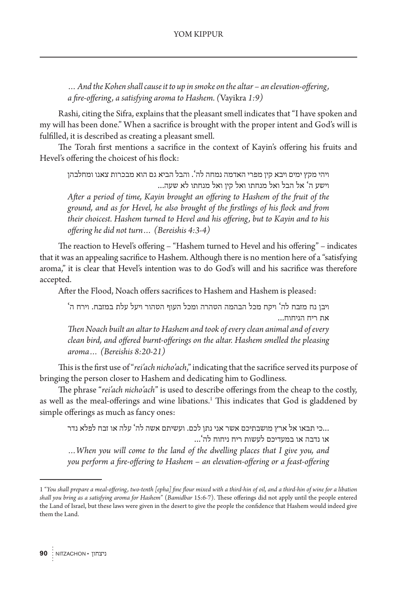*…And the Kohen shall cause it to up in smoke on the altar – an elevation-offering, a fire-offering, a satisfying aroma to Hashem. (*Vayikra *1:9)* 

Rashi, citing the Sifra, explains that the pleasant smell indicates that "I have spoken and my will has been done." When a sacrifice is brought with the proper intent and God's will is fulfilled, it is described as creating a pleasant smell.

The Torah first mentions a sacrifice in the context of Kayin's offering his fruits and Hevel's offering the choicest of his flock:

ויהי מקץ ימים ויבא קין מפרי האדמה נמחה לה'. והבל הביא גם הוא מבכרות צאנו ומחלבהן וישע ה' אל הבל ואל מנחתו ואל קין ואל מנחתו לא שעה...

After a period of time, Kayin brought an offering to Hashem of the fruit of the *ground, and as for Hevel, he also brought of the firstlings of his flock and from their choicest. Hashem turned to Hevel and his offering, but to Kayin and to his offering he did not turn… (Bereishis 4:3-4)*

The reaction to Hevel's offering – "Hashem turned to Hevel and his offering" – indicates that it was an appealing sacrifice to Hashem. Although there is no mention here of a "satisfying aroma," it is clear that Hevel's intention was to do God's will and his sacrifice was therefore accepted.

After the Flood, Noach offers sacrifices to Hashem and Hashem is pleased:

ויבן נח מזבח לה' ויקח מכל הבהמה הטהרה ומכל העוף הטהור ויעל עלת במזבח. וירח ה' את ריח הניחוח...

*Then Noach built an altar to Hashem and took of every clean animal and of every clean bird, and offered burnt-offerings on the altar. Hashem smelled the pleasing aroma… (Bereishis 8:20-21)*

This is the first use of "*rei'ach nicho'ach*," indicating that the sacrifice served its purpose of bringing the person closer to Hashem and dedicating him to Godliness.

The phrase "*rei'ach nicho'ach*" is used to describe offerings from the cheap to the costly, as well as the meal-offerings and wine libations.<sup>1</sup> This indicates that God is gladdened by simple offerings as much as fancy ones:

...כי תבאו אל ארץ מושבתיכם אשר אני נתן לכם. ועשיתם אשה לה' עלה או זבח לפלא נדר או נדבה או במעדיכם לעשות ריח ניחוח לה'... *…When you will come to the land of the dwelling places that I give you, and you perform a fire-offering to Hashem – an elevation-offering or a feast-offering* 

<sup>1 &</sup>quot;*You shall prepare a meal-offering, two-tenth [epha] fine flour mixed with a third-hin of oil, and a third-hin of wine for a libation shall you bring as a satisfying aroma for Hashem*" (*Bamidbar* 15:6-7). These offerings did not apply until the people entered the Land of Israel, but these laws were given in the desert to give the people the confidence that Hashem would indeed give them the Land.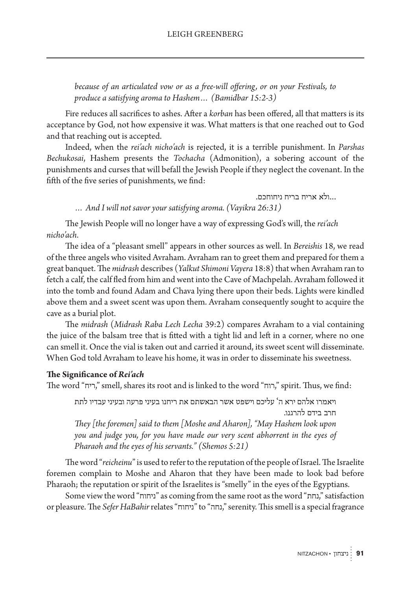*because of an articulated vow or as a free-will offering, or on your Festivals, to produce a satisfying aroma to Hashem… (Bamidbar 15:2-3)*

Fire reduces all sacrifices to ashes. After a *korban* has been offered, all that matters is its acceptance by God, not how expensive it was. What matters is that one reached out to God and that reaching out is accepted.

Indeed, when the *rei'ach nicho'ach* is rejected, it is a terrible punishment. In *Parshas Bechukosai*, Hashem presents the *Tochacha* (Admonition), a sobering account of the punishments and curses that will befall the Jewish People if they neglect the covenant. In the fifth of the five series of punishments, we find:

...ולא אריח בריח ניחוחכם.

### *… And I will not savor your satisfying aroma. (Vayikra 26:31)*

The Jewish People will no longer have a way of expressing God's will, the *rei'ach nicho'ach*.

The idea of a "pleasant smell" appears in other sources as well. In *Bereishis* 18, we read of the three angels who visited Avraham. Avraham ran to greet them and prepared for them a great banquet. The *midrash* describes (*Yalkut Shimoni Vayera* 18:8) that when Avraham ran to fetch a calf, the calf fled from him and went into the Cave of Machpelah. Avraham followed it into the tomb and found Adam and Chava lying there upon their beds. Lights were kindled above them and a sweet scent was upon them. Avraham consequently sought to acquire the cave as a burial plot.

The *midrash* (*Midrash Raba Lech Lecha* 39:2) compares Avraham to a vial containing the juice of the balsam tree that is fitted with a tight lid and left in a corner, where no one can smell it. Once the vial is taken out and carried it around, its sweet scent will disseminate. When God told Avraham to leave his home, it was in order to disseminate his sweetness.

### **The Significance of** *Rei'ach*

The word "ריח," smell, shares its root and is linked to the word "רוח," spirit. Thus, we find:

ויאמרו אלהם ירא ה' עליכם וישפט אשר הבאשתם את ריחנו בעיני פרעה ובעיני עבדיו לתת חרב בידם להרגנו. *They [the foremen] said to them [Moshe and Aharon], "May Hashem look upon you and judge you, for you have made our very scent abhorrent in the eyes of Pharaoh and the eyes of his servants." (Shemos 5:21)* 

The word "*reicheinu*" is used to refer to the reputation of the people of Israel. The Israelite foremen complain to Moshe and Aharon that they have been made to look bad before Pharaoh; the reputation or spirit of the Israelites is "smelly" in the eyes of the Egyptians.

Some view the word "ניחוח "as coming from the same root as the word "נחת, "satisfaction or pleasure. The *Sefer HaBahir* relates "ניחוח "to "נחה, "serenity. This smell is a special fragrance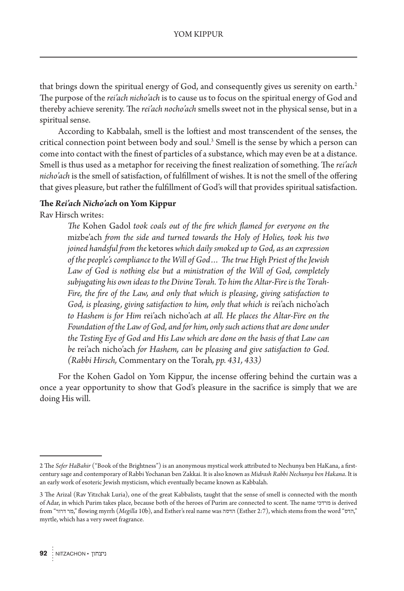that brings down the spiritual energy of God, and consequently gives us serenity on earth.<sup>2</sup> The purpose of the *rei'ach nicho'ach* is to cause us to focus on the spiritual energy of God and thereby achieve serenity. The *rei'ach nocho'ach* smells sweet not in the physical sense, but in a spiritual sense.

According to Kabbalah, smell is the loftiest and most transcendent of the senses, the critical connection point between body and soul.3 Smell is the sense by which a person can come into contact with the finest of particles of a substance, which may even be at a distance. Smell is thus used as a metaphor for receiving the finest realization of something. The *rei'ach nicho'ach* is the smell of satisfaction, of fulfillment of wishes. It is not the smell of the offering that gives pleasure, but rather the fulfillment of God's will that provides spiritual satisfaction.

### **The** *Rei'ach Nicho'ach* **on Yom Kippur**

Rav Hirsch writes:

*The* Kohen Gadol *took coals out of the fire which flamed for everyone on the*  mizbe'ach *from the side and turned towards the Holy of Holies, took his two joined handsful from the* ketores *which daily smoked up to God, as an expression of the people's compliance to the Will of God… The true High Priest of the Jewish*  Law of God is nothing else but a ministration of the Will of God, completely *subjugating his own ideas to the Divine Torah. To him the Altar-Fire is the Torah-Fire, the fire of the Law, and only that which is pleasing, giving satisfaction to*  God, is pleasing, giving satisfaction to him, only that which is rei'ach nicho'ach *to Hashem is for Him* rei'ach nicho'ach *at all. He places the Altar-Fire on the Foundation of the Law of God, and for him, only such actions that are done under the Testing Eye of God and His Law which are done on the basis of that Law can be* rei'ach nicho'ach *for Hashem, can be pleasing and give satisfaction to God. (Rabbi Hirsch,* Commentary on the Torah*, pp. 431, 433)*

For the Kohen Gadol on Yom Kippur, the incense offering behind the curtain was a once a year opportunity to show that God's pleasure in the sacrifice is simply that we are doing His will.

<sup>2</sup> The *Sefer HaBahir* ("Book of the Brightness") is an anonymous mystical work attributed to Nechunya ben HaKana, a firstcentury sage and contemporary of Rabbi Yochanan ben Zakkai. It is also known as *Midrash Rabbi Nechunya ben Hakana*. It is an early work of esoteric Jewish mysticism, which eventually became known as Kabbalah.

<sup>3</sup> The Arizal (Rav Yitzchak Luria), one of the great Kabbalists, taught that the sense of smell is connected with the month of Adar, in which Purim takes place, because both of the heroes of Purim are connected to scent. The name מרדכי is derived from "",הדס", "flowing myrrh (*Megilla* 10b), and Esther's real name was הדסה) (Esther 2:7), which stems from the word myrtle, which has a very sweet fragrance.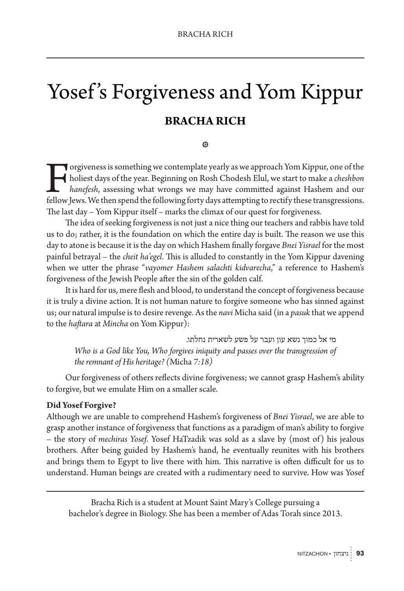# Yosef's Forgiveness and Yom Kippur

### **BRACHA RICH**

#### •

Forgiveness is something we contemplate yearly as we approach Yom Kippur, one of the holiest days of the year. Beginning on Rosh Chodesh Elul, we start to make a *cheshbon* hanefesh, assessing what wrongs we may have commi holiest days of the year. Beginning on Rosh Chodesh Elul, we start to make a *cheshbon hanefesh*, assessing what wrongs we may have committed against Hashem and our The last day – Yom Kippur itself – marks the climax of our quest for forgiveness.

The idea of seeking forgiveness is not just a nice thing our teachers and rabbis have told us to do; rather, it is the foundation on which the entire day is built. The reason we use this day to atone is because it is the day on which Hashem finally forgave *Bnei Yisrael* for the most painful betrayal – the *cheit ha'egel*. This is alluded to constantly in the Yom Kippur davening when we utter the phrase "*vayomer Hashem salachti kidvarecha*," a reference to Hashem's forgiveness of the Jewish People after the sin of the golden calf.

It is hard for us, mere flesh and blood, to understand the concept of forgiveness because it is truly a divine action. It is not human nature to forgive someone who has sinned against us; our natural impulse is to desire revenge. As the *navi* Micha said (in a *pasuk* that we append to the *haftara* at *Mincha* on Yom Kippur):

מי אל כמוך נשא עון ועבר על פשע לשארית נחלתו. *Who is a God like You, Who forgives iniquity and passes over the transgression of the remnant of His heritage? (*Micha *7:18)*

Our forgiveness of others reflects divine forgiveness; we cannot grasp Hashem's ability to forgive, but we emulate Him on a smaller scale.

### **Did Yosef Forgive?**

Although we are unable to comprehend Hashem's forgiveness of *Bnei Yisrael*, we are able to grasp another instance of forgiveness that functions as a paradigm of man's ability to forgive – the story of *mechiras Yosef*. Yosef HaTzadik was sold as a slave by (most of) his jealous brothers. After being guided by Hashem's hand, he eventually reunites with his brothers and brings them to Egypt to live there with him. This narrative is often difficult for us to understand. Human beings are created with a rudimentary need to survive. How was Yosef

Bracha Rich is a student at Mount Saint Mary's College pursuing a bachelor's degree in Biology. She has been a member of Adas Torah since 2013.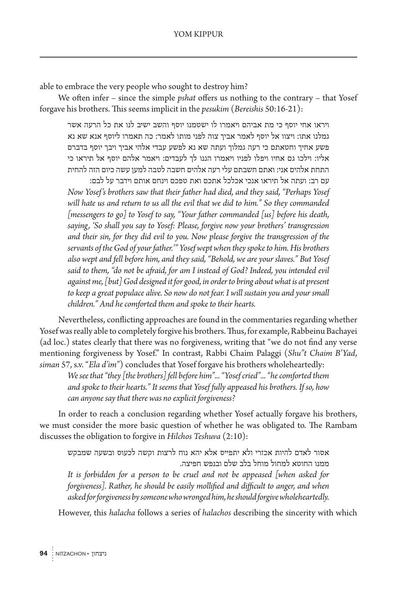able to embrace the very people who sought to destroy him?

We often infer – since the simple *pshat* offers us nothing to the contrary – that Yosef forgave his brothers. This seems implicit in the *pesukim* (*Bereishis* 50:16-21):

ויראו אחי יוסף כי מת אביהם ויאמרו לו ישטמנו יוסף והשב ישיב לנו את כל הרעה אשר גמלנו אתו: ויצוו אל יוסף לאמר אביך צוה לפני מותו לאמר: כה תאמרו ליוסף אנא שא נא פשע אחיך וחטאתם כי רעה גמלוך ועתה שא נא לפשע עבדי אלהי אביך ויבך יוסף בדברם אליו: וילכו גם אחיו ויפלו לפניו ויאמרו הננו לך לעבדים: ויאמר אלהם יוסף אל תיראו כי התחת אלהים אני: ואתם חשבתם עלי רעה אלהים חשבה לטבה למען עשה כיום הזה להחית

עם רב: ועתה אל תיראו אנכי אכלכל אתכם ואת טפכם וינחם אותם וידבר על לבם: *Now Yosef's brothers saw that their father had died, and they said, "Perhaps Yosef will hate us and return to us all the evil that we did to him." So they commanded [messengers to go] to Yosef to say, "Your father commanded [us] before his death, saying, 'So shall you say to Yosef: Please, forgive now your brothers' transgression and their sin, for they did evil to you. Now please forgive the transgression of the servants of the God of your father.'" Yosef wept when they spoke to him. His brothers also wept and fell before him, and they said, "Behold, we are your slaves." But Yosef*  said to them, "do not be afraid, for am I instead of God? Indeed, you intended evil *against me, [but] God designed it for good, in order to bring about what is at present to keep a great populace alive. So now do not fear. I will sustain you and your small children." And he comforted them and spoke to their hearts.* 

Nevertheless, conflicting approaches are found in the commentaries regarding whether Yosef was really able to completely forgive his brothers. Thus, for example, Rabbeinu Bachayei (ad loc.) states clearly that there was no forgiveness, writing that "we do not find any verse mentioning forgiveness by Yosef." In contrast, Rabbi Chaim Palaggi (*Shu"t Chaim B'Yad*, *siman* 57, s.v. "*Ela d'im"*) concludes that Yosef forgave his brothers wholeheartedly:

*We see that "they [the brothers] fell before him"... "Yosef cried"... "he comforted them and spoke to their hearts." It seems that Yosef fully appeased his brothers. If so, how can anyone say that there was no explicit forgiveness?*

In order to reach a conclusion regarding whether Yosef actually forgave his brothers, we must consider the more basic question of whether he was obligated to. The Rambam discusses the obligation to forgive in *Hilchos Teshuva* (2:10):

אסור לאדם להיות אכזרי ולא יתפייס אלא יהא נוח לרצות וקשה לכעוס ובשעה שמבקש ממנו החוטא למחול מוחל בלב שלם ובנפש חפיצה.

*It is forbidden for a person to be cruel and not be appeased [when asked for forgiveness]. Rather, he should be easily mollified and difficult to anger, and when asked for forgiveness by someone who wronged him, he should forgive wholeheartedly.*

However, this *halacha* follows a series of *halachos* describing the sincerity with which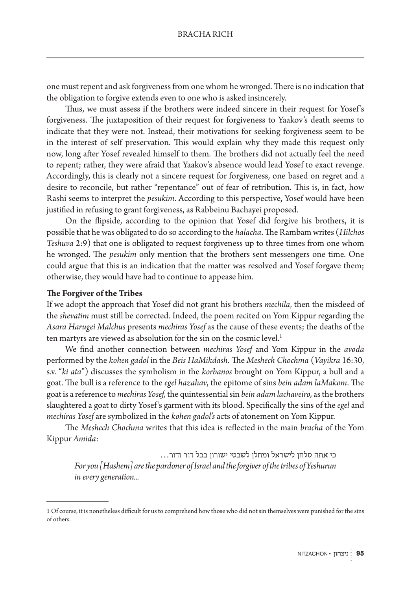one must repent and ask forgiveness from one whom he wronged. There is no indication that the obligation to forgive extends even to one who is asked insincerely.

Thus, we must assess if the brothers were indeed sincere in their request for Yosef's forgiveness. The juxtaposition of their request for forgiveness to Yaakov's death seems to indicate that they were not. Instead, their motivations for seeking forgiveness seem to be in the interest of self preservation. This would explain why they made this request only now, long after Yosef revealed himself to them. The brothers did not actually feel the need to repent; rather, they were afraid that Yaakov's absence would lead Yosef to exact revenge. Accordingly, this is clearly not a sincere request for forgiveness, one based on regret and a desire to reconcile, but rather "repentance" out of fear of retribution. This is, in fact, how Rashi seems to interpret the *pesukim*. According to this perspective, Yosef would have been justified in refusing to grant forgiveness, as Rabbeinu Bachayei proposed.

On the flipside, according to the opinion that Yosef did forgive his brothers, it is possible that he was obligated to do so according to the *halacha*. The Rambam writes (*Hilchos Teshuva* 2:9) that one is obligated to request forgiveness up to three times from one whom he wronged. The *pesukim* only mention that the brothers sent messengers one time. One could argue that this is an indication that the matter was resolved and Yosef forgave them; otherwise, they would have had to continue to appease him.

#### **The Forgiver of the Tribes**

If we adopt the approach that Yosef did not grant his brothers *mechila*, then the misdeed of the *shevatim* must still be corrected. Indeed, the poem recited on Yom Kippur regarding the *Asara Harugei Malchus* presents *mechiras Yosef* as the cause of these events; the deaths of the ten martyrs are viewed as absolution for the sin on the cosmic level.<sup>1</sup>

We find another connection between *mechiras Yosef* and Yom Kippur in the *avoda* performed by the *kohen gadol* in the *Beis HaMikdash*. The *Meshech Chochma* (*Vayikra* 16:30, s.v. "*ki ata*") discusses the symbolism in the *korbanos* brought on Yom Kippur, a bull and a goat. The bull is a reference to the *egel hazahav*, the epitome of sins *bein adam laMakom*. The goat is a reference to *mechiras Yosef,* the quintessential sin *bein adam lachaveiro,* as the brothers slaughtered a goat to dirty Yosef 's garment with its blood. Specifically the sins of the *egel* and *mechiras Yosef* are symbolized in the *kohen gadol's* acts of atonement on Yom Kippur.

The *Meshech Chochma* writes that this idea is reflected in the main *bracha* of the Yom Kippur *Amida*:

כי אתה סלחן לישראל ומחלן לשבטי ישורון בכל דור ודור... *For you [Hashem] are the pardoner of Israel and the forgiver of the tribes of Yeshurun in every generation...*

<sup>1</sup> Of course, it is nonetheless difficult for us to comprehend how those who did not sin themselves were punished for the sins of others.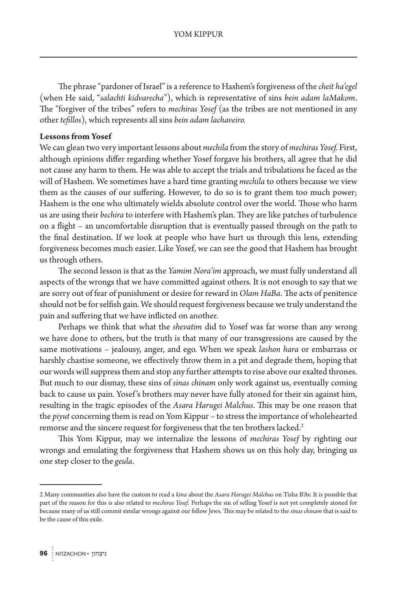The phrase "pardoner of Israel" is a reference to Hashem's forgiveness of the *cheit ha'egel*  (when He said, "*salachti kidvarecha*"), which is representative of sins *bein adam laMakom*. The "forgiver of the tribes" refers to *mechiras Yosef* (as the tribes are not mentioned in any other *tefillos*), which represents all sins *bein adam lachaveiro.*

### **Lessons from Yosef**

We can glean two very important lessons about *mechila* from the story of *mechiras Yosef.* First, although opinions differ regarding whether Yosef forgave his brothers, all agree that he did not cause any harm to them. He was able to accept the trials and tribulations he faced as the will of Hashem. We sometimes have a hard time granting *mechila* to others because we view them as the causes of our suffering. However, to do so is to grant them too much power; Hashem is the one who ultimately wields absolute control over the world. Those who harm us are using their *bechira* to interfere with Hashem's plan. They are like patches of turbulence on a flight – an uncomfortable disruption that is eventually passed through on the path to the final destination. If we look at people who have hurt us through this lens, extending forgiveness becomes much easier. Like Yosef, we can see the good that Hashem has brought us through others.

The second lesson is that as the *Yamim Nora'im* approach, we must fully understand all aspects of the wrongs that we have committed against others. It is not enough to say that we are sorry out of fear of punishment or desire for reward in *Olam HaBa*. The acts of penitence should not be for selfish gain. We should request forgiveness because we truly understand the pain and suffering that we have inflicted on another.

Perhaps we think that what the *shevatim* did to Yosef was far worse than any wrong we have done to others, but the truth is that many of our transgressions are caused by the same motivations – jealousy, anger, and ego. When we speak *lashon hara* or embarrass or harshly chastise someone, we effectively throw them in a pit and degrade them, hoping that our words will suppress them and stop any further attempts to rise above our exalted thrones. But much to our dismay, these sins of *sinas chinam* only work against us, eventually coming back to cause us pain. Yosef 's brothers may never have fully atoned for their sin against him, resulting in the tragic episodes of the *Asara Harugei Malchus*. This may be one reason that the *piyut* concerning them is read on Yom Kippur – to stress the importance of wholehearted remorse and the sincere request for forgiveness that the ten brothers lacked.<sup>2</sup>

This Yom Kippur, may we internalize the lessons of *mechiras Yosef* by righting our wrongs and emulating the forgiveness that Hashem shows us on this holy day, bringing us one step closer to the *geula*.

<sup>2</sup> Many communities also have the custom to read a *kina* about the *Asara Harugei Malchus* on Tisha B'Av. It is possible that part of the reason for this is also related to *mechiras Yosef*. Perhaps the sin of selling Yosef is not yet completely atoned for because many of us still commit similar wrongs against our fellow Jews. This may be related to the *sinas chinam* that is said to be the cause of this exile.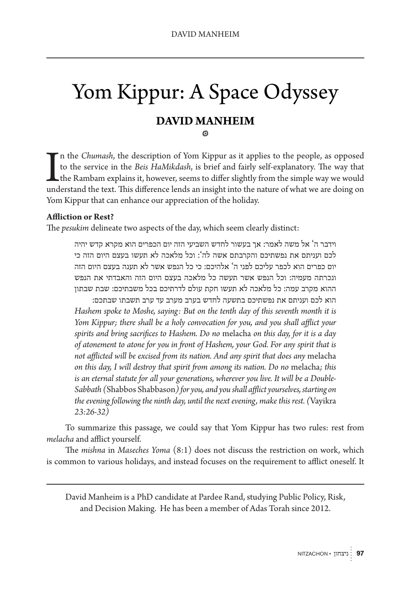# Yom Kippur: A Space Odyssey

### **DAVID MANHEIM** •

In the *Chumash*, the description of Yom Kippur as it applies to the people, as opposed to the service in the *Beis HaMikdash*, is brief and fairly self-explanatory. The way that the Rambam explains it, however, seems to d n the *Chumash*, the description of Yom Kippur as it applies to the people, as opposed to the service in the *Beis HaMikdash*, is brief and fairly self-explanatory. The way that **L** the Rambam explains it, however, seems to differ slightly from the simple way we would Yom Kippur that can enhance our appreciation of the holiday.

### **Affliction or Rest?**

The *pesukim* delineate two aspects of the day, which seem clearly distinct:

וידבר ה' אל משה לאמר: אך בעשור לחדש השביעי הזה יום הכפרים הוא מקרא קדש יהיה לכם ועניתם את נפשתיכם והקרבתם אשה לה': וכל מלאכה לא תעשו בעצם היום הזה כי יום כפרים הוא לכפר עליכם לפני ה' אלהיכם: כי כל הנפש אשר לא תענה בעצם היום הזה ונכרתה מעמיה: וכל הנפש אשר תעשה כל מלאכה בעצם היום הזה והאבדתי את הנפש ההוא מקרב עמה: כל מלאכה לא תעשו חקת עולם לדרתיכם בכל משבתיכם: שבת שבתון

הוא לכם ועניתם את נפשתיכם בתשעה לחדש בערב מערב עד ערב תשבתו שבתכם: *Hashem spoke to Moshe, saying: But on the tenth day of this seventh month it is Yom Kippur; there shall be a holy convocation for you, and you shall afflict your spirits and bring sacrifices to Hashem. Do no* melacha *on this day, for it is a day of atonement to atone for you in front of Hashem, your God. For any spirit that is not afflicted will be excised from its nation. And any spirit that does any* melacha *on this day, I will destroy that spirit from among its nation. Do no* melacha*; this is an eternal statute for all your generations, wherever you live. It will be a Double-Sabbath (*Shabbos Shabbason*) for you, and you shall afflict yourselves, starting on the evening following the ninth day, until the next evening, make this rest. (*Vayikra *23:26-32)*

To summarize this passage, we could say that Yom Kippur has two rules: rest from *melacha* and afflict yourself.

The *mishna* in *Maseches Yoma* (8:1) does not discuss the restriction on work, which is common to various holidays, and instead focuses on the requirement to afflict oneself. It

David Manheim is a PhD candidate at Pardee Rand, studying Public Policy, Risk, and Decision Making. He has been a member of Adas Torah since 2012.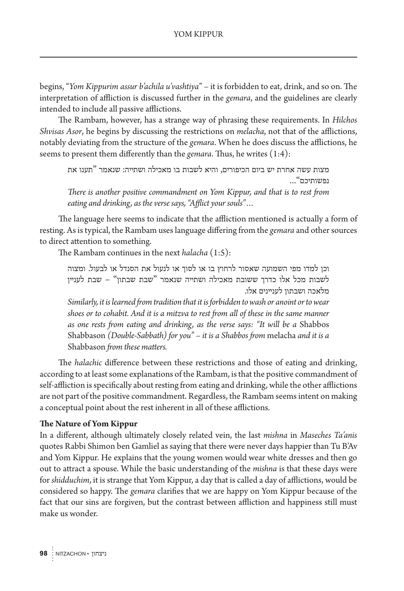begins, "*Yom Kippurim assur b'achila u'vashtiya*" – it is forbidden to eat, drink, and so on. The interpretation of affliction is discussed further in the *gemara*, and the guidelines are clearly intended to include all passive afflictions.

The Rambam, however, has a strange way of phrasing these requirements. In *Hilchos Shvisas Asor*, he begins by discussing the restrictions on *melacha*, not that of the afflictions, notably deviating from the structure of the *gemara*. When he does discuss the afflictions, he seems to present them differently than the *gemara*. Thus, he writes (1:4):

```
מצות עשה אחרת יש ביום הכיפורים, והיא לשבות בו מאכילה ושתייה: שנאמר "תענו את 
                                                                    נפשותיכם"...
There is another positive commandment on Yom Kippur, and that is to rest from 
eating and drinking, as the verse says, "Afflict your souls"…
```
The language here seems to indicate that the affliction mentioned is actually a form of resting. As is typical, the Rambam uses language differing from the *gemara* and other sources to direct attention to something.

The Rambam continues in the next *halacha* (1:5):

וכן למדו מפי השמועה שאסור לרחוץ בו או לסוך או לנעול את הסנדל או לבעול. ומצוה לשבות מכל אלו כדרך ששובת מאכילה ושתייה שנאמר "שבת שבתון" – שבת לעניין מלאכה ושבתון לעניינים אלו.

*Similarly, it is learned from tradition that it is forbidden to wash or anoint or to wear shoes or to cohabit. And it is a mitzva to rest from all of these in the same manner as one rests from eating and drinking, as the verse says: "It will be a* Shabbos Shabbason *(Double-Sabbath) for you" – it is a Shabbos from* melacha *and it is a*  Shabbason *from these matters.*

The *halachic* difference between these restrictions and those of eating and drinking, according to at least some explanations of the Rambam, is that the positive commandment of self-affliction is specifically about resting from eating and drinking, while the other afflictions are not part of the positive commandment. Regardless, the Rambam seems intent on making a conceptual point about the rest inherent in all of these afflictions.

### **The Nature of Yom Kippur**

In a different, although ultimately closely related vein, the last *mishna* in *Maseches Ta'anis*  quotes Rabbi Shimon ben Gamliel as saying that there were never days happier than Tu B'Av and Yom Kippur. He explains that the young women would wear white dresses and then go out to attract a spouse. While the basic understanding of the *mishna* is that these days were for *shidduchim*, it is strange that Yom Kippur, a day that is called a day of afflictions, would be considered so happy. The *gemara* clarifies that we are happy on Yom Kippur because of the fact that our sins are forgiven, but the contrast between affliction and happiness still must make us wonder.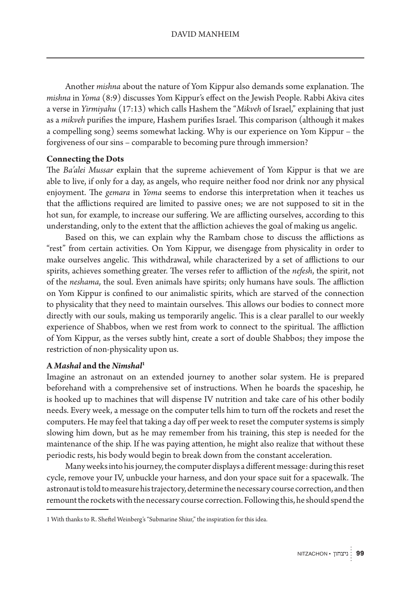Another *mishna* about the nature of Yom Kippur also demands some explanation. The *mishna* in *Yoma* (8:9) discusses Yom Kippur's effect on the Jewish People. Rabbi Akiva cites a verse in *Yirmiyahu* (17:13) which calls Hashem the "*Mikveh* of Israel," explaining that just as a *mikveh* purifies the impure, Hashem purifies Israel. This comparison (although it makes a compelling song) seems somewhat lacking. Why is our experience on Yom Kippur – the forgiveness of our sins – comparable to becoming pure through immersion?

### **Connecting the Dots**

The *Ba'alei Mussar* explain that the supreme achievement of Yom Kippur is that we are able to live, if only for a day, as angels, who require neither food nor drink nor any physical enjoyment. The *gemara* in *Yoma* seems to endorse this interpretation when it teaches us that the afflictions required are limited to passive ones; we are not supposed to sit in the hot sun, for example, to increase our suffering. We are afflicting ourselves, according to this understanding, only to the extent that the affliction achieves the goal of making us angelic.

Based on this, we can explain why the Rambam chose to discuss the afflictions as "rest" from certain activities. On Yom Kippur, we disengage from physicality in order to make ourselves angelic. This withdrawal, while characterized by a set of afflictions to our spirits, achieves something greater. The verses refer to affliction of the *nefesh*, the spirit, not of the *neshama*, the soul. Even animals have spirits; only humans have souls. The affliction on Yom Kippur is confined to our animalistic spirits, which are starved of the connection to physicality that they need to maintain ourselves. This allows our bodies to connect more directly with our souls, making us temporarily angelic. This is a clear parallel to our weekly experience of Shabbos, when we rest from work to connect to the spiritual. The affliction of Yom Kippur, as the verses subtly hint, create a sort of double Shabbos; they impose the restriction of non-physicality upon us.

### **A** *Mashal* **and the** *Nimshal***<sup>1</sup>**

Imagine an astronaut on an extended journey to another solar system. He is prepared beforehand with a comprehensive set of instructions. When he boards the spaceship, he is hooked up to machines that will dispense IV nutrition and take care of his other bodily needs. Every week, a message on the computer tells him to turn off the rockets and reset the computers. He may feel that taking a day off per week to reset the computer systems is simply slowing him down, but as he may remember from his training, this step is needed for the maintenance of the ship. If he was paying attention, he might also realize that without these periodic rests, his body would begin to break down from the constant acceleration.

Many weeks into his journey, the computer displays a different message: during this reset cycle, remove your IV, unbuckle your harness, and don your space suit for a spacewalk. The astronaut is told to measure his trajectory, determine the necessary course correction, and then remount the rockets with the necessary course correction. Following this, he should spend the

<sup>1</sup> With thanks to R. Sheftel Weinberg's "Submarine Shiur," the inspiration for this idea.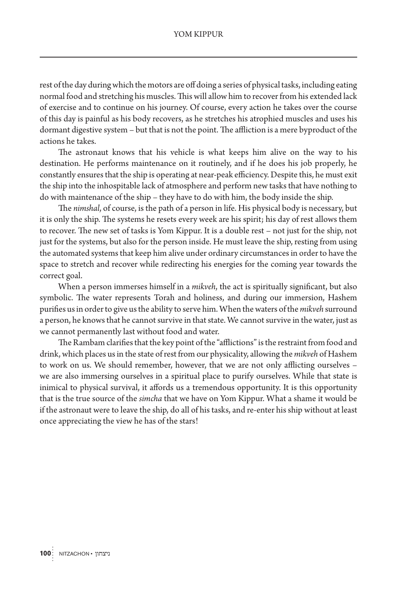rest of the day during which the motors are off doing a series of physical tasks, including eating normal food and stretching his muscles. This will allow him to recover from his extended lack of exercise and to continue on his journey. Of course, every action he takes over the course of this day is painful as his body recovers, as he stretches his atrophied muscles and uses his dormant digestive system – but that is not the point. The affliction is a mere byproduct of the actions he takes.

The astronaut knows that his vehicle is what keeps him alive on the way to his destination. He performs maintenance on it routinely, and if he does his job properly, he constantly ensures that the ship is operating at near-peak efficiency. Despite this, he must exit the ship into the inhospitable lack of atmosphere and perform new tasks that have nothing to do with maintenance of the ship – they have to do with him, the body inside the ship.

The *nimshal*, of course, is the path of a person in life. His physical body is necessary, but it is only the ship. The systems he resets every week are his spirit; his day of rest allows them to recover. The new set of tasks is Yom Kippur. It is a double rest – not just for the ship, not just for the systems, but also for the person inside. He must leave the ship, resting from using the automated systems that keep him alive under ordinary circumstances in order to have the space to stretch and recover while redirecting his energies for the coming year towards the correct goal.

When a person immerses himself in a *mikveh*, the act is spiritually significant, but also symbolic. The water represents Torah and holiness, and during our immersion, Hashem purifies us in order to give us the ability to serve him. When the waters of the *mikveh* surround a person, he knows that he cannot survive in that state. We cannot survive in the water, just as we cannot permanently last without food and water.

The Rambam clarifies that the key point of the "afflictions" is the restraint from food and drink, which places us in the state of rest from our physicality, allowing the *mikveh* of Hashem to work on us. We should remember, however, that we are not only afflicting ourselves – we are also immersing ourselves in a spiritual place to purify ourselves. While that state is inimical to physical survival, it affords us a tremendous opportunity. It is this opportunity that is the true source of the *simcha* that we have on Yom Kippur. What a shame it would be if the astronaut were to leave the ship, do all of his tasks, and re-enter his ship without at least once appreciating the view he has of the stars!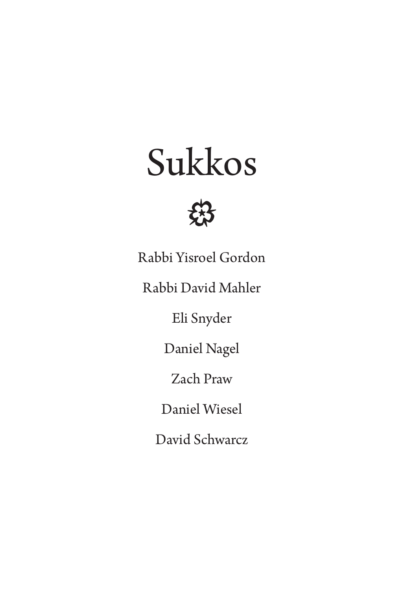# Sukkos



Rabbi Yisroel Gordon

Rabbi David Mahler

Eli Snyder

Daniel Nagel

Zach Praw

Daniel Wiesel

David Schwarcz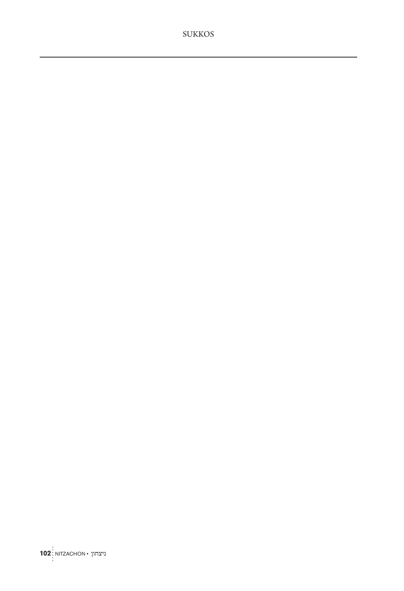SUKKOS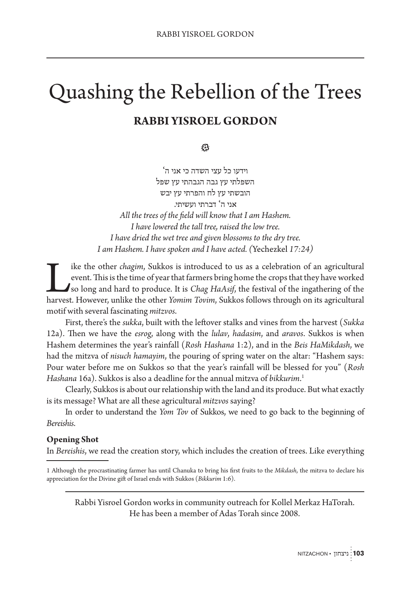## Quashing the Rebellion of the Trees

### **RABBI YISROEL GORDON**

£ჭ

וידעו כל עצי השדה כי אני ה' השפלתי עץ גבה הגבהתי עץ שפל הובשתי עץ לח והפרתי עץ יבש אני ה' דברתי ועשיתי. *All the trees of the field will know that I am Hashem. I have lowered the tall tree, raised the low tree. I have dried the wet tree and given blossoms to the dry tree. I am Hashem. I have spoken and I have acted. (*Yechezkel *17:24)*

If the other *chagim*, Sukkos is introduced to us as a celebration of an agricultural event. This is the time of year that farmers bring home the crops that they have worked so long and hard to produce. It is *Chag HaAsif* event. This is the time of year that farmers bring home the crops that they have worked so long and hard to produce. It is *Chag HaAsif*, the festival of the ingathering of the motif with several fascinating *mitzvos*.

First, there's the *sukka*, built with the leftover stalks and vines from the harvest (*Sukka* 12a). Then we have the *esrog*, along with the *lulav*, *hadasim*, and *aravos*. Sukkos is when Hashem determines the year's rainfall (*Rosh Hashana* 1:2), and in the *Beis HaMikdash*, we had the mitzva of *nisuch hamayim*, the pouring of spring water on the altar: "Hashem says: Pour water before me on Sukkos so that the year's rainfall will be blessed for you" (*Rosh Hashana* 16a). Sukkos is also a deadline for the annual mitzva of *bikkurim*. 1

Clearly, Sukkos is about our relationship with the land and its produce. But what exactly is its message? What are all these agricultural *mitzvos* saying?

In order to understand the *Yom Tov* of Sukkos, we need to go back to the beginning of *Bereishis*.

### **Opening Shot**

In *Bereishis*, we read the creation story, which includes the creation of trees. Like everything

1 Although the procrastinating farmer has until Chanuka to bring his first fruits to the *Mikdash*, the mitzva to declare his appreciation for the Divine gift of Israel ends with Sukkos (*Bikkurim* 1:6).

Rabbi Yisroel Gordon works in community outreach for Kollel Merkaz HaTorah. He has been a member of Adas Torah since 2008.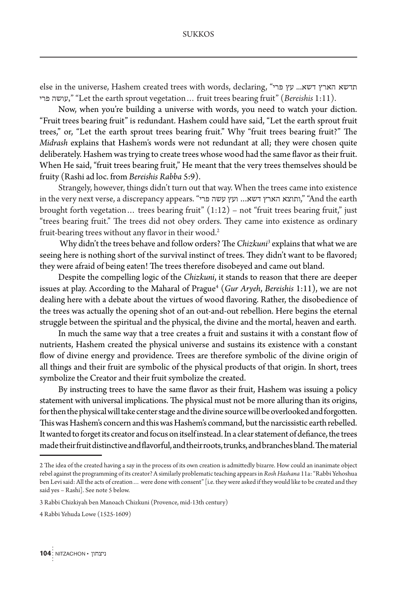else in the universe, Hashem created trees with words, declaring, "פרי עץ ...דשא הארץ תדשא פרי עושה," "Let the earth sprout vegetation… fruit trees bearing fruit" (*Bereishis* 1:11).

Now, when you're building a universe with words, you need to watch your diction. "Fruit trees bearing fruit" is redundant. Hashem could have said, "Let the earth sprout fruit trees," or, "Let the earth sprout trees bearing fruit." Why "fruit trees bearing fruit?" The *Midrash* explains that Hashem's words were not redundant at all; they were chosen quite deliberately. Hashem was trying to create trees whose wood had the same flavor as their fruit. When He said, "fruit trees bearing fruit," He meant that the very trees themselves should be fruity (Rashi ad loc. from *Bereishis Rabba* 5:9).

Strangely, however, things didn't turn out that way. When the trees came into existence in the very next verse, a discrepancy appears. "פרי עשה ועץ ...דשא הארץ ותוצא," "And the earth brought forth vegetation ... trees bearing fruit"  $(1:12)$  – not "fruit trees bearing fruit," just "trees bearing fruit." The trees did not obey orders. They came into existence as ordinary fruit-bearing trees without any flavor in their wood.<sup>2</sup>

Why didn't the trees behave and follow orders? The *Chizkuni<sup>3</sup>* explains that what we are seeing here is nothing short of the survival instinct of trees. They didn't want to be flavored; they were afraid of being eaten! The trees therefore disobeyed and came out bland.

Despite the compelling logic of the *Chizkuni*, it stands to reason that there are deeper issues at play. According to the Maharal of Prague<sup>4</sup> (*Gur Aryeh, Bereishis* 1:11), we are not dealing here with a debate about the virtues of wood flavoring. Rather, the disobedience of the trees was actually the opening shot of an out-and-out rebellion. Here begins the eternal struggle between the spiritual and the physical, the divine and the mortal, heaven and earth.

In much the same way that a tree creates a fruit and sustains it with a constant flow of nutrients, Hashem created the physical universe and sustains its existence with a constant flow of divine energy and providence. Trees are therefore symbolic of the divine origin of all things and their fruit are symbolic of the physical products of that origin. In short, trees symbolize the Creator and their fruit symbolize the created.

By instructing trees to have the same flavor as their fruit, Hashem was issuing a policy statement with universal implications. The physical must not be more alluring than its origins, for then the physical will take center stage and the divine source will be overlooked and forgotten. This was Hashem's concern and this was Hashem's command, but the narcissistic earth rebelled. It wanted to forget its creator and focus on itself instead. In a clear statement of defiance, the trees made their fruit distinctive and flavorful, and their roots, trunks, and branches bland. The material

<sup>2</sup> The idea of the created having a say in the process of its own creation is admittedly bizarre. How could an inanimate object rebel against the programming of its creator? A similarly problematic teaching appears in *Rosh Hashana* 11a: "Rabbi Yehoshua ben Levi said: All the acts of creation… were done with consent" [i.e. they were asked if they would like to be created and they said yes – Rashi]. See note 5 below.

<sup>3</sup> Rabbi Chizkiyah ben Manoach Chizkuni (Provence, mid-13th century)

<sup>4</sup> Rabbi Yehuda Lowe (1525-1609)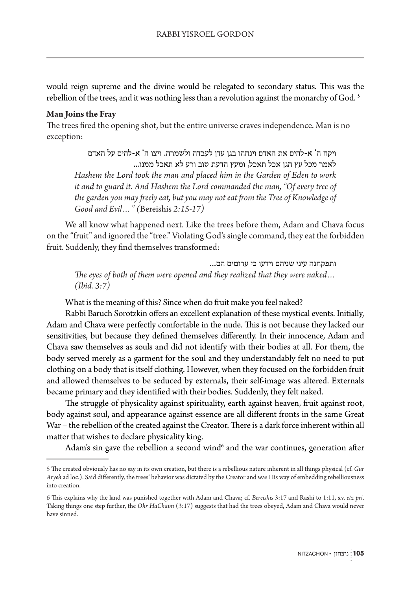would reign supreme and the divine would be relegated to secondary status. This was the rebellion of the trees, and it was nothing less than a revolution against the monarchy of God.<sup>5</sup>

### **Man Joins the Fray**

The trees fired the opening shot, but the entire universe craves independence. Man is no exception:

ויקח ה' א-להים את האדם וינחהו בגן עדן לעבדה ולשמרה. ויצו ה' א-להים על האדם לאמר מכל עץ הגן אכל תאכל, ומעץ הדעת טוב ורע לא תאכל ממנו... *Hashem the Lord took the man and placed him in the Garden of Eden to work it and to guard it. And Hashem the Lord commanded the man, "Of every tree of the garden you may freely eat, but you may not eat from the Tree of Knowledge of Good and Evil…" (*Bereishis *2:15-17)*

We all know what happened next. Like the trees before them, Adam and Chava focus on the "fruit" and ignored the "tree." Violating God's single command, they eat the forbidden fruit. Suddenly, they find themselves transformed:

ותפקחנה עיני שניהם וידעו כי ערומים הם... *The eyes of both of them were opened and they realized that they were naked… (Ibid. 3:7)*

What is the meaning of this? Since when do fruit make you feel naked?

Rabbi Baruch Sorotzkin offers an excellent explanation of these mystical events. Initially, Adam and Chava were perfectly comfortable in the nude. This is not because they lacked our sensitivities, but because they defined themselves differently. In their innocence, Adam and Chava saw themselves as souls and did not identify with their bodies at all. For them, the body served merely as a garment for the soul and they understandably felt no need to put clothing on a body that is itself clothing. However, when they focused on the forbidden fruit and allowed themselves to be seduced by externals, their self-image was altered. Externals became primary and they identified with their bodies. Suddenly, they felt naked.

The struggle of physicality against spirituality, earth against heaven, fruit against root, body against soul, and appearance against essence are all different fronts in the same Great War – the rebellion of the created against the Creator. There is a dark force inherent within all matter that wishes to declare physicality king.

Adam's sin gave the rebellion a second wind<sup>6</sup> and the war continues, generation after

<sup>5</sup> The created obviously has no say in its own creation, but there is a rebellious nature inherent in all things physical (cf. *Gur Aryeh* ad loc.). Said differently, the trees' behavior was dictated by the Creator and was His way of embedding rebelliousness into creation.

<sup>6</sup> This explains why the land was punished together with Adam and Chava; cf. *Bereishis* 3:17 and Rashi to 1:11, s.v. *etz pri*. Taking things one step further, the *Ohr HaChaim* (3:17) suggests that had the trees obeyed, Adam and Chava would never have sinned.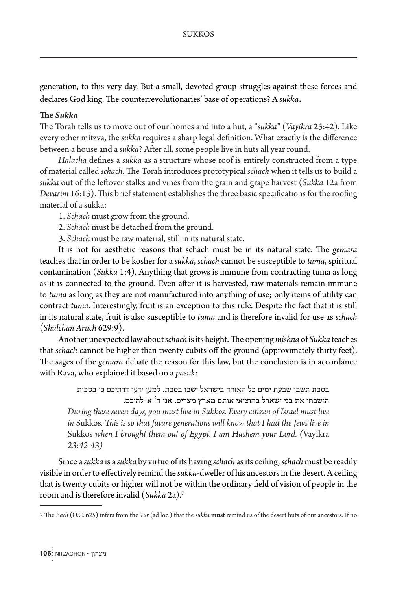generation, to this very day. But a small, devoted group struggles against these forces and declares God king. The counterrevolutionaries' base of operations? A *sukka*.

### **The** *Sukka*

The Torah tells us to move out of our homes and into a hut, a "*sukka*" (*Vayikra* 23:42). Like every other mitzva, the *sukka* requires a sharp legal definition. What exactly is the difference between a house and a *sukka*? After all, some people live in huts all year round.

*Halacha* defines a *sukka* as a structure whose roof is entirely constructed from a type of material called *schach*. The Torah introduces prototypical *schach* when it tells us to build a *sukka* out of the leftover stalks and vines from the grain and grape harvest (*Sukka* 12a from *Devarim* 16:13). This brief statement establishes the three basic specifications for the roofing material of a sukka:

1. *Schach* must grow from the ground.

- 2. *Schach* must be detached from the ground.
- 3. *Schach* must be raw material, still in its natural state.

It is not for aesthetic reasons that schach must be in its natural state. The *gemara* teaches that in order to be kosher for a *sukka*, *schach* cannot be susceptible to *tuma*, spiritual contamination (*Sukka* 1:4). Anything that grows is immune from contracting tuma as long as it is connected to the ground. Even after it is harvested, raw materials remain immune to *tuma* as long as they are not manufactured into anything of use; only items of utility can contract *tuma*. Interestingly, fruit is an exception to this rule. Despite the fact that it is still in its natural state, fruit is also susceptible to *tuma* and is therefore invalid for use as *schach* (*Shulchan Aruch* 629:9).

Another unexpected law about *schach* is its height. The opening *mishna* of *Sukka* teaches that *schach* cannot be higher than twenty cubits off the ground (approximately thirty feet). The sages of the *gemara* debate the reason for this law, but the conclusion is in accordance with Rava, who explained it based on a *pasuk*:

בסכת תשבו שבעת ימים כל האזרח בישראל ישבו בסכת. למען ידעו דרתיכם כי בסכות הושבתי את בני ישארל בהוציאי אותם מארץ מצרים. אני ה' א-להיכם. *During these seven days, you must live in Sukkos. Every citizen of Israel must live in* Sukkos*. This is so that future generations will know that I had the Jews live in* Sukkos *when I brought them out of Egypt. I am Hashem your Lord. (*Vayikra *23:42-43)*

Since a *sukka* is a *sukka* by virtue of its having *schach* as its ceiling, *schach* must be readily visible in order to effectively remind the *sukka*-dweller of his ancestors in the desert. A ceiling that is twenty cubits or higher will not be within the ordinary field of vision of people in the room and is therefore invalid (*Sukka* 2a).7

<sup>7</sup> The *Bach* (O.C. 625) infers from the *Tur* (ad loc.) that the *sukka* **must** remind us of the desert huts of our ancestors. If no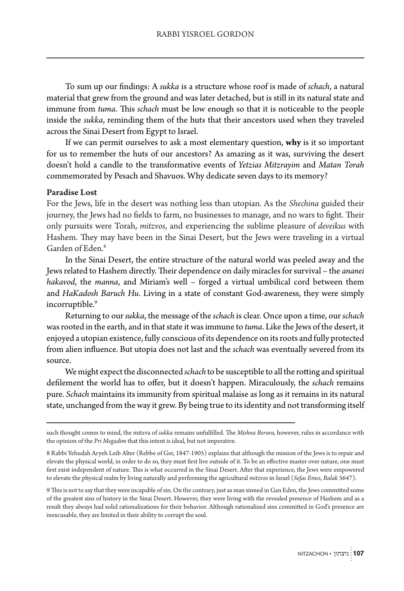To sum up our findings: A *sukka* is a structure whose roof is made of *schach*, a natural material that grew from the ground and was later detached, but is still in its natural state and immune from *tuma*. This *schach* must be low enough so that it is noticeable to the people inside the *sukka*, reminding them of the huts that their ancestors used when they traveled across the Sinai Desert from Egypt to Israel.

If we can permit ourselves to ask a most elementary question, **why** is it so important for us to remember the huts of our ancestors? As amazing as it was, surviving the desert doesn't hold a candle to the transformative events of *Yetzias Mitzrayim* and *Matan Torah*  commemorated by Pesach and Shavuos. Why dedicate seven days to its memory?

### **Paradise Lost**

For the Jews, life in the desert was nothing less than utopian. As the *Shechina* guided their journey, the Jews had no fields to farm, no businesses to manage, and no wars to fight. Their only pursuits were Torah, *mitzvos*, and experiencing the sublime pleasure of *deveikus* with Hashem. They may have been in the Sinai Desert, but the Jews were traveling in a virtual Garden of Eden.8

In the Sinai Desert, the entire structure of the natural world was peeled away and the Jews related to Hashem directly. Their dependence on daily miracles for survival – the *ananei hakavod*, the *manna*, and Miriam's well – forged a virtual umbilical cord between them and *HaKadosh Baruch Hu*. Living in a state of constant God-awareness, they were simply incorruptible.<sup>9</sup>

Returning to our *sukka*, the message of the *schach* is clear. Once upon a time, our *schach* was rooted in the earth, and in that state it was immune to *tuma*. Like the Jews of the desert, it enjoyed a utopian existence, fully conscious of its dependence on its roots and fully protected from alien influence. But utopia does not last and the *schach* was eventually severed from its source.

We might expect the disconnected *schach* to be susceptible to all the rotting and spiritual defilement the world has to offer, but it doesn't happen. Miraculously, the *schach* remains pure. *Schach* maintains its immunity from spiritual malaise as long as it remains in its natural state, unchanged from the way it grew. By being true to its identity and not transforming itself

such thought comes to mind, the mitzva of *sukka* remains unfulfilled. The *Mishna Berura,* however, rules in accordance with the opinion of the *Pri Megadim* that this intent is ideal, but not imperative.

<sup>8</sup> Rabbi Yehudah Aryeh Leib Alter (Rebbe of Ger, 1847-1905) explains that although the mission of the Jews is to repair and elevate the physical world, in order to do so, they must first live outside of it. To be an effective master over nature, one must first exist independent of nature. This is what occurred in the Sinai Desert. After that experience, the Jews were empowered to elevate the physical realm by living naturally and performing the agricultural *mitzvos* in Israel (*Sefas Emes*, *Balak* 5647).

<sup>9</sup> This is not to say that they were incapable of sin. On the contrary, just as man sinned in Gan Eden, the Jews committed some of the greatest sins of history in the Sinai Desert. However, they were living with the revealed presence of Hashem and as a result they always had solid rationalizations for their behavior. Although rationalized sins committed in God's presence are inexcusable, they are limited in their ability to corrupt the soul.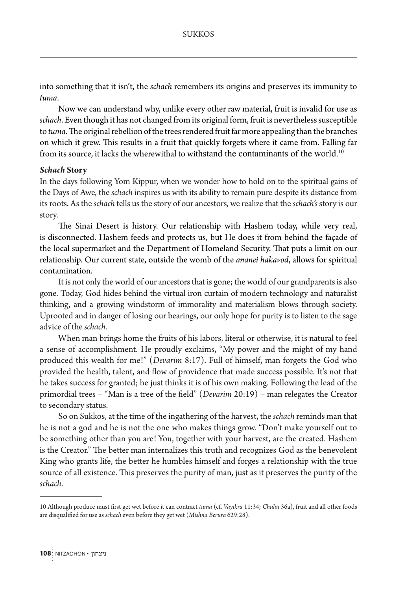into something that it isn't, the *schach* remembers its origins and preserves its immunity to *tuma*.

Now we can understand why, unlike every other raw material, fruit is invalid for use as *schach*. Even though it has not changed from its original form, fruit is nevertheless susceptible to *tuma*. The original rebellion of the trees rendered fruit far more appealing than the branches on which it grew. This results in a fruit that quickly forgets where it came from. Falling far from its source, it lacks the wherewithal to withstand the contaminants of the world.<sup>10</sup>

### *Schach* **Story**

In the days following Yom Kippur, when we wonder how to hold on to the spiritual gains of the Days of Awe, the *schach* inspires us with its ability to remain pure despite its distance from its roots. As the *schach* tells us the story of our ancestors, we realize that the *schach's* story is our story.

The Sinai Desert is history. Our relationship with Hashem today, while very real, is disconnected. Hashem feeds and protects us, but He does it from behind the façade of the local supermarket and the Department of Homeland Security. That puts a limit on our relationship. Our current state, outside the womb of the *ananei hakavod*, allows for spiritual contamination.

It is not only the world of our ancestors that is gone; the world of our grandparents is also gone. Today, God hides behind the virtual iron curtain of modern technology and naturalist thinking, and a growing windstorm of immorality and materialism blows through society. Uprooted and in danger of losing our bearings, our only hope for purity is to listen to the sage advice of the *schach*.

When man brings home the fruits of his labors, literal or otherwise, it is natural to feel a sense of accomplishment. He proudly exclaims, "My power and the might of my hand produced this wealth for me!" (*Devarim* 8:17). Full of himself, man forgets the God who provided the health, talent, and flow of providence that made success possible. It's not that he takes success for granted; he just thinks it is of his own making. Following the lead of the primordial trees – "Man is a tree of the field" (*Devarim* 20:19) – man relegates the Creator to secondary status.

So on Sukkos, at the time of the ingathering of the harvest, the *schach* reminds man that he is not a god and he is not the one who makes things grow. "Don't make yourself out to be something other than you are! You, together with your harvest, are the created. Hashem is the Creator." The better man internalizes this truth and recognizes God as the benevolent King who grants life, the better he humbles himself and forges a relationship with the true source of all existence. This preserves the purity of man, just as it preserves the purity of the *schach*.

<sup>10</sup> Although produce must first get wet before it can contract *tuma* (cf. *Vayikra* 11:34; *Chulin* 36a), fruit and all other foods are disqualified for use as *schach* even before they get wet (*Mishna Berura* 629:28).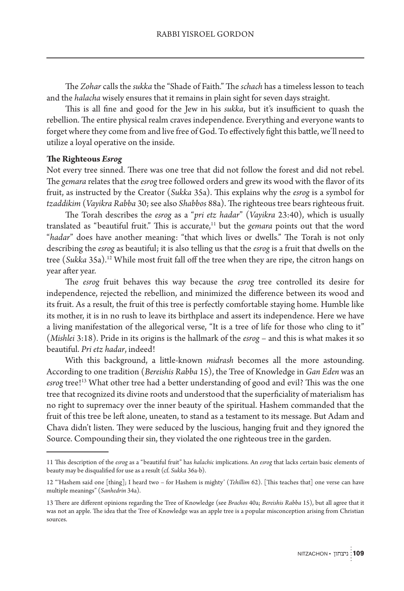The *Zohar* calls the *sukka* the "Shade of Faith." The *schach* has a timeless lesson to teach and the *halacha* wisely ensures that it remains in plain sight for seven days straight.

This is all fine and good for the Jew in his *sukka*, but it's insufficient to quash the rebellion. The entire physical realm craves independence. Everything and everyone wants to forget where they come from and live free of God. To effectively fight this battle, we'll need to utilize a loyal operative on the inside.

# **The Righteous** *Esrog*

Not every tree sinned. There was one tree that did not follow the forest and did not rebel. The *gemara* relates that the *esrog* tree followed orders and grew its wood with the flavor of its fruit, as instructed by the Creator (*Sukka* 35a). This explains why the *esrog* is a symbol for *tzaddikim* (*Vayikra Rabba* 30; see also *Shabbos* 88a). The righteous tree bears righteous fruit.

The Torah describes the *esrog* as a "*pri etz hadar*" (*Vayikra* 23:40), which is usually translated as "beautiful fruit." This is accurate,<sup>11</sup> but the *gemara* points out that the word "*hadar*" does have another meaning: "that which lives or dwells." The Torah is not only describing the *esrog* as beautiful; it is also telling us that the *esrog* is a fruit that dwells on the tree (*Sukka* 35a).12 While most fruit fall off the tree when they are ripe, the citron hangs on year after year.

The *esrog* fruit behaves this way because the *esrog* tree controlled its desire for independence, rejected the rebellion, and minimized the difference between its wood and its fruit. As a result, the fruit of this tree is perfectly comfortable staying home. Humble like its mother, it is in no rush to leave its birthplace and assert its independence. Here we have a living manifestation of the allegorical verse, "It is a tree of life for those who cling to it" (*Mishlei* 3:18). Pride in its origins is the hallmark of the *esrog* – and this is what makes it so beautiful. *Pri etz hadar*, indeed!

With this background, a little-known *midrash* becomes all the more astounding. According to one tradition (*Bereishis Rabba* 15), the Tree of Knowledge in *Gan Eden* was an *esrog* tree!13 What other tree had a better understanding of good and evil? This was the one tree that recognized its divine roots and understood that the superficiality of materialism has no right to supremacy over the inner beauty of the spiritual. Hashem commanded that the fruit of this tree be left alone, uneaten, to stand as a testament to its message. But Adam and Chava didn't listen. They were seduced by the luscious, hanging fruit and they ignored the Source. Compounding their sin, they violated the one righteous tree in the garden.

<sup>11</sup> This description of the *esrog* as a "beautiful fruit" has *halachic* implications. An *esrog* that lacks certain basic elements of beauty may be disqualified for use as a result (cf. *Sukka* 36a-b).

<sup>12 &</sup>quot;'Hashem said one [thing]; I heard two – for Hashem is mighty' (*Tehillim* 62). [This teaches that] one verse can have multiple meanings" (*Sanhedrin* 34a).

<sup>13</sup> There are different opinions regarding the Tree of Knowledge (see *Brachos* 40a; *Bereishis Rabba* 15), but all agree that it was not an apple. The idea that the Tree of Knowledge was an apple tree is a popular misconception arising from Christian sources.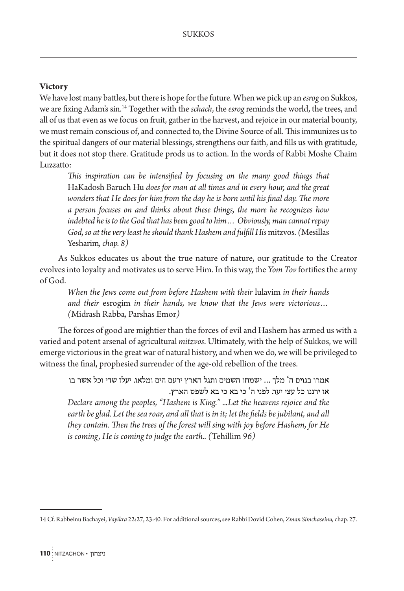# **Victory**

We have lost many battles, but there is hope for the future. When we pick up an *esrog* on Sukkos, we are fixing Adam's sin.14 Together with the *schach*, the *esrog* reminds the world, the trees, and all of us that even as we focus on fruit, gather in the harvest, and rejoice in our material bounty, we must remain conscious of, and connected to, the Divine Source of all. This immunizes us to the spiritual dangers of our material blessings, strengthens our faith, and fills us with gratitude, but it does not stop there. Gratitude prods us to action. In the words of Rabbi Moshe Chaim Luzzatto:

This inspiration can be intensified by focusing on the many good things that HaKadosh Baruch Hu *does for man at all times and in every hour, and the great wonders that He does for him from the day he is born until his final day. The more a person focuses on and thinks about these things, the more he recognizes how indebted he is to the God that has been good to him… Obviously, man cannot repay God, so at the very least he should thank Hashem and fulfill His* mitzvos*. (*Mesillas Yesharim*, chap. 8)*

As Sukkos educates us about the true nature of nature, our gratitude to the Creator evolves into loyalty and motivates us to serve Him. In this way, the *Yom Tov* fortifies the army of God.

*When the Jews come out from before Hashem with their* lulavim *in their hands and their* esrogim *in their hands, we know that the Jews were victorious… (*Midrash Rabba*,* Parshas Emor*)* 

The forces of good are mightier than the forces of evil and Hashem has armed us with a varied and potent arsenal of agricultural *mitzvos*. Ultimately, with the help of Sukkos, we will emerge victorious in the great war of natural history, and when we do, we will be privileged to witness the final, prophesied surrender of the age-old rebellion of the trees.

אמרו בגוים ה' מלך ... ישמחו השמים ותגל הארץ ירעם הים ומלאו. יעלז שדי וכל אשר בו אז ירננו כל עצי יער. לפני ה' כי בא כי בא לשפט הארץ.

*Declare among the peoples, "Hashem is King." ...Let the heavens rejoice and the*  earth be glad. Let the sea roar, and all that is in it; let the fields be jubilant, and all *they contain. Then the trees of the forest will sing with joy before Hashem, for He is coming, He is coming to judge the earth.. (*Tehillim *96)*

<sup>14</sup> Cf. Rabbeinu Bachayei, *Vayikra* 22:27, 23:40. For additional sources, see Rabbi Dovid Cohen, *Zman Simchaseinu,* chap. 27.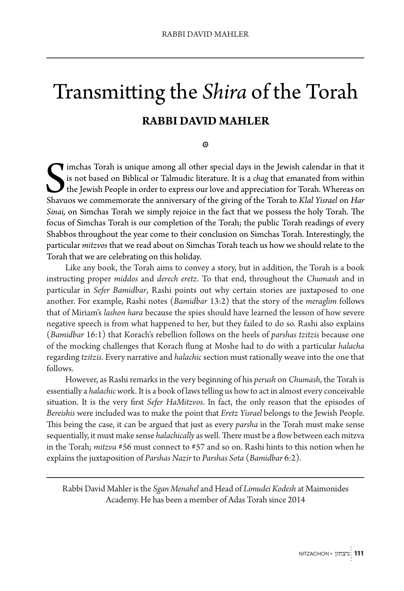# Transmitting the *Shira* of the Torah **RABBI DAVID MAHLER**

#### •

Shavuos we commemorate the anniversary of the giving of the Torah to *Klal Yisrael* on *Har H* is a chaptain for Torah. Whereas on Shavuos we commemorate the anniversary of the giving of the Torah to *Klal Yisrael* on *H* imchas Torah is unique among all other special days in the Jewish calendar in that it is not based on Biblical or Talmudic literature. It is a *chag* that emanated from within **the Jewish People in order to express our love and appreciation for Torah. Whereas on** *Sinai,* on Simchas Torah we simply rejoice in the fact that we possess the holy Torah. The focus of Simchas Torah is our completion of the Torah; the public Torah readings of every Shabbos throughout the year come to their conclusion on Simchas Torah. Interestingly, the particular *mitzvos* that we read about on Simchas Torah teach us how we should relate to the Torah that we are celebrating on this holiday.

Like any book, the Torah aims to convey a story, but in addition, the Torah is a book instructing proper *middos* and *derech eretz*. To that end, throughout the *Chumash* and in particular in *Sefer Bamidbar*, Rashi points out why certain stories are juxtaposed to one another. For example, Rashi notes (*Bamidbar* 13:2) that the story of the *meraglim* follows that of Miriam's *lashon hara* because the spies should have learned the lesson of how severe negative speech is from what happened to her, but they failed to do so. Rashi also explains (*Bamidbar* 16:1) that Korach's rebellion follows on the heels of *parshas tzitzis* because one of the mocking challenges that Korach flung at Moshe had to do with a particular *halacha* regarding *tzitzis*. Every narrative and *halachic* section must rationally weave into the one that follows.

However, as Rashi remarks in the very beginning of his *perush* on *Chumash*, the Torah is essentially a *halachic* work. It is a book of laws telling us how to act in almost every conceivable situation. It is the very first *Sefer HaMitzvos*. In fact, the only reason that the episodes of *Bereishis* were included was to make the point that *Eretz Yisrael* belongs to the Jewish People. This being the case, it can be argued that just as every *parsha* in the Torah must make sense sequentially, it must make sense *halachically* as well. There must be a flow between each mitzva in the Torah; *mitzva* #56 must connect to #57 and so on. Rashi hints to this notion when he explains the juxtaposition of *Parshas Nazir* to *Parshas Sota* (*Bamidbar* 6:2).

Rabbi David Mahler is the *Sgan Menahel* and Head of *Limudei Kodesh* at Maimonides Academy. He has been a member of Adas Torah since 2014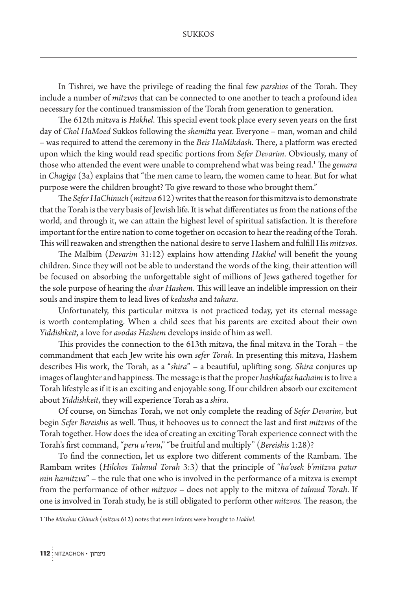In Tishrei, we have the privilege of reading the final few *parshios* of the Torah. They include a number of *mitzvos* that can be connected to one another to teach a profound idea necessary for the continued transmission of the Torah from generation to generation.

The 612th mitzva is *Hakhel*. This special event took place every seven years on the first day of *Chol HaMoed* Sukkos following the *shemitta* year. Everyone – man, woman and child – was required to attend the ceremony in the *Beis HaMikdash*. There, a platform was erected upon which the king would read specific portions from *Sefer Devarim*. Obviously, many of those who attended the event were unable to comprehend what was being read.1 The *gemara* in *Chagiga* (3a) explains that "the men came to learn, the women came to hear. But for what purpose were the children brought? To give reward to those who brought them."

The *Sefer HaChinuch* (*mitzva* 612) writes that the reason for this mitzva is to demonstrate that the Torah is the very basis of Jewish life. It is what differentiates us from the nations of the world, and through it, we can attain the highest level of spiritual satisfaction. It is therefore important for the entire nation to come together on occasion to hear the reading of the Torah. This will reawaken and strengthen the national desire to serve Hashem and fulfill His *mitzvos*.

The Malbim (*Devarim* 31:12) explains how attending *Hakhel* will benefit the young children. Since they will not be able to understand the words of the king, their attention will be focused on absorbing the unforgettable sight of millions of Jews gathered together for the sole purpose of hearing the *dvar Hashem*. This will leave an indelible impression on their souls and inspire them to lead lives of *kedusha* and *tahara*.

Unfortunately, this particular mitzva is not practiced today, yet its eternal message is worth contemplating. When a child sees that his parents are excited about their own *Yiddishkeit*, a love for *avodas Hashem* develops inside of him as well.

This provides the connection to the 613th mitzva, the final mitzva in the Torah – the commandment that each Jew write his own *sefer Torah*. In presenting this mitzva, Hashem describes His work, the Torah, as a "*shira*" – a beautiful, uplifting song. *Shira* conjures up images of laughter and happiness. The message is that the proper *hashkafas hachaim* is to live a Torah lifestyle as if it is an exciting and enjoyable song. If our children absorb our excitement about *Yiddishkeit*, they will experience Torah as a *shira*.

Of course, on Simchas Torah, we not only complete the reading of *Sefer Devarim*, but begin *Sefer Bereishis* as well. Thus, it behooves us to connect the last and first *mitzvos* of the Torah together. How does the idea of creating an exciting Torah experience connect with the Torah's first command, "*peru u'revu*," "be fruitful and multiply" (*Bereishis* 1:28)?

To find the connection, let us explore two different comments of the Rambam. The Rambam writes (*Hilchos Talmud Torah* 3:3) that the principle of "*ha'osek b'mitzva patur min hamitzva*" – the rule that one who is involved in the performance of a mitzva is exempt from the performance of other *mitzvos* – does not apply to the mitzva of *talmud Torah*. If one is involved in Torah study, he is still obligated to perform other *mitzvos*. The reason, the

<sup>1</sup> The *Minchas Chinuch* (*mitzva* 612) notes that even infants were brought to *Hakhel.*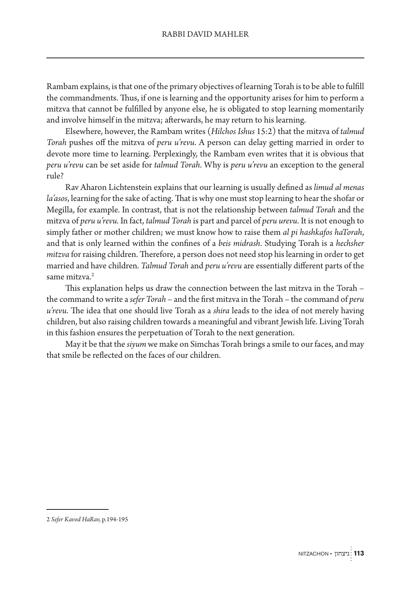Rambam explains, is that one of the primary objectives of learning Torah is to be able to fulfill the commandments. Thus, if one is learning and the opportunity arises for him to perform a mitzva that cannot be fulfilled by anyone else, he is obligated to stop learning momentarily and involve himself in the mitzva; afterwards, he may return to his learning.

Elsewhere, however, the Rambam writes (*Hilchos Ishus* 15:2) that the mitzva of *talmud Torah* pushes off the mitzva of *peru u'revu*. A person can delay getting married in order to devote more time to learning. Perplexingly, the Rambam even writes that it is obvious that *peru u'revu* can be set aside for *talmud Torah*. Why is *peru u'revu* an exception to the general rule?

Rav Aharon Lichtenstein explains that our learning is usually defined as *limud al menas la'asos*, learning for the sake of acting. That is why one must stop learning to hear the shofar or Megilla, for example. In contrast, that is not the relationship between *talmud Torah* and the mitzva of *peru u'revu.* In fact, *talmud Torah* is part and parcel of *peru urevu*. It is not enough to simply father or mother children; we must know how to raise them *al pi hashkafos haTorah*, and that is only learned within the confines of a *beis midrash*. Studying Torah is a *hechsher mitzva* for raising children. Therefore, a person does not need stop his learning in order to get married and have children. *Talmud Torah* and *peru u'revu* are essentially different parts of the same mitzva.<sup>2</sup>

This explanation helps us draw the connection between the last mitzva in the Torah – the command to write a *sefer Torah* – and the first mitzva in the Torah – the command of *peru u'revu*. The idea that one should live Torah as a *shira* leads to the idea of not merely having children, but also raising children towards a meaningful and vibrant Jewish life. Living Torah in this fashion ensures the perpetuation of Torah to the next generation.

May it be that the *siyum* we make on Simchas Torah brings a smile to our faces, and may that smile be reflected on the faces of our children.

<sup>2</sup> *Sefer Kavod HaRav,* p.194-195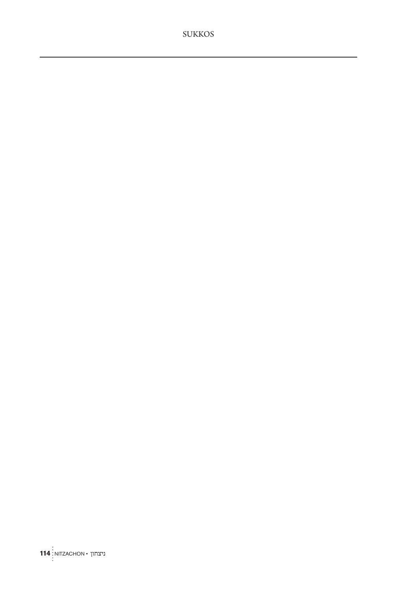SUKKOS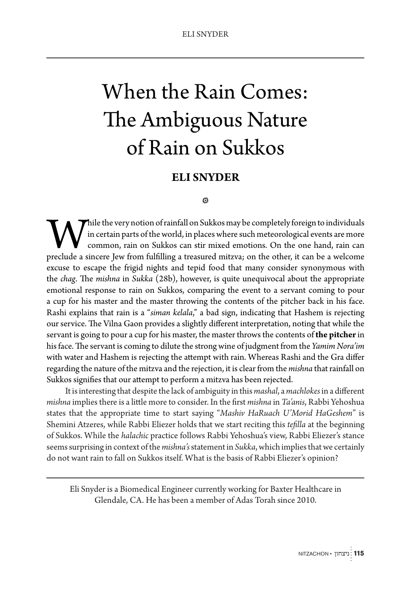# When the Rain Comes: The Ambiguous Nature of Rain on Sukkos

# **ELI SNYDER**

•

While the very notion of rainfall on Sukkos may be completely foreign to individuals in certain parts of the world, in places where such meteorological events are more common, rain on Sukkos can stir mixed emotions. On the in certain parts of the world, in places where such meteorological events are more common, rain on Sukkos can stir mixed emotions. On the one hand, rain can excuse to escape the frigid nights and tepid food that many consider synonymous with the *chag*. The *mishna* in *Sukka* (28b), however, is quite unequivocal about the appropriate emotional response to rain on Sukkos, comparing the event to a servant coming to pour a cup for his master and the master throwing the contents of the pitcher back in his face. Rashi explains that rain is a "*siman kelala*," a bad sign, indicating that Hashem is rejecting our service. The Vilna Gaon provides a slightly different interpretation, noting that while the servant is going to pour a cup for his master, the master throws the contents of **the pitcher** in his face. The servant is coming to dilute the strong wine of judgment from the *Yamim Nora'im* with water and Hashem is rejecting the attempt with rain. Whereas Rashi and the Gra differ regarding the nature of the mitzva and the rejection, it is clear from the *mishna* that rainfall on Sukkos signifies that our attempt to perform a mitzva has been rejected.

It is interesting that despite the lack of ambiguity in this *mashal*, a *machlokes* in a different *mishna* implies there is a little more to consider. In the first *mishna* in *Ta'anis*, Rabbi Yehoshua states that the appropriate time to start saying "*Mashiv HaRuach U'Morid HaGeshem*" is Shemini Atzeres, while Rabbi Eliezer holds that we start reciting this *tefilla* at the beginning of Sukkos. While the *halachic* practice follows Rabbi Yehoshua's view, Rabbi Eliezer's stance seems surprising in context of the *mishna's* statement in *Sukka*, which implies that we certainly do not want rain to fall on Sukkos itself. What is the basis of Rabbi Eliezer's opinion?

Eli Snyder is a Biomedical Engineer currently working for Baxter Healthcare in Glendale, CA. He has been a member of Adas Torah since 2010.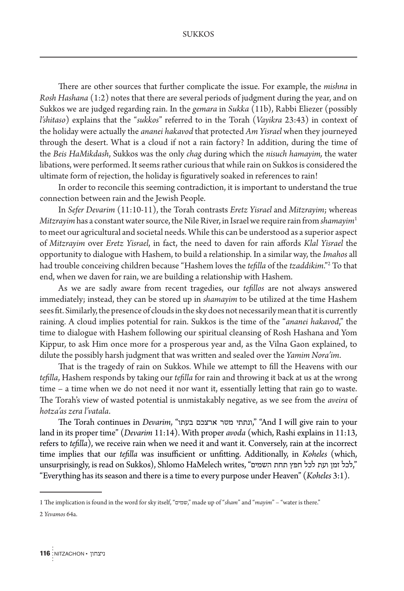There are other sources that further complicate the issue. For example, the *mishna* in *Rosh Hashana* (1:2) notes that there are several periods of judgment during the year, and on Sukkos we are judged regarding rain. In the *gemara* in *Sukka* (11b), Rabbi Eliezer (possibly *l'shitaso*) explains that the "*sukkos*" referred to in the Torah (*Vayikra* 23:43) in context of the holiday were actually the *ananei hakavod* that protected *Am Yisrael* when they journeyed through the desert. What is a cloud if not a rain factory? In addition, during the time of the *Beis HaMikdash*, Sukkos was the only *chag* during which the *nisuch hamayim,* the water libations, were performed. It seems rather curious that while rain on Sukkos is considered the ultimate form of rejection, the holiday is figuratively soaked in references to rain!

In order to reconcile this seeming contradiction, it is important to understand the true connection between rain and the Jewish People.

In *Sefer Devarim* (11:10-11), the Torah contrasts *Eretz Yisrael* and *Mitzrayim*; whereas *Mitzrayim* has a constant water source, the Nile River, in Israel we require rain from *shamayim*<sup>1</sup> to meet our agricultural and societal needs. While this can be understood as a superior aspect of *Mitzrayim* over *Eretz Yisrael*, in fact, the need to daven for rain affords *Klal Yisrael* the opportunity to dialogue with Hashem, to build a relationship. In a similar way, the *Imahos* all had trouble conceiving children because "Hashem loves the *tefilla* of the *tzaddikim*."2 To that end, when we daven for rain, we are building a relationship with Hashem.

As we are sadly aware from recent tragedies, our *tefillos* are not always answered immediately; instead, they can be stored up in *shamayim* to be utilized at the time Hashem sees fit. Similarly, the presence of clouds in the sky does not necessarily mean that it is currently raining. A cloud implies potential for rain. Sukkos is the time of the "*ananei hakavod*," the time to dialogue with Hashem following our spiritual cleansing of Rosh Hashana and Yom Kippur, to ask Him once more for a prosperous year and, as the Vilna Gaon explained, to dilute the possibly harsh judgment that was written and sealed over the *Yamim Nora'im*.

That is the tragedy of rain on Sukkos. While we attempt to fill the Heavens with our *tefilla*, Hashem responds by taking our *tefilla* for rain and throwing it back at us at the wrong time – a time when we do not need it nor want it, essentially letting that rain go to waste. The Torah's view of wasted potential is unmistakably negative, as we see from the *aveira* of *hotza'as zera l'vatala*.

The Torah continues in *Devarim*, "בעתו ארצכם מטר ונתתי," "And I will give rain to your land in its proper time" (*Devarim* 11:14). With proper *avoda* (which, Rashi explains in 11:13, refers to *tefilla*), we receive rain when we need it and want it. Conversely, rain at the incorrect time implies that our *tefilla* was insufficient or unfitting. Additionally, in *Koheles* (which, unsurprisingly, is read on Sukkos), Shlomo HaMelech writes, "השמים", תוחת השמים", "הכל ועת זמן תחת השמים", "ה "Everything has its season and there is a time to every purpose under Heaven" (*Koheles* 3:1).

<sup>1</sup> The implication is found in the word for sky itself, "שמים, "made up of "*sham*" and "*mayim*" – "water is there."

<sup>2</sup> *Yevamos* 64a.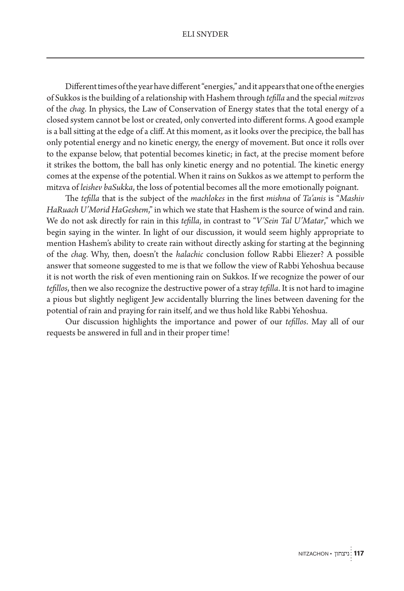Different times of the year have different "energies," and it appears that one of the energies of Sukkos is the building of a relationship with Hashem through *tefilla* and the special *mitzvos* of the *chag*. In physics, the Law of Conservation of Energy states that the total energy of a closed system cannot be lost or created, only converted into different forms. A good example is a ball sitting at the edge of a cliff. At this moment, as it looks over the precipice, the ball has only potential energy and no kinetic energy, the energy of movement. But once it rolls over to the expanse below, that potential becomes kinetic; in fact, at the precise moment before it strikes the bottom, the ball has only kinetic energy and no potential. The kinetic energy comes at the expense of the potential. When it rains on Sukkos as we attempt to perform the mitzva of *leishev baSukka*, the loss of potential becomes all the more emotionally poignant.

The *tefilla* that is the subject of the *machlokes* in the first *mishna* of *Ta'anis* is "*Mashiv HaRuach U'Morid HaGeshem*," in which we state that Hashem is the source of wind and rain. We do not ask directly for rain in this *tefilla*, in contrast to "*V'Sein Tal U'Matar*," which we begin saying in the winter. In light of our discussion, it would seem highly appropriate to mention Hashem's ability to create rain without directly asking for starting at the beginning of the *chag*. Why, then, doesn't the *halachic* conclusion follow Rabbi Eliezer? A possible answer that someone suggested to me is that we follow the view of Rabbi Yehoshua because it is not worth the risk of even mentioning rain on Sukkos. If we recognize the power of our *tefillos*, then we also recognize the destructive power of a stray *tefilla*. It is not hard to imagine a pious but slightly negligent Jew accidentally blurring the lines between davening for the potential of rain and praying for rain itself, and we thus hold like Rabbi Yehoshua.

Our discussion highlights the importance and power of our *tefillos*. May all of our requests be answered in full and in their proper time!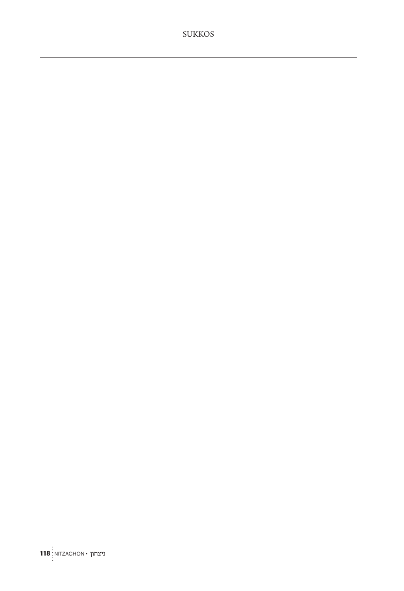ניצחון • NITZACHON **118**

# SUKKOS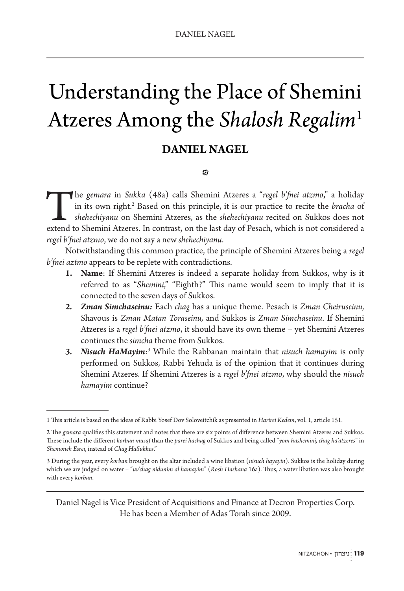# Understanding the Place of Shemini Atzeres Among the *Shalosh Regalim*<sup>1</sup> **DANIEL NAGEL**

£3

The *gemara* in *Sukka* (48a) calls Shemini Atzeres a "*regel b'fnei atzmo*," a holiday in its own right.<sup>2</sup> Based on this principle, it is our practice to recite the *bracha* of *shehechiyanu* on Shemini Atzeres, as the *shehechiyanu* recited on Sukkos does not extend to Shemini Atzeres. In contrast, on the last day of Pesach, which is not considered a *regel b'fnei atzmo*, we do not say a new *shehechiyanu*.

Notwithstanding this common practice, the principle of Shemini Atzeres being a *regel b'fnei aztmo* appears to be replete with contradictions.

- **1. Name**: If Shemini Atzeres is indeed a separate holiday from Sukkos, why is it referred to as "*Shemini*," "Eighth?" This name would seem to imply that it is connected to the seven days of Sukkos.
- *2. Zman Simchaseinu:* Each *chag* has a unique theme. Pesach is *Zman Cheiruseinu,*  Shavous is *Zman Matan Toraseinu,* and Sukkos is *Zman Simchaseinu*. If Shemini Atzeres is a *regel b'fnei atzmo*, it should have its own theme – yet Shemini Atzeres continues the *simcha* theme from Sukkos.
- 3. Nisuch HaMayim:<sup>3</sup> While the Rabbanan maintain that *nisuch hamayim* is only performed on Sukkos, Rabbi Yehuda is of the opinion that it continues during Shemini Atzeres. If Shemini Atzeres is a *regel b'fnei atzmo*, why should the *nisuch hamayim* continue?

Daniel Nagel is Vice President of Acquisitions and Finance at Decron Properties Corp. He has been a Member of Adas Torah since 2009.

<sup>1</sup> This article is based on the ideas of Rabbi Yosef Dov Soloveitchik as presented in *Harirei Kedem*, vol. 1, article 151.

<sup>2</sup> The *gemara* qualifies this statement and notes that there are six points of difference between Shemini Atzeres and Sukkos. These include the different *korban musaf* than the *parei hachag* of Sukkos and being called "*yom hashemini, chag ha'atzeres*" in *Shemoneh Esrei*, instead of *Chag HaSukkos*."

<sup>3</sup> During the year, every *korban* brought on the altar included a wine libation (*nisuch hayayin*). Sukkos is the holiday during which we are judged on water – "*uv'chag nidunim al hamayim*" (*Rosh Hashana* 16a). Thus, a water libation was also brought with every *korban*.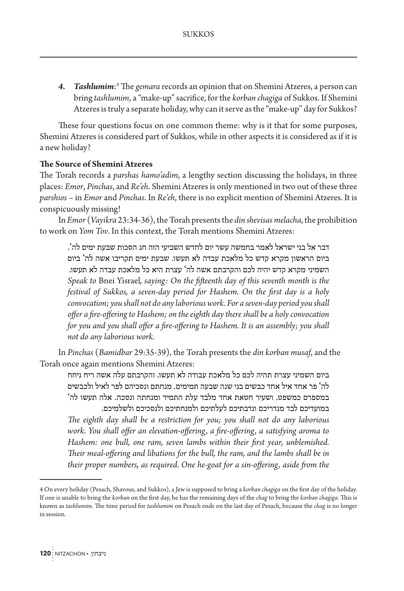4. Tashlumim:<sup>4</sup> The gemara records an opinion that on Shemini Atzeres, a person can bring *tashlumim*, a "make-up" sacrifice, for the *korban chagiga* of Sukkos. If Shemini Atzeres is truly a separate holiday, why can it serve as the "make-up" day for Sukkos?

These four questions focus on one common theme: why is it that for some purposes, Shemini Atzeres is considered part of Sukkos, while in other aspects it is considered as if it is a new holiday?

# **The Source of Shemini Atzeres**

The Torah records a *parshas hamo'adim*, a lengthy section discussing the holidays, in three places: *Emor*, *Pinchas*, and *Re'eh*. Shemini Atzeres is only mentioned in two out of these three *parshios* – in *Emor* and *Pinchas*. In *Re'eh*, there is no explicit mention of Shemini Atzeres. It is conspicuously missing!

In *Emor* (*Vayikra* 23:34-36), the Torah presents the *din shevisas melacha*, the prohibition to work on *Yom Tov*. In this context, the Torah mentions Shemini Atzeres:

דבר אל בני ישראל לאמר בחמשה עשר יום לחדש השביעי הזה חג הסכות שבעת ימים לה'. ביום הראשון מקרא קדש כל מלאכת עבדה לא תעשו. שבעת ימים תקריבו אשה לה' ביום השמיני מקרא קדש יהיה לכם והקרבתם אשה לה' עצרת היא כל מלאכת עבדה לא תעשו. *Speak to* Bnei Yisrael*, saying: On the fifteenth day of this seventh month is the festival of Sukkos, a seven-day period for Hashem. On the first day is a holy convocation; you shall not do any laborious work. For a seven-day period you shall offer a fire-offering to Hashem; on the eighth day there shall be a holy convocation for you and you shall offer a fire-offering to Hashem. It is an assembly; you shall not do any laborious work.*

In *Pinchas* (*Bamidbar* 29:35-39), the Torah presents the *din korban musaf*, and the Torah once again mentions Shemini Atzeres:

ביום השמיני עצרת תהיה לכם כל מלאכת עבודה לא תעשו. והקרבתם עלה אשה ריח ניחח לה' פר אחד איל אחד כבשים בני שנה שבעה תמימים. מנחתם ונסכיהם לפר לאיל ולכבשים במספרם כמשפט. ושעיר חטאת אחד מלבד עלת התמיד ומנחתה ונסכה. אלה תעשו לה' במועדיכם לבד מנדריכם ונדבתיכם לעלתיכם ולמנחתיכם ולנסכיכם ולשלמיכם. *The eighth day shall be a restriction for you; you shall not do any laborious work. You shall offer an elevation-offering, a fire-offering, a satisfying aroma to Hashem: one bull, one ram, seven lambs within their first year, unblemished. Their meal-offering and libations for the bull, the ram, and the lambs shall be in their proper numbers, as required. One he-goat for a sin-offering, aside from the*

<sup>4</sup> On every holiday (Pesach, Shavous, and Sukkos), a Jew is supposed to bring a *korban chagiga* on the first day of the holiday. If one is unable to bring the *korban* on the first day, he has the remaining days of the *chag* to bring the *korban chagiga*. This is known as *tashlumim*. The time period for *tashlumim* on Pesach ends on the last day of Pesach, because the *chag* is no longer in session.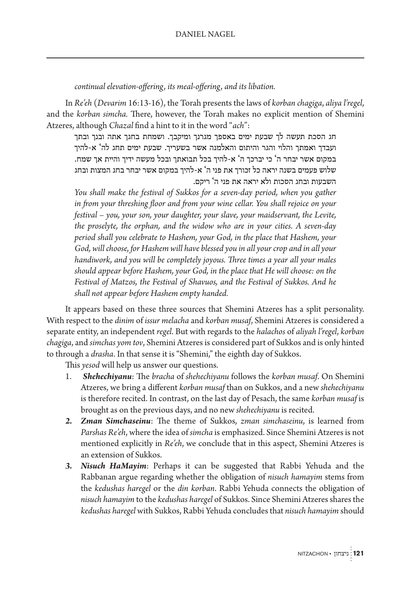*continual elevation-offering, its meal-offering, and its libation.*

In *Re'eh* (*Devarim* 16:13-16), the Torah presents the laws of *korban chagiga*, *aliya l'regel*, and the *korban simcha.* There, however, the Torah makes no explicit mention of Shemini Atzeres, although *Chazal* find a hint to it in the word "*ach*":

חג הסכת תעשה לך שבעת ימים באספך מגרנך ומיקבך. ושמחת בחגך אתה ובנך ובתך ועבדך ואמתך והלוי והגר והיתום והאלמנה אשר בשעריך. שבעת ימים תחג לה' א-להיך במקום אשר יבחר ה' כי יברכך ה' א-להיך בכל תבואתך ובכל מעשה ידיך והיית אך שמח. שלוש פעמים בשנה יראה כל זכורך את פני ה' א-להיך במקום אשר יבחר בחג המצות ובחג השבעות ובחג הסכות ולא יראה את פני ה' ריקם.

*You shall make the festival of Sukkos for a seven-day period, when you gather in from your threshing floor and from your wine cellar. You shall rejoice on your festival – you, your son, your daughter, your slave, your maidservant, the Levite, the proselyte, the orphan, and the widow who are in your cities. A seven-day period shall you celebrate to Hashem, your God, in the place that Hashem, your God, will choose, for Hashem will have blessed you in all your crop and in all your handiwork, and you will be completely joyous. Three times a year all your males should appear before Hashem, your God, in the place that He will choose: on the Festival of Matzos, the Festival of Shavuos, and the Festival of Sukkos. And he shall not appear before Hashem empty handed.*

It appears based on these three sources that Shemini Atzeres has a split personality. With respect to the *dinim* of *issur melacha* and *korban musaf*, Shemini Atzeres is considered a separate entity, an independent *regel*. But with regards to the *halachos* of *aliyah l'regel*, *korban chagiga*, and *simchas yom tov*, Shemini Atzeres is considered part of Sukkos and is only hinted to through a *drasha*. In that sense it is "Shemini," the eighth day of Sukkos.

This *yesod* will help us answer our questions.

- 1. *Shehechiyanu*: The *bracha* of *shehechiyanu* follows the *korban musaf*. On Shemini Atzeres, we bring a different *korban musaf* than on Sukkos, and a new *shehechiyanu* is therefore recited. In contrast, on the last day of Pesach, the same *korban musaf* is brought as on the previous days, and no new *shehechiyanu* is recited.
- *2. Zman Simchaseinu*: The theme of Sukkos, *zman simchaseinu*, is learned from *Parshas Re'eh*, where the idea of *simcha* is emphasized. Since Shemini Atzeres is not mentioned explicitly in *Re'eh*, we conclude that in this aspect, Shemini Atzeres is an extension of Sukkos.
- *3. Nisuch HaMayim*: Perhaps it can be suggested that Rabbi Yehuda and the Rabbanan argue regarding whether the obligation of *nisuch hamayim* stems from the *kedushas haregel* or the *din korban*. Rabbi Yehuda connects the obligation of *nisuch hamayim* to the *kedushas haregel* of Sukkos. Since Shemini Atzeres shares the *kedushas haregel* with Sukkos, Rabbi Yehuda concludes that *nisuch hamayim* should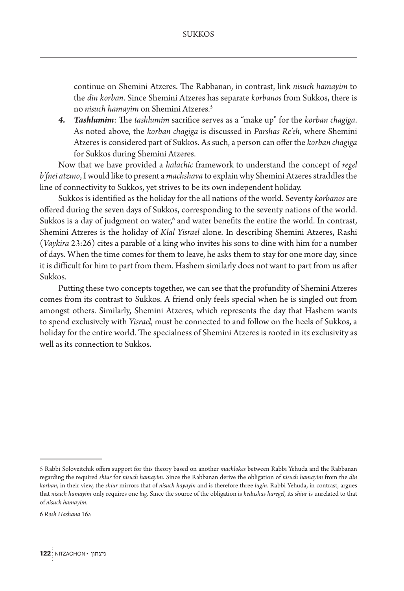continue on Shemini Atzeres. The Rabbanan, in contrast, link *nisuch hamayim* to the *din korban*. Since Shemini Atzeres has separate *korbanos* from Sukkos, there is no *nisuch hamayim* on Shemini Atzeres.5

*4. Tashlumim*: The *tashlumim* sacrifice serves as a "make up" for the *korban chagiga*. As noted above, the *korban chagiga* is discussed in *Parshas Re'eh*, where Shemini Atzeres is considered part of Sukkos. As such, a person can offer the *korban chagiga* for Sukkos during Shemini Atzeres.

Now that we have provided a *halachic* framework to understand the concept of *regel b'fnei atzmo*, I would like to present a *machshava* to explain why Shemini Atzeres straddles the line of connectivity to Sukkos, yet strives to be its own independent holiday.

Sukkos is identified as the holiday for the all nations of the world. Seventy *korbanos* are offered during the seven days of Sukkos, corresponding to the seventy nations of the world. Sukkos is a day of judgment on water,<sup>6</sup> and water benefits the entire the world. In contrast, Shemini Atzeres is the holiday of *Klal Yisrael* alone. In describing Shemini Atzeres, Rashi (*Vaykira* 23:26) cites a parable of a king who invites his sons to dine with him for a number of days. When the time comes for them to leave, he asks them to stay for one more day, since it is difficult for him to part from them. Hashem similarly does not want to part from us after Sukkos.

Putting these two concepts together, we can see that the profundity of Shemini Atzeres comes from its contrast to Sukkos. A friend only feels special when he is singled out from amongst others. Similarly, Shemini Atzeres, which represents the day that Hashem wants to spend exclusively with *Yisrael*, must be connected to and follow on the heels of Sukkos, a holiday for the entire world. The specialness of Shemini Atzeres is rooted in its exclusivity as well as its connection to Sukkos.

6 *Rosh Hashana* 16a

<sup>5</sup> Rabbi Soloveitchik offers support for this theory based on another *machlokes* between Rabbi Yehuda and the Rabbanan regarding the required *shiur* for *nisuch hamayim*. Since the Rabbanan derive the obligation of *nisuch hamayim* from the *din korban*, in their view, the *shiur* mirrors that of *nisuch hayayin* and is therefore three *lugin*. Rabbi Yehuda, in contrast, argues that *nisuch hamayim* only requires one *lug*. Since the source of the obligation is *kedushas haregel,* its *shiur* is unrelated to that of *nisuch hamayim.*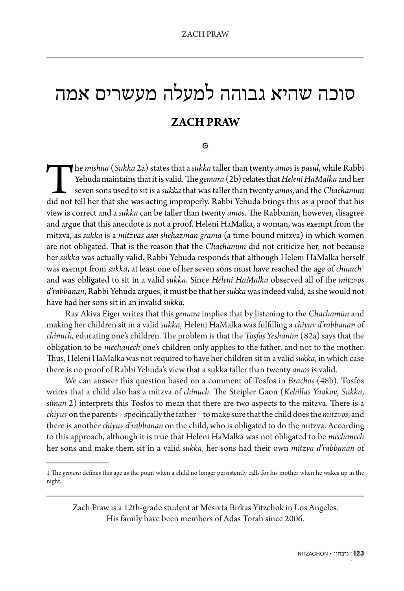# סוכה שהיא גבוהה למעלה מעשרים אמה **ZACH PRAW**

#### •

The *mishna* (*Sukka* 2a) states that a *sukka* taller than twenty *amos* is *pasul*, while Rabbi Yehuda maintains that it is valid. The *gemara* (2b) relates that *Heleni HaMalka* and her seven sons used to sit is a *sukka* that was taller than twenty *amos*, and the *Chachamim* did not tell her that she was acting improperly. Rabbi Yehuda brings this as a proof that his view is correct and a *sukka* can be taller than twenty *amos*. The Rabbanan, however, disagree and argue that this anecdote is not a proof. Heleni HaMalka, a woman, was exempt from the mitzva, as *sukka* is a *mitzvas asei shehazman grama* (a time-bound mitzva) in which women are not obligated. That is the reason that the *Chachamim* did not criticize her, not because her *sukka* was actually valid. Rabbi Yehuda responds that although Heleni HaMalka herself was exempt from *sukka*, at least one of her seven sons must have reached the age of *chinuch1* and was obligated to sit in a valid *sukka*. Since *Heleni HaMalka* observed all of the *mitzvos d'rabbanan*, Rabbi Yehuda argues, it must be that her *sukka* was indeed valid, as she would not have had her sons sit in an invalid *sukka*.

Rav Akiva Eiger writes that this *gemara* implies that by listening to the *Chachamim* and making her children sit in a valid *sukka*, Heleni HaMalka was fulfilling a *chiyuv d'rabbanan* of *chinuch,* educating one's children. The problem is that the *Tosfos Yeshanim* (82a) says that the obligation to be *mechanech* one's children only applies to the father, and not to the mother. Thus, Heleni HaMalka was not required to have her children sit in a valid *sukka*, in which case there is no proof of Rabbi Yehuda's view that a sukka taller than twenty *amos* is valid.

We can answer this question based on a comment of Tosfos in *Brachos* (48b). Tosfos writes that a child also has a mitzva of *chinuch*. The Steipler Gaon (*Kehillas Yaakov*, *Sukka*, *siman* 2) interprets this Tosfos to mean that there are two aspects to the mitzva. There is a *chiyuv* on the parents – specifically the father – to make sure that the child does the *mitzvos*, and there is another *chiyuv d'rabbanan* on the child, who is obligated to do the mitzva. According to this approach, although it is true that Heleni HaMalka was not obligated to be *mechanech* her sons and make them sit in a valid *sukka*, her sons had their own *mitzva d'rabbanan* of

Zach Praw is a 12th-grade student at Mesivta Birkas Yitzchok in Los Angeles. His family have been members of Adas Torah since 2006.

<sup>1</sup> The *gemara* defines this age as the point when a child no longer persistently calls for his mother when he wakes up in the night.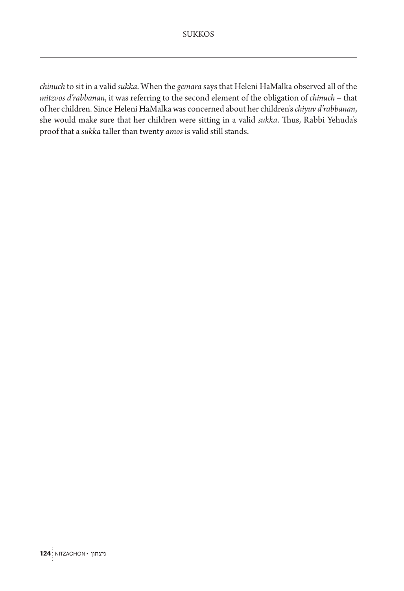*chinuch* to sit in a valid *sukka*. When the *gemara* says that Heleni HaMalka observed all of the *mitzvos d'rabbanan*, it was referring to the second element of the obligation of *chinuch* – that of her children. Since Heleni HaMalka was concerned about her children's *chiyuv d'rabbanan*, she would make sure that her children were sitting in a valid *sukka*. Thus, Rabbi Yehuda's proof that a *sukka* taller than twenty *amos* is valid still stands.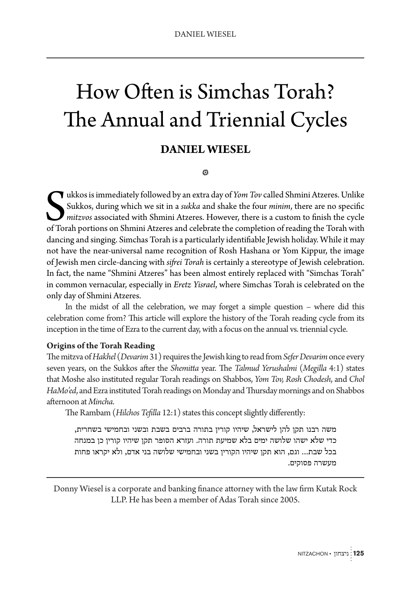# How Often is Simchas Torah? The Annual and Triennial Cycles

# **DANIEL WIESEL**

 $\mathfrak{B}$ 

Sukkos is immediately followed by an extra day of *Yom Tov* called Shmini Atzeres. Unlike Sukkos, during which we sit in a *sukka* and shake the four *minim*, there are no specific *mitzvos* associated with Shmini Atzeres. Sukkos, during which we sit in a *sukka* and shake the four *minim*, there are no specific *mitzvos* associated with Shmini Atzeres. However, there is a custom to finish the cycle of Torah portions on Shmini Atzeres and celebrate the completion of reading the Torah with dancing and singing. Simchas Torah is a particularly identifiable Jewish holiday. While it may not have the near-universal name recognition of Rosh Hashana or Yom Kippur, the image of Jewish men circle-dancing with *sifrei Torah* is certainly a stereotype of Jewish celebration. In fact, the name "Shmini Atzeres" has been almost entirely replaced with "Simchas Torah" in common vernacular, especially in *Eretz Yisrael*, where Simchas Torah is celebrated on the only day of Shmini Atzeres.

In the midst of all the celebration, we may forget a simple question – where did this celebration come from? This article will explore the history of the Torah reading cycle from its inception in the time of Ezra to the current day, with a focus on the annual vs. triennial cycle.

## **Origins of the Torah Reading**

The mitzva of *Hakhel* (*Devarim* 31) requires the Jewish king to read from *Sefer Devarim* once every seven years, on the Sukkos after the *Shemitta* year. The *Talmud Yerushalmi* (*Megilla* 4:1) states that Moshe also instituted regular Torah readings on Shabbos, *Yom Tov, Rosh Chodesh*, and *Chol HaMo'ed*, and Ezra instituted Torah readings on Monday and Thursday mornings and on Shabbos afternoon at *Mincha*.

The Rambam (*Hilchos Tefilla* 12:1) states this concept slightly differently:

משה רבנו תקן להן לישראל, שיהיו קורין בתורה ברבים בשבת ובשני ובחמישי בשחרית, כדי שלא ישהו שלושה ימים בלא שמיעת תורה. ועזרא הסופר תקן שיהיו קורין כן במנחה בכל שבת... וגם, הוא תקן שיהיו הקורין בשני ובחמישי שלושה בני אדם, ולא יקראו פחות מעשרה פסוקים.

Donny Wiesel is a corporate and banking finance attorney with the law firm Kutak Rock LLP. He has been a member of Adas Torah since 2005.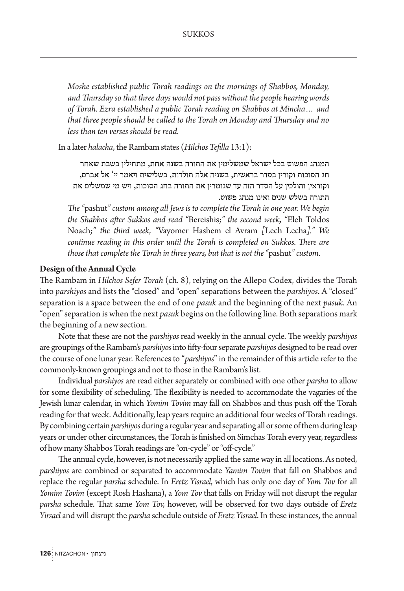*Moshe established public Torah readings on the mornings of Shabbos, Monday, and Thursday so that three days would not pass without the people hearing words of Torah. Ezra established a public Torah reading on Shabbos at Mincha… and that three people should be called to the Torah on Monday and Thursday and no less than ten verses should be read.*

In a later *halacha*, the Rambam states (*Hilchos Tefilla* 13:1):

המנהג הפשוט בכל ישראל שמשלימין את התורה בשנה אחת, מתחילין בשבת שאחר חג הסוכות וקורין בסדר בראשית, בשניה אלה תולדות, בשלישית ויאמר יי' אל אברם, וקוראין והולכין על הסדר הזה עד שגומרין את התורה בחג הסוכות, ויש מי שמשלים את התורה בשלש שנים ואינו מנהג פשוט.

*The "*pashut*" custom among all Jews is to complete the Torah in one year. We begin the Shabbos after Sukkos and read "*Bereishis*;" the second week, "*Eleh Toldos Noach*;" the third week, "*Vayomer Hashem el Avram *[*Lech Lecha*]." We continue reading in this order until the Torah is completed on Sukkos. There are those that complete the Torah in three years, but that is not the "*pashut*" custom.* 

# **Design of the Annual Cycle**

The Rambam in *Hilchos Sefer Torah* (ch. 8), relying on the Allepo Codex, divides the Torah into *parshiyos* and lists the "closed" and "open" separations between the *parshiyos*. A "closed" separation is a space between the end of one *pasuk* and the beginning of the next *pasuk*. An "open" separation is when the next *pasuk* begins on the following line. Both separations mark the beginning of a new section.

Note that these are not the *parshiyos* read weekly in the annual cycle. The weekly *parshiyos* are groupings of the Rambam's *parshiyos* into fifty-four separate *parshiyos* designed to be read over the course of one lunar year. References to "*parshiyos*" in the remainder of this article refer to the commonly-known groupings and not to those in the Rambam's list.

Individual *parshiyos* are read either separately or combined with one other *parsha* to allow for some flexibility of scheduling. The flexibility is needed to accommodate the vagaries of the Jewish lunar calendar, in which *Yomim Tovim* may fall on Shabbos and thus push off the Torah reading for that week. Additionally, leap years require an additional four weeks of Torah readings. By combining certain *parshiyos* during a regular year and separating all or some of them during leap years or under other circumstances, the Torah is finished on Simchas Torah every year, regardless of how many Shabbos Torah readings are "on-cycle" or "off-cycle."

The annual cycle, however, is not necessarily applied the same way in all locations. As noted, *parshiyos* are combined or separated to accommodate *Yamim Tovim* that fall on Shabbos and replace the regular *parsha* schedule. In *Eretz Yisrael*, which has only one day of *Yom Tov* for all *Yomim Tovim* (except Rosh Hashana), a *Yom Tov* that falls on Friday will not disrupt the regular *parsha* schedule. That same *Yom Tov,* however, will be observed for two days outside of *Eretz Yirsael* and will disrupt the *parsha* schedule outside of *Eretz Yisrael*. In these instances, the annual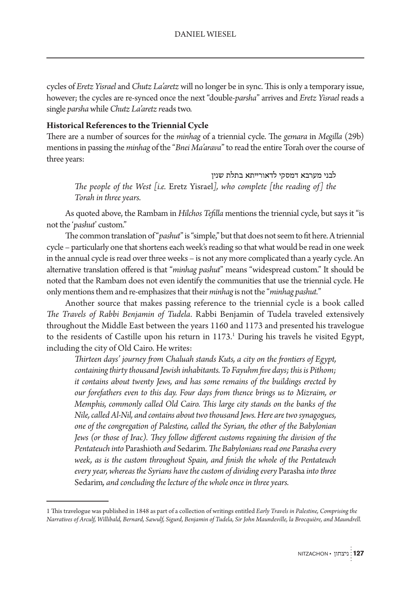cycles of *Eretz Yisrael* and *Chutz La'aretz* will no longer be in sync. This is only a temporary issue, however; the cycles are re-synced once the next "double-*parsha*" arrives and *Eretz Yisrael* reads a single *parsha* while *Chutz La'aretz r*eads two.

# **Historical References to the Triennial Cycle**

There are a number of sources for the *minhag* of a triennial cycle. The *gemara* in *Megilla* (29b) mentions in passing the *minhag* of the "*Bnei Ma'arava*" to read the entire Torah over the course of three years:

לבני מערבא דמסקי לדאורייתא בתלת שנין *The people of the West [i.e.* Eretz Yisrael*], who complete [the reading of] the Torah in three years.*

As quoted above, the Rambam in *Hilchos Tefilla* mentions the triennial cycle, but says it "is not the '*pashut*' custom."

The common translation of "*pashut*" is "simple," but that does not seem to fit here. A triennial cycle – particularly one that shortens each week's reading so that what would be read in one week in the annual cycle is read over three weeks – is not any more complicated than a yearly cycle. An alternative translation offered is that "*minhag pashut*" means "widespread custom." It should be noted that the Rambam does not even identify the communities that use the triennial cycle. He only mentions them and re-emphasizes that their *minhag* is not the "*minhag pashut.*"

Another source that makes passing reference to the triennial cycle is a book called *The Travels of Rabbi Benjamin of Tudela*. Rabbi Benjamin of Tudela traveled extensively throughout the Middle East between the years 1160 and 1173 and presented his travelogue to the residents of Castille upon his return in 1173.<sup>1</sup> During his travels he visited Egypt, including the city of Old Cairo. He writes:

*Thirteen days' journey from Chaluah stands Kuts, a city on the frontiers of Egypt, containing thirty thousand Jewish inhabitants. To Fayuhm five days; this is Pithom; it contains about twenty Jews, and has some remains of the buildings erected by our forefathers even to this day. Four days from thence brings us to Mizraim, or Memphis, commonly called Old Cairo. This large city stands on the banks of the Nile, called Al-Nil, and contains about two thousand Jews. Here are two synagogues, one of the congregation of Palestine, called the Syrian, the other of the Babylonian Jews (or those of Irac). They follow different customs regaining the division of the Pentateuch into* Parashioth *and* Sedarim*. The Babylonians read one Parasha every week, as is the custom throughout Spain, and finish the whole of the Pentateuch every year, whereas the Syrians have the custom of dividing every* Parasha *into three*  Sedarim*, and concluding the lecture of the whole once in three years.*

<sup>1</sup> This travelogue was published in 1848 as part of a collection of writings entitled *Early Travels in Palestine, Comprising the Narratives of Arculf, Willibald, Bernard, Sæwulf, Sigurd, Benjamin of Tudela, Sir John Maundeville, la Brocquière, and Maundrell.*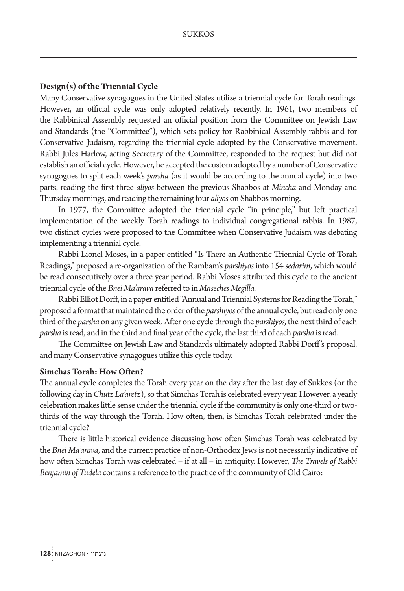### **Design(s) of the Triennial Cycle**

Many Conservative synagogues in the United States utilize a triennial cycle for Torah readings. However, an official cycle was only adopted relatively recently. In 1961, two members of the Rabbinical Assembly requested an official position from the Committee on Jewish Law and Standards (the "Committee"), which sets policy for Rabbinical Assembly rabbis and for Conservative Judaism, regarding the triennial cycle adopted by the Conservative movement. Rabbi Jules Harlow, acting Secretary of the Committee, responded to the request but did not establish an official cycle. However, he accepted the custom adopted by a number of Conservative synagogues to split each week's *parsha* (as it would be according to the annual cycle) into two parts, reading the first three *aliyos* between the previous Shabbos at *Mincha* and Monday and Thursday mornings, and reading the remaining four *aliyos* on Shabbos morning.

In 1977, the Committee adopted the triennial cycle "in principle," but left practical implementation of the weekly Torah readings to individual congregational rabbis. In 1987, two distinct cycles were proposed to the Committee when Conservative Judaism was debating implementing a triennial cycle.

Rabbi Lionel Moses, in a paper entitled "Is There an Authentic Triennial Cycle of Torah Readings," proposed a re-organization of the Rambam's *parshiyos* into 154 *sedarim*, which would be read consecutively over a three year period. Rabbi Moses attributed this cycle to the ancient triennial cycle of the *Bnei Ma'arava* referred to in *Maseches Megilla.*

Rabbi Elliot Dorff, in a paper entitled "Annual and Triennial Systems for Reading the Torah," proposed a format that maintained the order of the *parshiyos* of the annual cycle, but read only one third of the *parsha* on any given week. After one cycle through the *parshiyos*, the next third of each *parsha* is read, and in the third and final year of the cycle, the last third of each *parsha* is read.

The Committee on Jewish Law and Standards ultimately adopted Rabbi Dorff's proposal, and many Conservative synagogues utilize this cycle today.

### **Simchas Torah: How Often?**

The annual cycle completes the Torah every year on the day after the last day of Sukkos (or the following day in *Chutz La'aretz*), so that Simchas Torah is celebrated every year. However, a yearly celebration makes little sense under the triennial cycle if the community is only one-third or twothirds of the way through the Torah. How often, then, is Simchas Torah celebrated under the triennial cycle?

There is little historical evidence discussing how often Simchas Torah was celebrated by the *Bnei Ma'arava*, and the current practice of non-Orthodox Jews is not necessarily indicative of how often Simchas Torah was celebrated – if at all – in antiquity. However, *The Travels of Rabbi Benjamin of Tudela* contains a reference to the practice of the community of Old Cairo: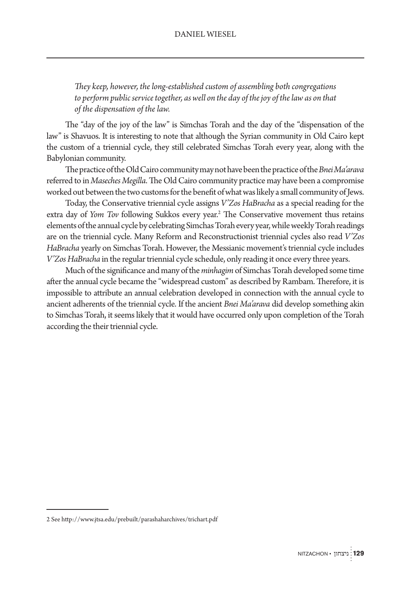*They keep, however, the long-established custom of assembling both congregations to perform public service together, as well on the day of the joy of the law as on that of the dispensation of the law.*

The "day of the joy of the law" is Simchas Torah and the day of the "dispensation of the law" is Shavuos. It is interesting to note that although the Syrian community in Old Cairo kept the custom of a triennial cycle, they still celebrated Simchas Torah every year, along with the Babylonian community.

The practice of the Old Cairo community may not have been the practice of the *Bnei Ma'arava*  referred to in *Maseches Megilla*. The Old Cairo community practice may have been a compromise worked out between the two customs for the benefit of what was likely a small community of Jews.

Today, the Conservative triennial cycle assigns *V'Zos HaBracha* as a special reading for the extra day of Yom Tov following Sukkos every year.<sup>2</sup> The Conservative movement thus retains elements of the annual cycle by celebrating Simchas Torah every year, while weekly Torah readings are on the triennial cycle. Many Reform and Reconstructionist triennial cycles also read *V'Zos HaBracha* yearly on Simchas Torah. However, the Messianic movement's triennial cycle includes *V'Zos HaBracha* in the regular triennial cycle schedule, only reading it once every three years.

Much of the significance and many of the *minhagim* of Simchas Torah developed some time after the annual cycle became the "widespread custom" as described by Rambam. Therefore, it is impossible to attribute an annual celebration developed in connection with the annual cycle to ancient adherents of the triennial cycle. If the ancient *Bnei Ma'arava* did develop something akin to Simchas Torah, it seems likely that it would have occurred only upon completion of the Torah according the their triennial cycle.

<sup>2</sup> See http://www.jtsa.edu/prebuilt/parashaharchives/trichart.pdf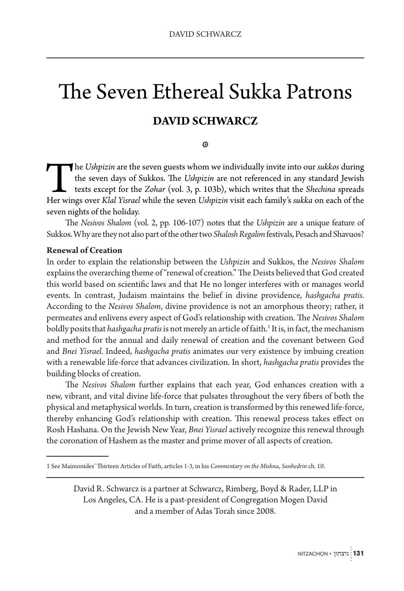# The Seven Ethereal Sukka Patrons

# **DAVID SCHWARCZ**

•

The *Ushpizin* are the seven guests whom we individually invite into our *sukkos* during the seven days of Sukkos. The *Ushpizin* are not referenced in any standard Jewish texts except for the *Zohar* (vol. 3, p. 103b), wh the seven days of Sukkos. The *Ushpizin* are not referenced in any standard Jewish texts except for the *Zohar* (vol. 3, p. 103b), which writes that the *Shechina* spreads seven nights of the holiday.

The *Nesivos Shalom* (vol. 2, pp. 106-107) notes that the *Ushpizin* are a unique feature of Sukkos. Why are they not also part of the other two *Shalosh Regalim* festivals, Pesach and Shavuos?

# **Renewal of Creation**

In order to explain the relationship between the *Ushpizin* and Sukkos, the *Nesivos Shalom*  explains the overarching theme of "renewal of creation." The Deists believed that God created this world based on scientific laws and that He no longer interferes with or manages world events. In contrast, Judaism maintains the belief in divine providence, *hashgacha pratis.*  According to the *Nesivos Shalom*, divine providence is not an amorphous theory; rather, it permeates and enlivens every aspect of God's relationship with creation. The *Nesivos Shalom*  boldly posits that *hashgacha pratis* is not merely an article of faith.<sup>1</sup> It is, in fact, the mechanism and method for the annual and daily renewal of creation and the covenant between God and *Bnei Yisrael.* Indeed, *hashgacha pratis* animates our very existence by imbuing creation with a renewable life-force that advances civilization. In short, *hashgacha pratis* provides the building blocks of creation.

The *Nesivos Shalom* further explains that each year, God enhances creation with a new, vibrant, and vital divine life-force that pulsates throughout the very fibers of both the physical and metaphysical worlds. In turn, creation is transformed by this renewed life-force, thereby enhancing God's relationship with creation. This renewal process takes effect on Rosh Hashana. On the Jewish New Year, *Bnei Yisrael* actively recognize this renewal through the coronation of Hashem as the master and prime mover of all aspects of creation.

1 See Maimonides' Thirteen Articles of Faith, articles 1-3, in his *Commentary on the Mishna*, *Sanhedrin* ch. 10.

David R. Schwarcz is a partner at Schwarcz, Rimberg, Boyd & Rader, LLP in Los Angeles, CA. He is a past-president of Congregation Mogen David and a member of Adas Torah since 2008.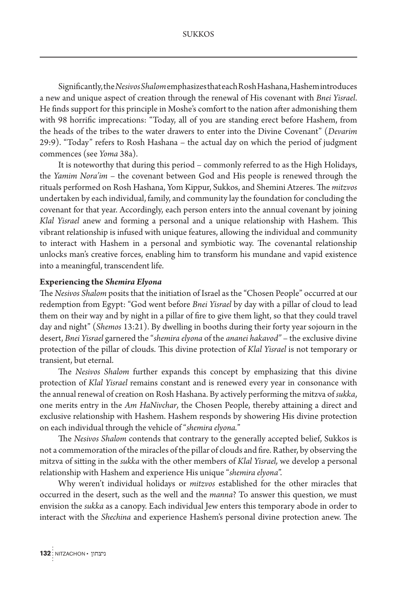Significantly, the *Nesivos Shalom* emphasizes that each Rosh Hashana, Hashem introduces a new and unique aspect of creation through the renewal of His covenant with *Bnei Yisrael*. He finds support for this principle in Moshe's comfort to the nation after admonishing them with 98 horrific imprecations: "Today, all of you are standing erect before Hashem, from the heads of the tribes to the water drawers to enter into the Divine Covenant" (*Devarim* 29:9). "Today" refers to Rosh Hashana – the actual day on which the period of judgment commences (see *Yoma* 38a).

It is noteworthy that during this period – commonly referred to as the High Holidays, the *Yamim Nora'im* – the covenant between God and His people is renewed through the rituals performed on Rosh Hashana, Yom Kippur, Sukkos, and Shemini Atzeres. The *mitzvos* undertaken by each individual, family, and community lay the foundation for concluding the covenant for that year. Accordingly, each person enters into the annual covenant by joining *Klal Yisrael* anew and forming a personal and a unique relationship with Hashem. This vibrant relationship is infused with unique features, allowing the individual and community to interact with Hashem in a personal and symbiotic way. The covenantal relationship unlocks man's creative forces, enabling him to transform his mundane and vapid existence into a meaningful, transcendent life.

### **Experiencing the** *Shemira Elyona*

The *Nesivos Shalom* posits that the initiation of Israel as the "Chosen People" occurred at our redemption from Egypt: "God went before *Bnei Yisrael* by day with a pillar of cloud to lead them on their way and by night in a pillar of fire to give them light, so that they could travel day and night" (*Shemos* 13:21). By dwelling in booths during their forty year sojourn in the desert, *Bnei Yisrael* garnered the "*shemira elyona* of the *ananei hakavod"* – the exclusive divine protection of the pillar of clouds. This divine protection of *Klal Yisrael* is not temporary or transient, but eternal.

The *Nesivos Shalom* further expands this concept by emphasizing that this divine protection of *Klal Yisrael* remains constant and is renewed every year in consonance with the annual renewal of creation on Rosh Hashana. By actively performing the mitzva of *sukka*, one merits entry in the *Am HaNivchar*, the Chosen People, thereby attaining a direct and exclusive relationship with Hashem. Hashem responds by showering His divine protection on each individual through the vehicle of "*shemira elyona.*"

The *Nesivos Shalom* contends that contrary to the generally accepted belief, Sukkos is not a commemoration of the miracles of the pillar of clouds and fire. Rather, by observing the mitzva of sitting in the *sukka* with the other members of *Klal Yisrael,* we develop a personal relationship with Hashem and experience His unique "*shemira elyona*".

Why weren't individual holidays or *mitzvos* established for the other miracles that occurred in the desert, such as the well and the *manna*? To answer this question, we must envision the *sukka* as a canopy. Each individual Jew enters this temporary abode in order to interact with the *Shechina* and experience Hashem's personal divine protection anew. The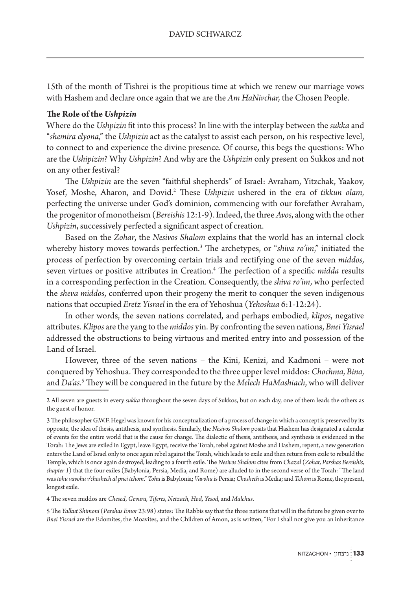15th of the month of Tishrei is the propitious time at which we renew our marriage vows with Hashem and declare once again that we are the *Am HaNivchar,* the Chosen People.

## **The Role of the** *Ushpizin*

Where do the *Ushpizin* fit into this process? In line with the interplay between the *sukka* and "*shemira elyona*," the *Ushpizin* act as the catalyst to assist each person, on his respective level, to connect to and experience the divine presence. Of course, this begs the questions: Who are the *Ushipizin*? Why *Ushpizin*? And why are the *Ushpizin* only present on Sukkos and not on any other festival?

The *Ushpizin* are the seven "faithful shepherds" of Israel: Avraham, Yitzchak, Yaakov, Yosef, Moshe, Aharon, and Dovid.<sup>2</sup> These Ushpizin ushered in the era of tikkun olam, perfecting the universe under God's dominion, commencing with our forefather Avraham, the progenitor of monotheism (*Bereishis* 12:1-9). Indeed, the three *Avos*, along with the other *Ushpizin*, successively perfected a significant aspect of creation.

Based on the *Zohar*, the *Nesivos Shalom* explains that the world has an internal clock whereby history moves towards perfection.3 The archetypes, or "*shiva ro'im*," initiated the process of perfection by overcoming certain trials and rectifying one of the seven *middos*, seven virtues or positive attributes in Creation.4 The perfection of a specific *midda* results in a corresponding perfection in the Creation. Consequently, the *shiva ro'im*, who perfected the *sheva middos*, conferred upon their progeny the merit to conquer the seven indigenous nations that occupied *Eretz Yisrael* in the era of Yehoshua (*Yehoshua* 6:1-12:24).

In other words, the seven nations correlated, and perhaps embodied, *klipos*, negative attributes. *Klipos* are the yang to the *middos* yin. By confronting the seven nations, *Bnei Yisrael*  addressed the obstructions to being virtuous and merited entry into and possession of the Land of Israel.

However, three of the seven nations – the Kini, Kenizi, and Kadmoni – were not conquered by Yehoshua. They corresponded to the three upper level middos: *Chochma, Bina,*  and *Da'as*. 5 They will be conquered in the future by the *Melech HaMashiach*, who will deliver

4 The seven middos are *Chesed*, *Gevura, Tiferes, Netzach, Hod, Yesod,* and *Malchus*.

5 The *Yalkut Shimoni* (*Parshas Emor* 23:98) states: The Rabbis say that the three nations that will in the future be given over to *Bnei Yisrael* are the Edomites, the Moavites, and the Children of Amon, as is written, "For I shall not give you an inheritance

<sup>2</sup> All seven are guests in every *sukka* throughout the seven days of Sukkos, but on each day, one of them leads the others as the guest of honor.

<sup>3</sup> The philosopher G.W.F. Hegel was known for his conceptualization of a process of change in which a concept is preserved by its opposite, the idea of thesis, antithesis, and synthesis. Similarly, the *Nesivos Shalom* posits that Hashem has designated a calendar of events for the entire world that is the cause for change. The dialectic of thesis, antithesis, and synthesis is evidenced in the Torah: The Jews are exiled in Egypt, leave Egypt, receive the Torah, rebel against Moshe and Hashem, repent, a new generation enters the Land of Israel only to once again rebel against the Torah, which leads to exile and then return from exile to rebuild the Temple, which is once again destroyed, leading to a fourth exile. The *Nesivos Shalom* cites from *Chazal* (*Zohar, Parshas Bereishis, chapter 1*) that the four exiles (Babylonia, Persia, Media, and Rome) are alluded to in the second verse of the Torah: "The land was *tohu vavohu v'choshech al pnei tehom*." *Tohu* is Babylonia; *Vavohu* is Persia; *Choshech* is Media; and *Tehom* is Rome, the present, longest exile.